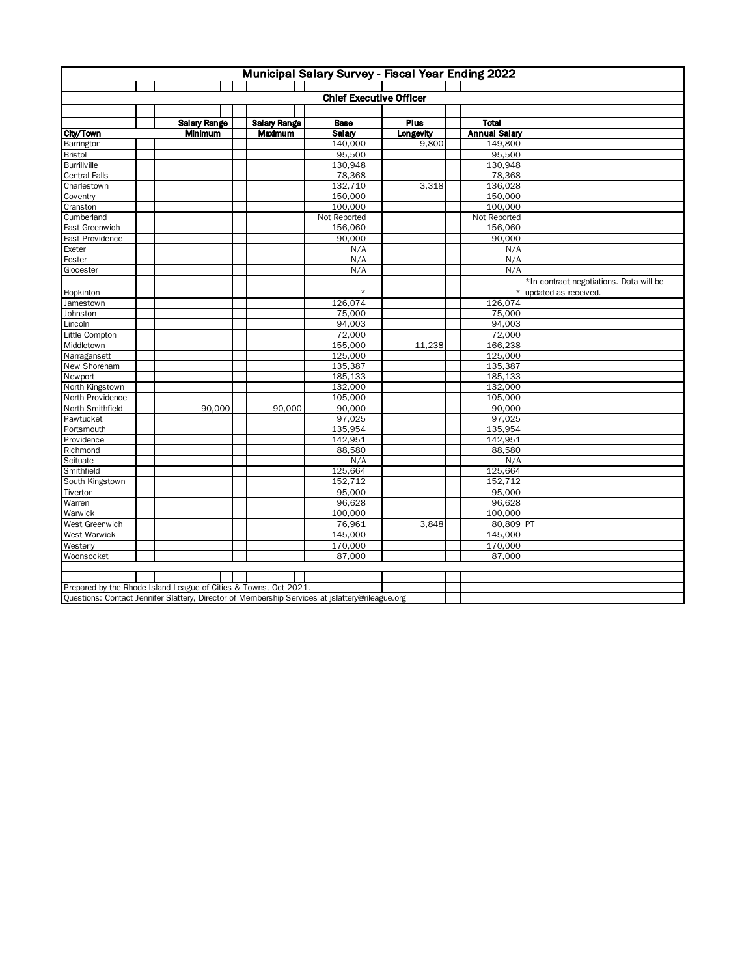|                                                                                                 |                     |                     |              | Municipal Salary Survey - Fiscal Year Ending 2022 |                      |                                         |
|-------------------------------------------------------------------------------------------------|---------------------|---------------------|--------------|---------------------------------------------------|----------------------|-----------------------------------------|
|                                                                                                 |                     |                     |              |                                                   |                      |                                         |
|                                                                                                 |                     |                     |              | <b>Chief Executive Officer</b>                    |                      |                                         |
|                                                                                                 |                     |                     |              |                                                   |                      |                                         |
|                                                                                                 | <b>Salary Range</b> | <b>Salary Range</b> | <b>Base</b>  | Plus                                              | <b>Total</b>         |                                         |
| City/Town                                                                                       | <b>Minimum</b>      | Maximum             | Salary       | Longevity                                         | <b>Annual Salary</b> |                                         |
| Barrington                                                                                      |                     |                     | 140,000      | 9,800                                             | 149,800              |                                         |
| <b>Bristol</b>                                                                                  |                     |                     | 95,500       |                                                   | 95,500               |                                         |
| <b>Burrillville</b>                                                                             |                     |                     | 130,948      |                                                   | 130,948              |                                         |
| <b>Central Falls</b>                                                                            |                     |                     | 78,368       |                                                   | 78,368               |                                         |
| Charlestown                                                                                     |                     |                     | 132,710      | 3,318                                             | 136,028              |                                         |
| Coventry                                                                                        |                     |                     | 150.000      |                                                   | 150,000              |                                         |
| Cranston                                                                                        |                     |                     | 100,000      |                                                   | 100,000              |                                         |
| Cumberland                                                                                      |                     |                     | Not Reported |                                                   | Not Reported         |                                         |
| East Greenwich                                                                                  |                     |                     | 156,060      |                                                   | 156,060              |                                         |
| East Providence                                                                                 |                     |                     | 90,000       |                                                   | 90,000               |                                         |
| Exeter                                                                                          |                     |                     | N/A          |                                                   | N/A                  |                                         |
| Foster                                                                                          |                     |                     | N/A          |                                                   | N/A                  |                                         |
| Glocester                                                                                       |                     |                     | N/A          |                                                   | N/A                  |                                         |
|                                                                                                 |                     |                     |              |                                                   |                      | *In contract negotiations. Data will be |
| Hopkinton                                                                                       |                     |                     |              |                                                   |                      | updated as received.                    |
| Jamestown                                                                                       |                     |                     | 126,074      |                                                   | 126,074              |                                         |
| Johnston                                                                                        |                     |                     | 75.000       |                                                   | 75,000               |                                         |
| Lincoln                                                                                         |                     |                     | 94,003       |                                                   | 94,003               |                                         |
| Little Compton                                                                                  |                     |                     | 72,000       |                                                   | 72,000               |                                         |
| Middletown                                                                                      |                     |                     | 155,000      | 11,238                                            | 166,238              |                                         |
| Narragansett                                                                                    |                     |                     | 125,000      |                                                   | 125,000              |                                         |
| New Shoreham                                                                                    |                     |                     | 135,387      |                                                   | 135,387              |                                         |
| Newport                                                                                         |                     |                     | 185,133      |                                                   | 185,133              |                                         |
| North Kingstown                                                                                 |                     |                     | 132,000      |                                                   | 132,000              |                                         |
| North Providence                                                                                |                     |                     | 105,000      |                                                   | 105,000              |                                         |
| North Smithfield                                                                                | 90,000              | 90,000              | 90,000       |                                                   | 90,000               |                                         |
| Pawtucket                                                                                       |                     |                     | 97,025       |                                                   | 97,025               |                                         |
| Portsmouth                                                                                      |                     |                     | 135,954      |                                                   | 135,954              |                                         |
| Providence                                                                                      |                     |                     | 142,951      |                                                   | 142,951              |                                         |
| Richmond                                                                                        |                     |                     | 88,580       |                                                   | 88,580               |                                         |
| Scituate                                                                                        |                     |                     | N/A          |                                                   | N/A                  |                                         |
| Smithfield                                                                                      |                     |                     | 125,664      |                                                   | 125,664              |                                         |
| South Kingstown                                                                                 |                     |                     | 152,712      |                                                   | 152,712              |                                         |
| Tiverton                                                                                        |                     |                     | 95,000       |                                                   | 95,000               |                                         |
| Warren                                                                                          |                     |                     | 96,628       |                                                   | 96,628               |                                         |
| Warwick                                                                                         |                     |                     | 100,000      |                                                   | 100,000              |                                         |
| West Greenwich                                                                                  |                     |                     | 76,961       | 3,848                                             | 80,809 PT            |                                         |
| West Warwick                                                                                    |                     |                     | 145,000      |                                                   | 145.000              |                                         |
| Westerly                                                                                        |                     |                     | 170,000      |                                                   | 170,000              |                                         |
| Woonsocket                                                                                      |                     |                     | 87,000       |                                                   | 87,000               |                                         |
|                                                                                                 |                     |                     |              |                                                   |                      |                                         |
|                                                                                                 |                     |                     |              |                                                   |                      |                                         |
| Prepared by the Rhode Island League of Cities & Towns, Oct 2021.                                |                     |                     |              |                                                   |                      |                                         |
| Questions: Contact Jennifer Slattery, Director of Membership Services at jslattery@rileague.org |                     |                     |              |                                                   |                      |                                         |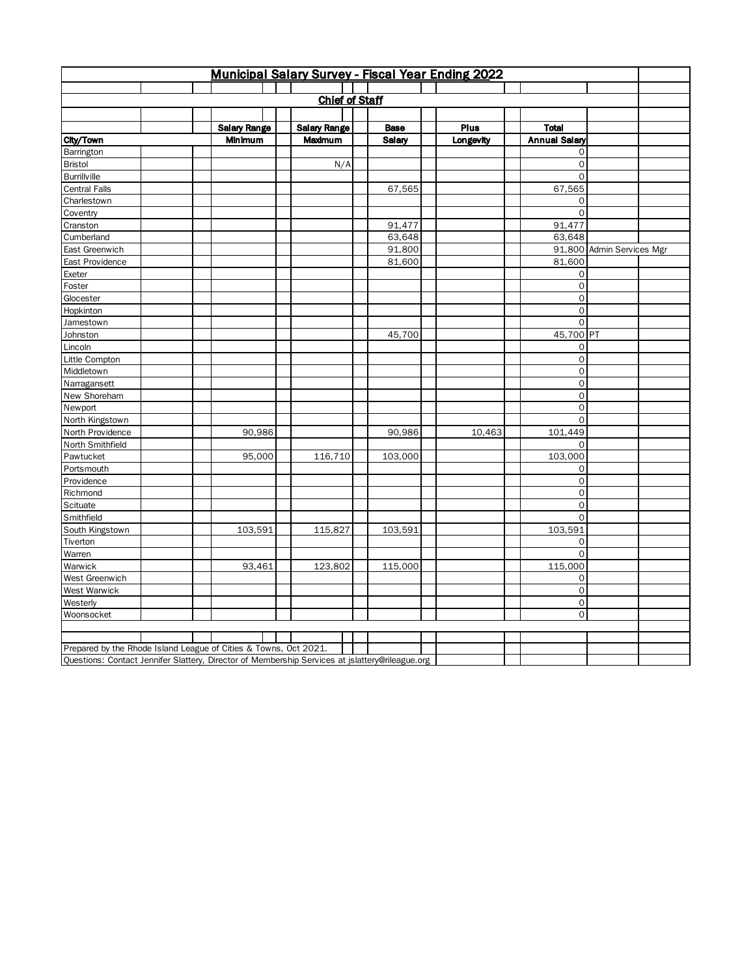|                                                                  | Municipal Salary Survey - Fiscal Year Ending 2022                                               |                       |             |           |                      |                           |  |
|------------------------------------------------------------------|-------------------------------------------------------------------------------------------------|-----------------------|-------------|-----------|----------------------|---------------------------|--|
|                                                                  |                                                                                                 | <b>Chief of Staff</b> |             |           |                      |                           |  |
|                                                                  |                                                                                                 |                       |             |           |                      |                           |  |
|                                                                  | <b>Salary Range</b>                                                                             | <b>Salary Range</b>   | <b>Base</b> | Plus      | <b>Total</b>         |                           |  |
| City/Town                                                        | Minimum                                                                                         | Maximum               | Salary      | Longevity | <b>Annual Salary</b> |                           |  |
| Barrington                                                       |                                                                                                 |                       |             |           | 0                    |                           |  |
| Bristol                                                          |                                                                                                 | N/A                   |             |           | 0                    |                           |  |
| <b>Burrillville</b>                                              |                                                                                                 |                       |             |           | 0                    |                           |  |
| <b>Central Falls</b>                                             |                                                                                                 |                       | 67,565      |           | 67,565               |                           |  |
| Charlestown                                                      |                                                                                                 |                       |             |           | 0                    |                           |  |
| Coventry                                                         |                                                                                                 |                       |             |           | 0                    |                           |  |
| Cranston                                                         |                                                                                                 |                       | 91,477      |           | 91,477               |                           |  |
| Cumberland                                                       |                                                                                                 |                       | 63,648      |           | 63,648               |                           |  |
| East Greenwich                                                   |                                                                                                 |                       | 91,800      |           |                      | 91,800 Admin Services Mgr |  |
| East Providence                                                  |                                                                                                 |                       | 81,600      |           | 81,600               |                           |  |
| Exeter                                                           |                                                                                                 |                       |             |           | 0                    |                           |  |
| Foster                                                           |                                                                                                 |                       |             |           | 0                    |                           |  |
| Glocester                                                        |                                                                                                 |                       |             |           | $\mathsf{O}\xspace$  |                           |  |
| Hopkinton                                                        |                                                                                                 |                       |             |           | 0                    |                           |  |
| Jamestown                                                        |                                                                                                 |                       |             |           | $\mathbf 0$          |                           |  |
| Johnston                                                         |                                                                                                 |                       | 45,700      |           | 45,700 PT            |                           |  |
| Lincoln                                                          |                                                                                                 |                       |             |           | 0                    |                           |  |
| Little Compton                                                   |                                                                                                 |                       |             |           | $\mathsf{O}\xspace$  |                           |  |
| Middletown                                                       |                                                                                                 |                       |             |           | $\mathsf{O}\xspace$  |                           |  |
| Narragansett                                                     |                                                                                                 |                       |             |           | $\mathsf{O}\xspace$  |                           |  |
| New Shoreham                                                     |                                                                                                 |                       |             |           | $\mathsf{O}\xspace$  |                           |  |
| Newport                                                          |                                                                                                 |                       |             |           | $\overline{0}$       |                           |  |
| North Kingstown                                                  |                                                                                                 |                       |             |           | $\mathsf{O}\xspace$  |                           |  |
| North Providence                                                 | 90,986                                                                                          |                       | 90,986      | 10,463    | 101,449              |                           |  |
| North Smithfield                                                 |                                                                                                 |                       |             |           | 0                    |                           |  |
| Pawtucket                                                        | 95,000                                                                                          | 116,710               | 103,000     |           | 103,000              |                           |  |
| Portsmouth                                                       |                                                                                                 |                       |             |           | 0                    |                           |  |
| Providence                                                       |                                                                                                 |                       |             |           | $\mathsf{O}\xspace$  |                           |  |
| Richmond                                                         |                                                                                                 |                       |             |           | 0                    |                           |  |
| Scituate                                                         |                                                                                                 |                       |             |           | $\mathbf 0$          |                           |  |
| Smithfield                                                       |                                                                                                 |                       |             |           | $\mathbf 0$          |                           |  |
| South Kingstown                                                  | 103,591                                                                                         | 115,827               | 103,591     |           | 103,591              |                           |  |
| Tiverton                                                         |                                                                                                 |                       |             |           | 0                    |                           |  |
| Warren                                                           |                                                                                                 |                       |             |           | $\mathbf 0$          |                           |  |
| Warwick                                                          | 93,461                                                                                          | 123,802               | 115,000     |           | 115,000              |                           |  |
| West Greenwich                                                   |                                                                                                 |                       |             |           | $\mathbf 0$          |                           |  |
| West Warwick                                                     |                                                                                                 |                       |             |           | 0                    |                           |  |
| Westerly                                                         |                                                                                                 |                       |             |           | 0                    |                           |  |
| Woonsocket                                                       |                                                                                                 |                       |             |           | 0                    |                           |  |
|                                                                  |                                                                                                 |                       |             |           |                      |                           |  |
|                                                                  |                                                                                                 |                       |             |           |                      |                           |  |
| Prepared by the Rhode Island League of Cities & Towns, Oct 2021. | Questions: Contact Jennifer Slattery, Director of Membership Services at jslattery@rileague.org |                       |             |           |                      |                           |  |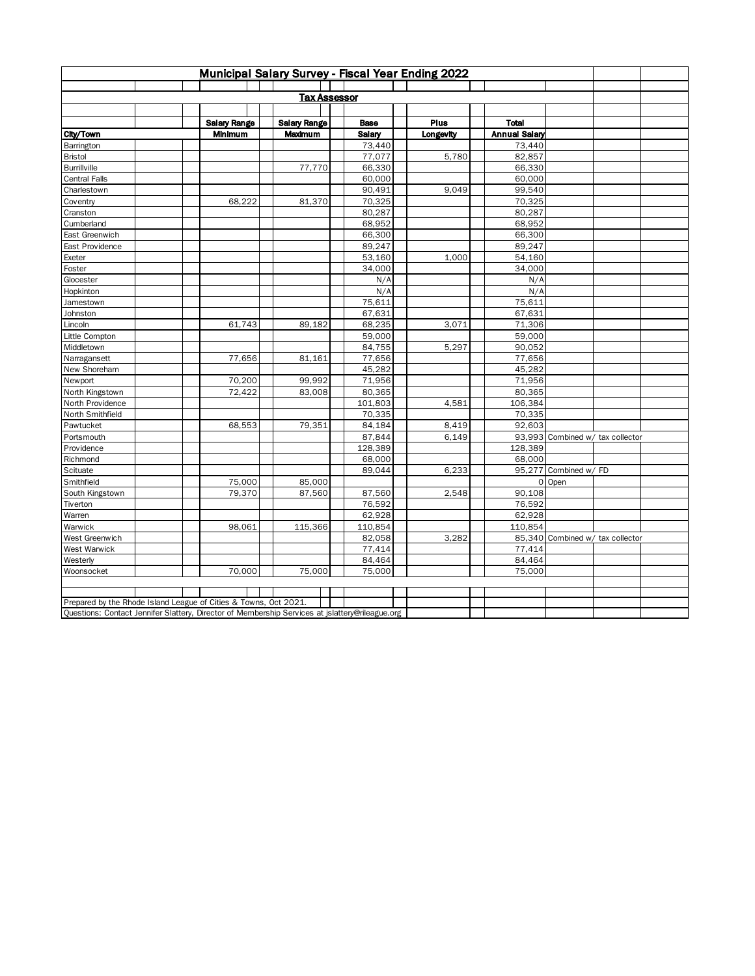|                                                                                                 | Municipal Salary Survey - Fiscal Year Ending 2022 |                     |             |           |                      |                                  |  |
|-------------------------------------------------------------------------------------------------|---------------------------------------------------|---------------------|-------------|-----------|----------------------|----------------------------------|--|
|                                                                                                 |                                                   |                     |             |           |                      |                                  |  |
|                                                                                                 |                                                   | <b>Tax Assessor</b> |             |           |                      |                                  |  |
|                                                                                                 |                                                   |                     |             |           |                      |                                  |  |
|                                                                                                 | <b>Salary Range</b>                               | <b>Salary Range</b> | <b>Base</b> | Plus      | <b>Total</b>         |                                  |  |
| City/Town                                                                                       | <b>Minimum</b>                                    | Maximum             | Salary      | Longevity | <b>Annual Salary</b> |                                  |  |
| Barrington                                                                                      |                                                   |                     | 73,440      |           | 73,440               |                                  |  |
| <b>Bristol</b>                                                                                  |                                                   |                     | 77,077      | 5,780     | 82,857               |                                  |  |
| <b>Burrillville</b>                                                                             |                                                   | 77,770              | 66,330      |           | 66,330               |                                  |  |
| <b>Central Falls</b>                                                                            |                                                   |                     | 60,000      |           | 60,000               |                                  |  |
| Charlestown                                                                                     |                                                   |                     | 90,491      | 9.049     | 99,540               |                                  |  |
| Coventry                                                                                        | 68,222                                            | 81,370              | 70,325      |           | 70,325               |                                  |  |
| Cranston                                                                                        |                                                   |                     | 80,287      |           | 80,287               |                                  |  |
| Cumberland                                                                                      |                                                   |                     | 68,952      |           | 68,952               |                                  |  |
| East Greenwich                                                                                  |                                                   |                     | 66,300      |           | 66,300               |                                  |  |
| East Providence                                                                                 |                                                   |                     | 89,247      |           | 89,247               |                                  |  |
| Exeter                                                                                          |                                                   |                     | 53,160      | 1,000     | 54,160               |                                  |  |
| Foster                                                                                          |                                                   |                     | 34,000      |           | 34,000               |                                  |  |
| Glocester                                                                                       |                                                   |                     | N/A         |           | N/A                  |                                  |  |
| Hopkinton                                                                                       |                                                   |                     | N/A         |           | N/A                  |                                  |  |
| Jamestown                                                                                       |                                                   |                     | 75,611      |           | 75,611               |                                  |  |
| Johnston                                                                                        |                                                   |                     | 67,631      |           | 67,631               |                                  |  |
| Lincoln                                                                                         | 61,743                                            | 89,182              | 68,235      | 3,071     | 71,306               |                                  |  |
| Little Compton                                                                                  |                                                   |                     | 59,000      |           | 59,000               |                                  |  |
| Middletown                                                                                      |                                                   |                     | 84,755      | 5,297     | 90,052               |                                  |  |
| Narragansett                                                                                    | 77,656                                            | 81,161              | 77,656      |           | 77,656               |                                  |  |
| New Shoreham                                                                                    |                                                   |                     | 45,282      |           | 45,282               |                                  |  |
| Newport                                                                                         | 70,200                                            | 99,992              | 71,956      |           | 71,956               |                                  |  |
| North Kingstown                                                                                 | 72,422                                            | 83,008              | 80,365      |           | 80,365               |                                  |  |
| North Providence                                                                                |                                                   |                     | 101,803     | 4,581     | 106,384              |                                  |  |
| North Smithfield                                                                                |                                                   |                     | 70,335      |           | 70,335               |                                  |  |
| Pawtucket                                                                                       | 68,553                                            | 79,351              | 84,184      | 8,419     | 92,603               |                                  |  |
| Portsmouth                                                                                      |                                                   |                     | 87,844      | 6,149     |                      | 93,993 Combined w/ tax collector |  |
| Providence                                                                                      |                                                   |                     | 128,389     |           | 128,389              |                                  |  |
| Richmond                                                                                        |                                                   |                     | 68,000      |           | 68,000               |                                  |  |
| Scituate                                                                                        |                                                   |                     | 89,044      | 6,233     |                      | 95,277 Combined w/ FD            |  |
| Smithfield                                                                                      | 75,000                                            | 85,000              |             |           |                      | 0 Open                           |  |
| South Kingstown                                                                                 | 79,370                                            | 87,560              | 87,560      | 2,548     | 90,108               |                                  |  |
| Tiverton                                                                                        |                                                   |                     | 76,592      |           | 76,592               |                                  |  |
| Warren                                                                                          |                                                   |                     | 62,928      |           | 62,928               |                                  |  |
| Warwick                                                                                         | 98,061                                            | 115,366             | 110,854     |           | 110,854              |                                  |  |
| West Greenwich                                                                                  |                                                   |                     | 82,058      | 3,282     |                      | 85,340 Combined w/ tax collector |  |
| West Warwick                                                                                    |                                                   |                     | 77,414      |           | 77,414               |                                  |  |
| Westerly                                                                                        |                                                   |                     | 84,464      |           | 84,464               |                                  |  |
| Woonsocket                                                                                      | 70,000                                            | 75,000              | 75,000      |           | 75,000               |                                  |  |
|                                                                                                 |                                                   |                     |             |           |                      |                                  |  |
| Prepared by the Rhode Island League of Cities & Towns, Oct 2021.                                |                                                   |                     |             |           |                      |                                  |  |
| Questions: Contact Jennifer Slattery, Director of Membership Services at jslattery@rileague.org |                                                   |                     |             |           |                      |                                  |  |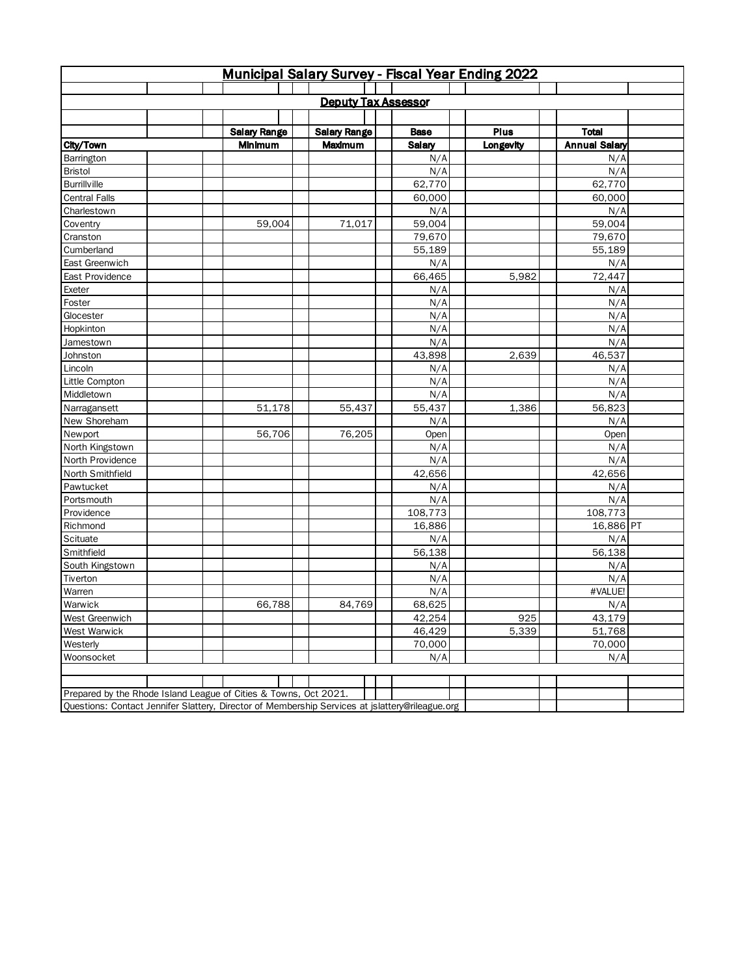|                           |                                                                                                 |                            |               | <b>Municipal Salary Survey - Fiscal Year Ending 2022</b> |                      |  |
|---------------------------|-------------------------------------------------------------------------------------------------|----------------------------|---------------|----------------------------------------------------------|----------------------|--|
|                           |                                                                                                 |                            |               |                                                          |                      |  |
|                           |                                                                                                 | <b>Deputy Tax Assessor</b> |               |                                                          |                      |  |
|                           |                                                                                                 |                            |               |                                                          |                      |  |
|                           | <b>Salary Range</b>                                                                             | <b>Salary Range</b>        | <b>Base</b>   | Plus                                                     | <b>Total</b>         |  |
| City/Town                 | <b>Minimum</b>                                                                                  | Maximum                    | <b>Salary</b> | Longevity                                                | <b>Annual Salary</b> |  |
| Barrington                |                                                                                                 |                            | N/A           |                                                          | N/A                  |  |
| Bristol                   |                                                                                                 |                            | N/A           |                                                          | N/A                  |  |
| <b>Burrillville</b>       |                                                                                                 |                            | 62,770        |                                                          | 62,770               |  |
| <b>Central Falls</b>      |                                                                                                 |                            | 60,000        |                                                          | 60,000               |  |
| Charlestown               |                                                                                                 |                            | N/A           |                                                          | N/A                  |  |
| Coventry                  | 59,004                                                                                          | 71,017                     | 59,004        |                                                          | 59,004               |  |
| Cranston                  |                                                                                                 |                            | 79,670        |                                                          | 79,670               |  |
| Cumberland                |                                                                                                 |                            | 55,189        |                                                          | 55,189               |  |
| East Greenwich            |                                                                                                 |                            | N/A           |                                                          | N/A                  |  |
| East Providence           |                                                                                                 |                            | 66,465        | 5,982                                                    | 72,447               |  |
| Exeter                    |                                                                                                 |                            | N/A           |                                                          | N/A                  |  |
| Foster                    |                                                                                                 |                            | N/A           |                                                          | N/A                  |  |
| Glocester                 |                                                                                                 |                            | N/A           |                                                          | N/A                  |  |
| Hopkinton                 |                                                                                                 |                            | N/A           |                                                          | N/A                  |  |
| Jamestown                 |                                                                                                 |                            | N/A           |                                                          | N/A                  |  |
| Johnston                  |                                                                                                 |                            | 43,898        | 2,639                                                    | 46,537               |  |
| Lincoln                   |                                                                                                 |                            | N/A           |                                                          | N/A                  |  |
| Little Compton            |                                                                                                 |                            | N/A           |                                                          | N/A                  |  |
| Middletown                |                                                                                                 |                            | N/A           |                                                          | N/A                  |  |
| Narragansett              | 51,178                                                                                          | 55,437                     | 55,437        | 1,386                                                    | 56,823               |  |
| New Shoreham              |                                                                                                 |                            | N/A           |                                                          | N/A                  |  |
| Newport                   | 56,706                                                                                          | 76,205                     | Open          |                                                          | Open                 |  |
| North Kingstown           |                                                                                                 |                            | N/A           |                                                          | N/A                  |  |
| North Providence          |                                                                                                 |                            | N/A           |                                                          | N/A                  |  |
| North Smithfield          |                                                                                                 |                            | 42,656        |                                                          | 42,656               |  |
| Pawtucket                 |                                                                                                 |                            | N/A           |                                                          | N/A                  |  |
| Portsmouth                |                                                                                                 |                            | N/A           |                                                          | N/A                  |  |
| Providence                |                                                                                                 |                            | 108,773       |                                                          | 108,773              |  |
| Richmond                  |                                                                                                 |                            | 16,886        |                                                          | 16,886 PT            |  |
| Scituate                  |                                                                                                 |                            | N/A           |                                                          | N/A                  |  |
| Smithfield                |                                                                                                 |                            | 56,138        |                                                          | 56,138               |  |
| South Kingstown           |                                                                                                 |                            | N/A           |                                                          | N/A                  |  |
| Tiverton                  |                                                                                                 |                            | N/A           |                                                          | N/A                  |  |
| Warren                    |                                                                                                 |                            | N/A<br>68,625 |                                                          | #VALUE!              |  |
| Warwick<br>West Greenwich | 66,788                                                                                          | 84,769                     | 42,254        |                                                          | N/A<br>43,179        |  |
| West Warwick              |                                                                                                 |                            | 46,429        | 925<br>5,339                                             | 51,768               |  |
|                           |                                                                                                 |                            |               |                                                          |                      |  |
| Westerly<br>Woonsocket    |                                                                                                 |                            | 70,000<br>N/A |                                                          | 70,000<br>N/A        |  |
|                           |                                                                                                 |                            |               |                                                          |                      |  |
|                           |                                                                                                 |                            |               |                                                          |                      |  |
|                           | Prepared by the Rhode Island League of Cities & Towns, Oct 2021.                                |                            |               |                                                          |                      |  |
|                           | Questions: Contact Jennifer Slattery, Director of Membership Services at jslattery@rileague.org |                            |               |                                                          |                      |  |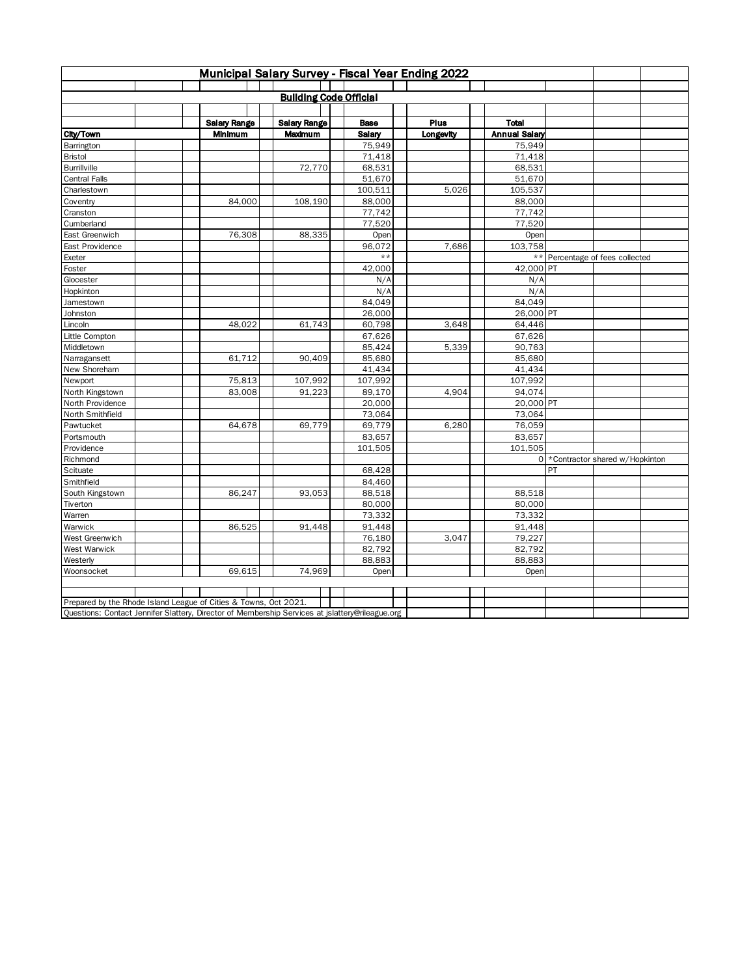|                                                                                                 |  |                     |                               |             | Municipal Salary Survey - Fiscal Year Ending 2022 |                      |    |                                              |  |
|-------------------------------------------------------------------------------------------------|--|---------------------|-------------------------------|-------------|---------------------------------------------------|----------------------|----|----------------------------------------------|--|
|                                                                                                 |  |                     |                               |             |                                                   |                      |    |                                              |  |
|                                                                                                 |  |                     | <b>Building Code Official</b> |             |                                                   |                      |    |                                              |  |
|                                                                                                 |  |                     |                               |             |                                                   |                      |    |                                              |  |
|                                                                                                 |  | <b>Salary Range</b> | <b>Salary Range</b>           | <b>Base</b> | Plus                                              | <b>Total</b>         |    |                                              |  |
| City/Town                                                                                       |  | <b>Minimum</b>      | Maximum                       | Salary      | Longevity                                         | <b>Annual Salary</b> |    |                                              |  |
| Barrington                                                                                      |  |                     |                               | 75,949      |                                                   | 75,949               |    |                                              |  |
| <b>Bristol</b>                                                                                  |  |                     |                               | 71,418      |                                                   | 71,418               |    |                                              |  |
| <b>Burrillville</b>                                                                             |  |                     | 72,770                        | 68,531      |                                                   | 68,531               |    |                                              |  |
| <b>Central Falls</b>                                                                            |  |                     |                               | 51,670      |                                                   | 51,670               |    |                                              |  |
| Charlestown                                                                                     |  |                     |                               | 100,511     | 5,026                                             | 105,537              |    |                                              |  |
| Coventry                                                                                        |  | 84,000              | 108,190                       | 88,000      |                                                   | 88,000               |    |                                              |  |
| Cranston                                                                                        |  |                     |                               | 77,742      |                                                   | 77,742               |    |                                              |  |
| Cumberland                                                                                      |  |                     |                               | 77,520      |                                                   | 77,520               |    |                                              |  |
| East Greenwich                                                                                  |  | 76,308              | 88,335                        | Open        |                                                   | Open                 |    |                                              |  |
| East Providence                                                                                 |  |                     |                               | 96,072      | 7,686                                             | 103,758              |    |                                              |  |
| Exeter                                                                                          |  |                     |                               | $* *$       |                                                   |                      |    | ** Percentage of fees collected              |  |
| Foster                                                                                          |  |                     |                               | 42,000      |                                                   | 42,000 PT            |    |                                              |  |
| Glocester                                                                                       |  |                     |                               | N/A         |                                                   | N/A                  |    |                                              |  |
| Hopkinton                                                                                       |  |                     |                               | N/A         |                                                   | N/A                  |    |                                              |  |
| Jamestown                                                                                       |  |                     |                               | 84,049      |                                                   | 84,049               |    |                                              |  |
| Johnston                                                                                        |  |                     |                               | 26,000      |                                                   | 26,000 PT            |    |                                              |  |
| Lincoln                                                                                         |  | 48,022              | 61,743                        | 60,798      | 3,648                                             | 64,446               |    |                                              |  |
| Little Compton                                                                                  |  |                     |                               | 67,626      |                                                   | 67,626               |    |                                              |  |
| Middletown                                                                                      |  |                     |                               | 85,424      | 5,339                                             | 90,763               |    |                                              |  |
| Narragansett                                                                                    |  | 61,712              | 90,409                        | 85,680      |                                                   | 85,680               |    |                                              |  |
| New Shoreham                                                                                    |  |                     |                               | 41,434      |                                                   | 41,434               |    |                                              |  |
| Newport                                                                                         |  | 75,813              | 107,992                       | 107,992     |                                                   | 107,992              |    |                                              |  |
| North Kingstown                                                                                 |  | 83,008              | 91,223                        | 89,170      | 4,904                                             | 94,074               |    |                                              |  |
| North Providence                                                                                |  |                     |                               | 20,000      |                                                   | 20,000 PT            |    |                                              |  |
| North Smithfield                                                                                |  |                     |                               | 73,064      |                                                   | 73,064               |    |                                              |  |
| Pawtucket                                                                                       |  | 64,678              | 69,779                        | 69,779      | 6,280                                             | 76,059               |    |                                              |  |
| Portsmouth                                                                                      |  |                     |                               | 83,657      |                                                   | 83,657               |    |                                              |  |
| Providence                                                                                      |  |                     |                               | 101,505     |                                                   | 101,505              |    |                                              |  |
| Richmond                                                                                        |  |                     |                               |             |                                                   |                      |    | 0 <sup>*</sup> Contractor shared w/Hopkinton |  |
| Scituate                                                                                        |  |                     |                               | 68,428      |                                                   |                      | PT |                                              |  |
| Smithfield                                                                                      |  |                     |                               | 84,460      |                                                   |                      |    |                                              |  |
| South Kingstown                                                                                 |  | 86,247              | 93,053                        | 88,518      |                                                   | 88,518               |    |                                              |  |
| Tiverton                                                                                        |  |                     |                               | 80,000      |                                                   | 80,000               |    |                                              |  |
| Warren                                                                                          |  |                     |                               | 73,332      |                                                   | 73,332               |    |                                              |  |
| Warwick                                                                                         |  | 86,525              | 91,448                        | 91,448      |                                                   | 91,448               |    |                                              |  |
| West Greenwich                                                                                  |  |                     |                               | 76,180      | 3,047                                             | 79,227               |    |                                              |  |
| West Warwick                                                                                    |  |                     |                               | 82,792      |                                                   | 82,792               |    |                                              |  |
| Westerly                                                                                        |  |                     |                               | 88,883      |                                                   | 88,883               |    |                                              |  |
| Woonsocket                                                                                      |  | 69,615              | 74,969                        | Open        |                                                   | Open                 |    |                                              |  |
|                                                                                                 |  |                     |                               |             |                                                   |                      |    |                                              |  |
| Prepared by the Rhode Island League of Cities & Towns, Oct 2021.                                |  |                     |                               |             |                                                   |                      |    |                                              |  |
| Questions: Contact Jennifer Slattery, Director of Membership Services at jslattery@rileague.org |  |                     |                               |             |                                                   |                      |    |                                              |  |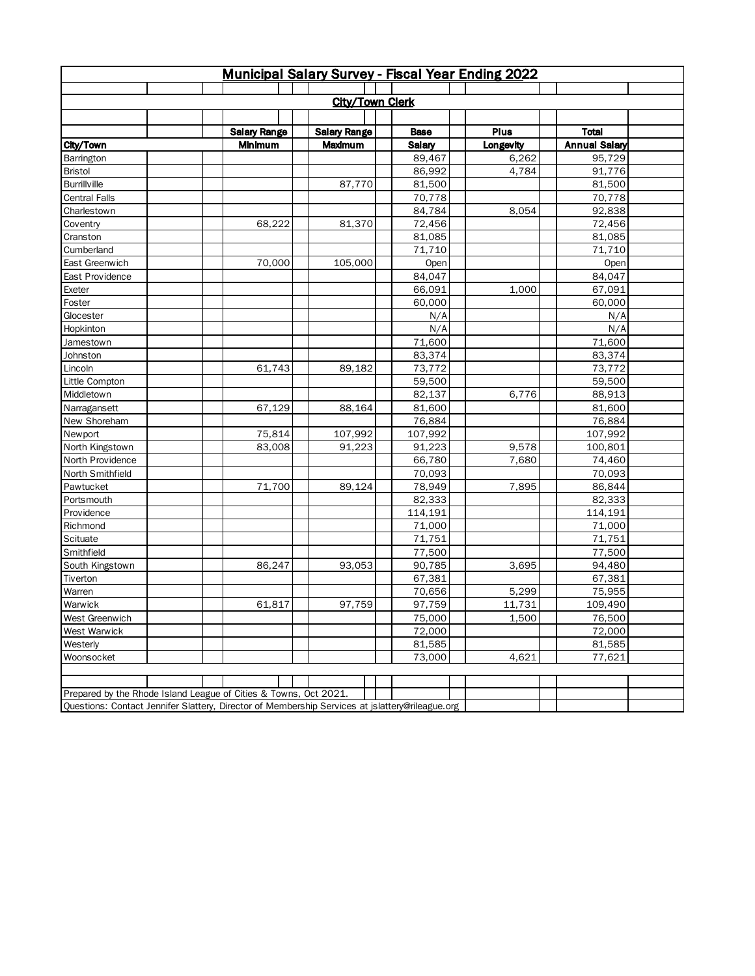|                      |                                                                                                 | <b>Municipal Salary Survey - Fiscal Year Ending 2022</b> |               |             |                      |  |
|----------------------|-------------------------------------------------------------------------------------------------|----------------------------------------------------------|---------------|-------------|----------------------|--|
|                      |                                                                                                 |                                                          |               |             |                      |  |
|                      |                                                                                                 | <b>City/Town Clerk</b>                                   |               |             |                      |  |
|                      |                                                                                                 |                                                          |               |             |                      |  |
|                      | <b>Salary Range</b>                                                                             | <b>Salary Range</b>                                      | <b>Base</b>   | <b>Plus</b> | <b>Total</b>         |  |
| City/Town            | <b>Minimum</b>                                                                                  | Maximum                                                  | <b>Salary</b> | Longevity   | <b>Annual Salary</b> |  |
| Barrington           |                                                                                                 |                                                          | 89,467        | 6,262       | 95,729               |  |
| <b>Bristol</b>       |                                                                                                 |                                                          | 86,992        | 4,784       | 91,776               |  |
| <b>Burrillville</b>  |                                                                                                 | 87,770                                                   | 81,500        |             | 81,500               |  |
| <b>Central Falls</b> |                                                                                                 |                                                          | 70,778        |             | 70,778               |  |
| Charlestown          |                                                                                                 |                                                          | 84,784        | 8,054       | 92,838               |  |
| Coventry             | 68,222                                                                                          | 81,370                                                   | 72,456        |             | 72,456               |  |
| Cranston             |                                                                                                 |                                                          | 81,085        |             | 81,085               |  |
| Cumberland           |                                                                                                 |                                                          | 71,710        |             | 71,710               |  |
| East Greenwich       | 70,000                                                                                          | 105,000                                                  | Open          |             | Open                 |  |
| East Providence      |                                                                                                 |                                                          | 84,047        |             | 84,047               |  |
| Exeter               |                                                                                                 |                                                          | 66,091        | 1,000       | 67,091               |  |
| Foster               |                                                                                                 |                                                          | 60,000        |             | 60,000               |  |
| Glocester            |                                                                                                 |                                                          | N/A           |             | N/A                  |  |
| Hopkinton            |                                                                                                 |                                                          | N/A           |             | N/A                  |  |
| Jamestown            |                                                                                                 |                                                          | 71,600        |             | 71,600               |  |
| Johnston             |                                                                                                 |                                                          | 83,374        |             | 83,374               |  |
| Lincoln              | 61,743                                                                                          | 89,182                                                   | 73,772        |             | 73,772               |  |
| Little Compton       |                                                                                                 |                                                          | 59,500        |             | 59,500               |  |
| Middletown           |                                                                                                 |                                                          | 82,137        | 6,776       | 88,913               |  |
| Narragansett         | 67,129                                                                                          | 88,164                                                   | 81,600        |             | 81,600               |  |
| New Shoreham         |                                                                                                 |                                                          | 76,884        |             | 76,884               |  |
| Newport              | 75,814                                                                                          | 107,992                                                  | 107,992       |             | 107,992              |  |
| North Kingstown      | 83,008                                                                                          | 91,223                                                   | 91,223        | 9,578       | 100,801              |  |
| North Providence     |                                                                                                 |                                                          | 66,780        | 7,680       | 74,460               |  |
| North Smithfield     |                                                                                                 |                                                          | 70,093        |             | 70,093               |  |
| Pawtucket            | 71,700                                                                                          | 89,124                                                   | 78,949        | 7,895       | 86,844               |  |
| Portsmouth           |                                                                                                 |                                                          | 82,333        |             | 82,333               |  |
| Providence           |                                                                                                 |                                                          | 114,191       |             | 114,191              |  |
| Richmond             |                                                                                                 |                                                          | 71,000        |             | 71,000               |  |
| Scituate             |                                                                                                 |                                                          | 71,751        |             | 71,751               |  |
| Smithfield           |                                                                                                 |                                                          | 77,500        |             | 77,500               |  |
| South Kingstown      | 86,247                                                                                          | 93,053                                                   | 90,785        | 3,695       | 94,480               |  |
| Tiverton             |                                                                                                 |                                                          | 67,381        |             | 67,381               |  |
| Warren               |                                                                                                 |                                                          | 70,656        | 5,299       | 75,955               |  |
| Warwick              | 61,817                                                                                          | 97,759                                                   | 97,759        | 11,731      | 109,490              |  |
| West Greenwich       |                                                                                                 |                                                          | 75,000        | 1,500       | 76,500               |  |
| West Warwick         |                                                                                                 |                                                          | 72,000        |             | 72,000               |  |
| Westerly             |                                                                                                 |                                                          | 81,585        |             | 81,585               |  |
| Woonsocket           |                                                                                                 |                                                          | 73,000        | 4,621       | 77,621               |  |
|                      |                                                                                                 |                                                          |               |             |                      |  |
|                      | Prepared by the Rhode Island League of Cities & Towns, Oct 2021.                                |                                                          |               |             |                      |  |
|                      | Questions: Contact Jennifer Slattery, Director of Membership Services at jslattery@rileague.org |                                                          |               |             |                      |  |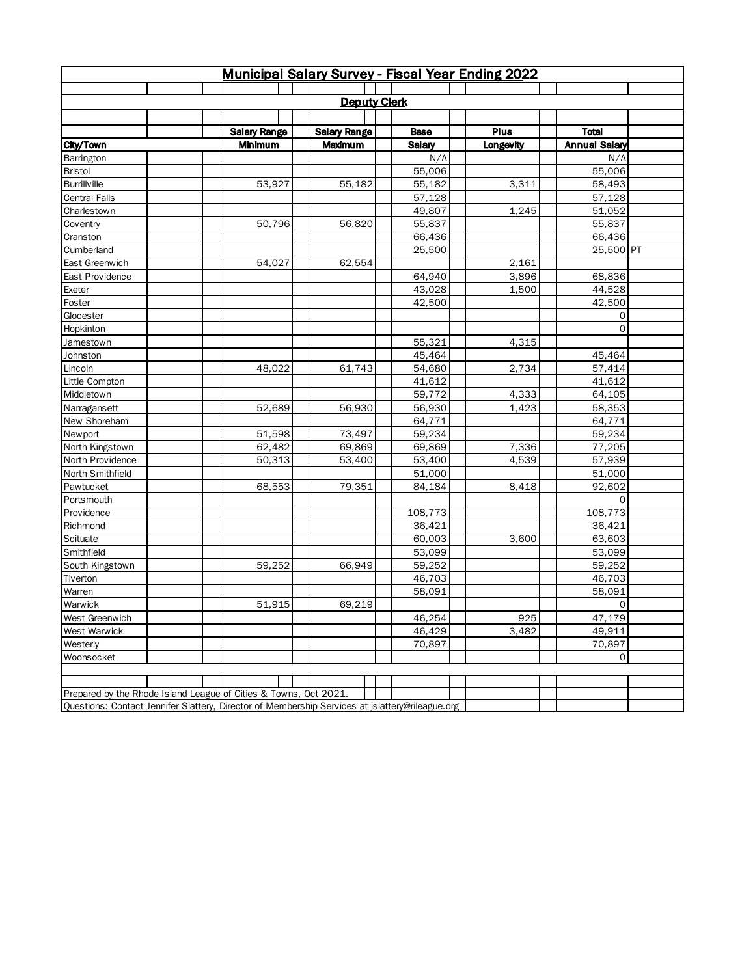|                                                                                                 |                     | Municipal Salary Survey - Fiscal Year Ending 2022 |               |           |                      |  |
|-------------------------------------------------------------------------------------------------|---------------------|---------------------------------------------------|---------------|-----------|----------------------|--|
|                                                                                                 |                     |                                                   |               |           |                      |  |
|                                                                                                 |                     | <b>Deputy Clerk</b>                               |               |           |                      |  |
|                                                                                                 |                     |                                                   |               |           |                      |  |
|                                                                                                 | <b>Salary Range</b> | <b>Salary Range</b>                               | <b>Base</b>   | Pius      | <b>Total</b>         |  |
| City/Town                                                                                       | <b>Minimum</b>      | Maximum                                           | <b>Salary</b> | Longevity | <b>Annual Salary</b> |  |
| Barrington                                                                                      |                     |                                                   | N/A           |           | N/A                  |  |
| <b>Bristol</b>                                                                                  |                     |                                                   | 55,006        |           | 55,006               |  |
| <b>Burrillville</b>                                                                             | 53,927              | 55,182                                            | 55,182        | 3,311     | 58,493               |  |
| <b>Central Falls</b>                                                                            |                     |                                                   | 57,128        |           | 57,128               |  |
| Charlestown                                                                                     |                     |                                                   | 49,807        | 1,245     | 51,052               |  |
| Coventry                                                                                        | 50,796              | 56,820                                            | 55,837        |           | 55,837               |  |
| Cranston                                                                                        |                     |                                                   | 66,436        |           | 66,436               |  |
| Cumberland                                                                                      |                     |                                                   | 25,500        |           | 25,500 PT            |  |
| East Greenwich                                                                                  | 54,027              | 62,554                                            |               | 2,161     |                      |  |
| East Providence                                                                                 |                     |                                                   | 64,940        | 3,896     | 68,836               |  |
| Exeter                                                                                          |                     |                                                   | 43,028        | 1,500     | 44,528               |  |
| Foster                                                                                          |                     |                                                   | 42,500        |           | 42,500               |  |
| Glocester                                                                                       |                     |                                                   |               |           | 0                    |  |
| Hopkinton                                                                                       |                     |                                                   |               |           | 0                    |  |
| Jamestown                                                                                       |                     |                                                   | 55,321        | 4,315     |                      |  |
| Johnston                                                                                        |                     |                                                   | 45,464        |           | 45,464               |  |
| Lincoln                                                                                         | 48,022              | 61,743                                            | 54,680        | 2,734     | 57,414               |  |
| Little Compton                                                                                  |                     |                                                   | 41,612        |           | 41,612               |  |
| Middletown                                                                                      |                     |                                                   | 59,772        | 4,333     | 64,105               |  |
| Narragansett                                                                                    | 52,689              | 56,930                                            | 56,930        | 1,423     | 58,353               |  |
| New Shoreham                                                                                    |                     |                                                   | 64,771        |           | 64,771               |  |
| Newport                                                                                         | 51,598              | 73,497                                            | 59,234        |           | 59,234               |  |
| North Kingstown                                                                                 | 62,482              | 69,869                                            | 69,869        | 7,336     | 77,205               |  |
| North Providence                                                                                | 50,313              | 53,400                                            | 53,400        | 4,539     | 57,939               |  |
| North Smithfield                                                                                |                     |                                                   | 51,000        |           | 51,000               |  |
| Pawtucket                                                                                       | 68,553              | 79,351                                            | 84,184        | 8,418     | 92,602               |  |
| Portsmouth                                                                                      |                     |                                                   |               |           | 0                    |  |
| Providence                                                                                      |                     |                                                   | 108,773       |           | 108,773              |  |
| Richmond                                                                                        |                     |                                                   | 36,421        |           | 36,421               |  |
| Scituate                                                                                        |                     |                                                   | 60,003        | 3,600     | 63,603               |  |
| Smithfield                                                                                      |                     |                                                   | 53,099        |           | 53,099               |  |
| South Kingstown                                                                                 | 59,252              | 66,949                                            | 59,252        |           | 59,252               |  |
| Tiverton                                                                                        |                     |                                                   | 46,703        |           | 46,703               |  |
| Warren                                                                                          |                     |                                                   | 58,091        |           | 58,091               |  |
| Warwick                                                                                         | 51,915              | 69,219                                            |               |           | 0                    |  |
| West Greenwich                                                                                  |                     |                                                   | 46,254        | 925       | 47,179               |  |
| West Warwick                                                                                    |                     |                                                   | 46,429        | 3,482     | 49,911               |  |
| Westerly                                                                                        |                     |                                                   | 70,897        |           | 70,897               |  |
| Woonsocket                                                                                      |                     |                                                   |               |           | 0                    |  |
|                                                                                                 |                     |                                                   |               |           |                      |  |
|                                                                                                 |                     |                                                   |               |           |                      |  |
| Prepared by the Rhode Island League of Cities & Towns, Oct 2021.                                |                     |                                                   |               |           |                      |  |
| Questions: Contact Jennifer Slattery, Director of Membership Services at jslattery@rileague.org |                     |                                                   |               |           |                      |  |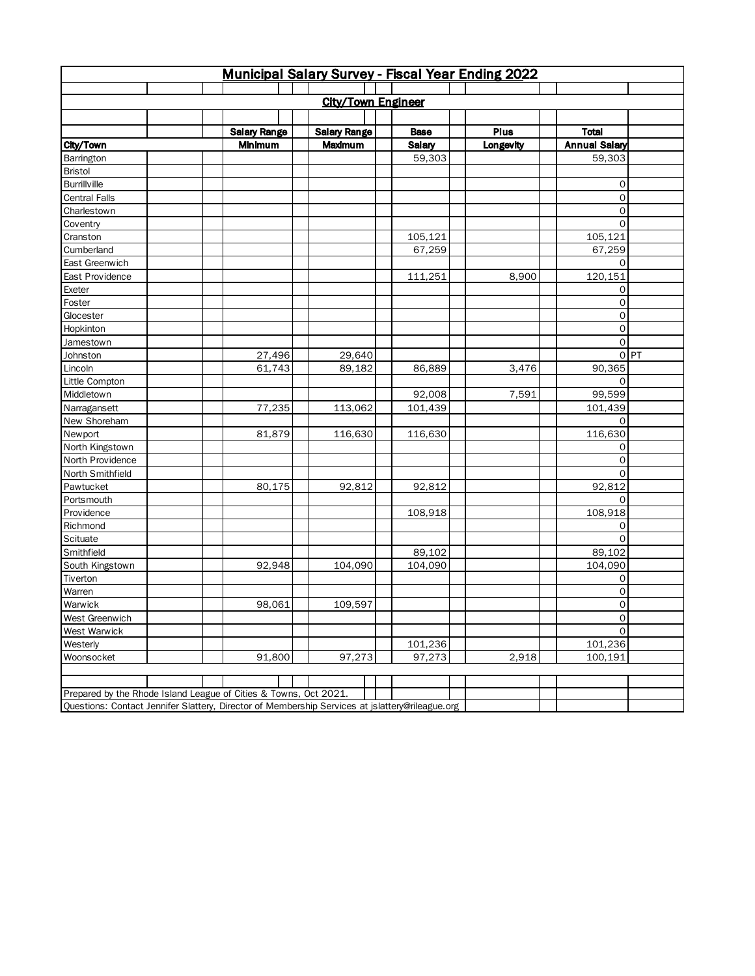|                                                                                                 |                     | Municipal Salary Survey - Fiscal Year Ending 2022 |                   |           |                      |      |
|-------------------------------------------------------------------------------------------------|---------------------|---------------------------------------------------|-------------------|-----------|----------------------|------|
|                                                                                                 |                     |                                                   |                   |           |                      |      |
|                                                                                                 |                     | <b>City/Town Engineer</b>                         |                   |           |                      |      |
|                                                                                                 |                     |                                                   |                   |           |                      |      |
|                                                                                                 | <b>Salary Range</b> | <b>Salary Range</b>                               | <b>Base</b>       | Plus      | <b>Total</b>         |      |
| City/Town                                                                                       | <b>Minimum</b>      | Maximum                                           | Salary            | Longevity | <b>Annual Salary</b> |      |
| Barrington                                                                                      |                     |                                                   | 59,303            |           | 59,303               |      |
| Bristol                                                                                         |                     |                                                   |                   |           |                      |      |
| <b>Burrillville</b>                                                                             |                     |                                                   |                   |           | 0                    |      |
| <b>Central Falls</b>                                                                            |                     |                                                   |                   |           | $\mathsf O$          |      |
| Charlestown                                                                                     |                     |                                                   |                   |           | 0                    |      |
| Coventry                                                                                        |                     |                                                   |                   |           | 0                    |      |
| Cranston                                                                                        |                     |                                                   | 105,121           |           | 105,121              |      |
| Cumberland                                                                                      |                     |                                                   | 67,259            |           | 67,259               |      |
| East Greenwich                                                                                  |                     |                                                   |                   |           | 0                    |      |
| East Providence                                                                                 |                     |                                                   | 111,251           | 8,900     | 120,151              |      |
| Exeter                                                                                          |                     |                                                   |                   |           | 0                    |      |
| Foster                                                                                          |                     |                                                   |                   |           | 0                    |      |
| Glocester                                                                                       |                     |                                                   |                   |           | 0                    |      |
| Hopkinton                                                                                       |                     |                                                   |                   |           | $\mathsf O$          |      |
| Jamestown                                                                                       |                     |                                                   |                   |           | $\mathsf{O}$         |      |
| Johnston                                                                                        | 27,496              | 29,640                                            |                   |           |                      | 0 PT |
| Lincoln                                                                                         | 61,743              | 89,182                                            | 86,889            | 3,476     | 90,365               |      |
| Little Compton                                                                                  |                     |                                                   |                   |           | 0                    |      |
| Middletown                                                                                      |                     |                                                   | 92,008            | 7,591     | 99,599               |      |
| Narragansett                                                                                    | 77,235              | 113,062                                           | 101,439           |           | 101,439              |      |
| New Shoreham                                                                                    |                     |                                                   |                   |           | 0                    |      |
| Newport                                                                                         | 81,879              | 116,630                                           | 116,630           |           | 116,630              |      |
| North Kingstown                                                                                 |                     |                                                   |                   |           | 0                    |      |
| North Providence                                                                                |                     |                                                   |                   |           | 0                    |      |
| North Smithfield                                                                                |                     |                                                   |                   |           | 0                    |      |
| Pawtucket                                                                                       | 80,175              | 92,812                                            | 92,812            |           | 92,812               |      |
| Portsmouth                                                                                      |                     |                                                   |                   |           | $\Omega$             |      |
| Providence                                                                                      |                     |                                                   | 108,918           |           | 108,918              |      |
| Richmond                                                                                        |                     |                                                   |                   |           | 0                    |      |
| Scituate                                                                                        |                     |                                                   |                   |           | 0                    |      |
| Smithfield                                                                                      |                     |                                                   | 89,102            |           | 89,102               |      |
| South Kingstown                                                                                 | 92,948              | 104,090                                           | 104,090           |           | 104,090              |      |
| Tiverton                                                                                        |                     |                                                   |                   |           | 0                    |      |
| Warren                                                                                          |                     |                                                   |                   |           | 0                    |      |
| Warwick                                                                                         | 98,061              | 109,597                                           |                   |           | 0                    |      |
| West Greenwich                                                                                  |                     |                                                   |                   |           | 0<br>$\mathbf 0$     |      |
| West Warwick                                                                                    |                     |                                                   |                   |           |                      |      |
| Westerly<br>Woonsocket                                                                          | 91,800              | 97,273                                            | 101,236<br>97,273 | 2,918     | 101,236<br>100,191   |      |
|                                                                                                 |                     |                                                   |                   |           |                      |      |
|                                                                                                 |                     |                                                   |                   |           |                      |      |
| Prepared by the Rhode Island League of Cities & Towns, Oct 2021.                                |                     |                                                   |                   |           |                      |      |
| Questions: Contact Jennifer Slattery, Director of Membership Services at jslattery@rileague.org |                     |                                                   |                   |           |                      |      |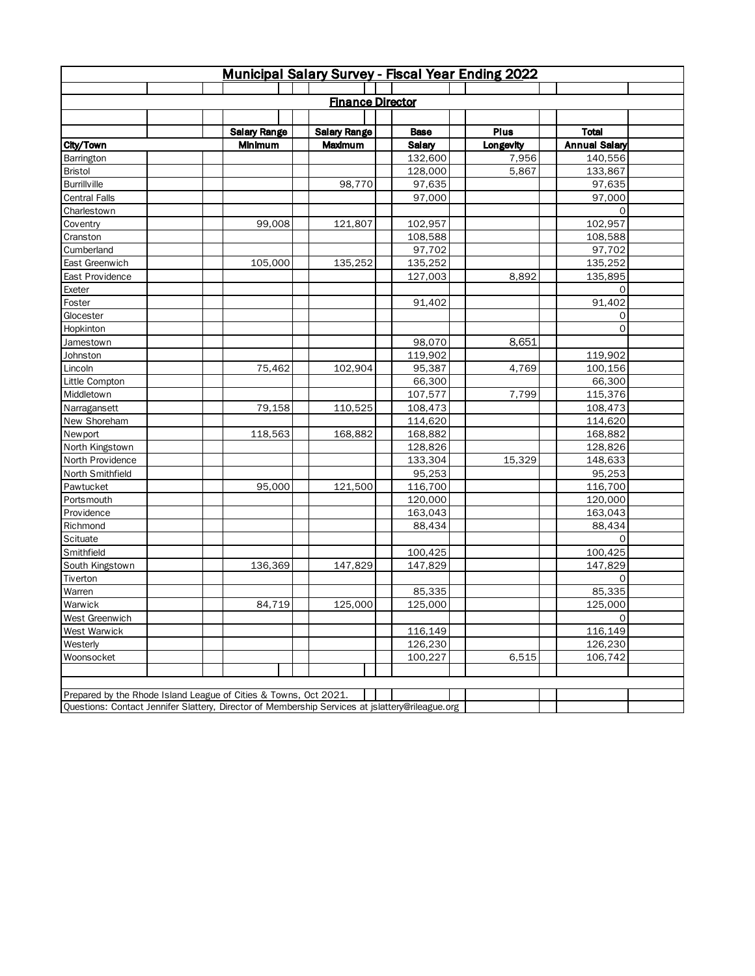|                      |                                                                  | <b>Finance Director</b> |               |           |                      |  |
|----------------------|------------------------------------------------------------------|-------------------------|---------------|-----------|----------------------|--|
|                      |                                                                  |                         |               |           |                      |  |
|                      | <b>Salary Range</b>                                              | <b>Salary Range</b>     | <b>Base</b>   | Plus      | <b>Total</b>         |  |
| City/Town            | <b>Minimum</b>                                                   | Maximum                 | <b>Salary</b> | Longevity | <b>Annual Salary</b> |  |
| Barrington           |                                                                  |                         | 132,600       | 7,956     | 140,556              |  |
| <b>Bristol</b>       |                                                                  |                         | 128,000       | 5,867     | 133,867              |  |
| <b>Burrillville</b>  |                                                                  | 98,770                  | 97,635        |           | 97,635               |  |
| <b>Central Falls</b> |                                                                  |                         | 97,000        |           | 97,000               |  |
| Charlestown          |                                                                  |                         |               |           | 0                    |  |
| Coventry             | 99,008                                                           | 121,807                 | 102,957       |           | 102,957              |  |
| Cranston             |                                                                  |                         | 108,588       |           | 108,588              |  |
| Cumberland           |                                                                  |                         | 97,702        |           | 97,702               |  |
| East Greenwich       | 105,000                                                          | 135,252                 | 135,252       |           | 135,252              |  |
| East Providence      |                                                                  |                         | 127,003       | 8,892     | 135,895              |  |
| Exeter               |                                                                  |                         |               |           | 0                    |  |
| Foster               |                                                                  |                         | 91,402        |           | 91,402               |  |
| Glocester            |                                                                  |                         |               |           | 0                    |  |
| Hopkinton            |                                                                  |                         |               |           | 0                    |  |
| Jamestown            |                                                                  |                         | 98,070        | 8,651     |                      |  |
| Johnston             |                                                                  |                         | 119,902       |           | 119,902              |  |
| Lincoln              | 75,462                                                           | 102,904                 | 95,387        | 4,769     | 100,156              |  |
| Little Compton       |                                                                  |                         | 66,300        |           | 66,300               |  |
| Middletown           |                                                                  |                         | 107,577       | 7,799     | 115,376              |  |
| Narragansett         | 79,158                                                           | 110,525                 | 108,473       |           | 108,473              |  |
| New Shoreham         |                                                                  |                         | 114,620       |           | 114,620              |  |
| Newport              | 118,563                                                          | 168,882                 | 168,882       |           | 168,882              |  |
| North Kingstown      |                                                                  |                         | 128,826       |           | 128,826              |  |
| North Providence     |                                                                  |                         | 133,304       | 15,329    | 148,633              |  |
| North Smithfield     |                                                                  |                         | 95,253        |           | 95,253               |  |
| Pawtucket            | 95,000                                                           | 121,500                 | 116,700       |           | 116,700              |  |
| Portsmouth           |                                                                  |                         | 120,000       |           | 120,000              |  |
| Providence           |                                                                  |                         | 163,043       |           | 163,043              |  |
| Richmond             |                                                                  |                         | 88,434        |           | 88,434               |  |
| Scituate             |                                                                  |                         |               |           | 0                    |  |
| Smithfield           |                                                                  |                         | 100,425       |           | 100,425              |  |
| South Kingstown      | 136,369                                                          | 147,829                 | 147,829       |           | 147,829              |  |
| Tiverton             |                                                                  |                         |               |           | 0                    |  |
| Warren               |                                                                  |                         | 85,335        |           | 85,335               |  |
| Warwick              | 84,719                                                           | 125,000                 | 125,000       |           | 125,000              |  |
| West Greenwich       |                                                                  |                         |               |           | $\mathsf{O}$         |  |
| West Warwick         |                                                                  |                         | 116,149       |           | 116,149              |  |
| Westerly             |                                                                  |                         | 126,230       |           | 126,230              |  |
| Woonsocket           |                                                                  |                         | 100,227       | 6,515     | 106,742              |  |
|                      |                                                                  |                         |               |           |                      |  |
|                      | Prepared by the Rhode Island League of Cities & Towns, Oct 2021. |                         |               |           |                      |  |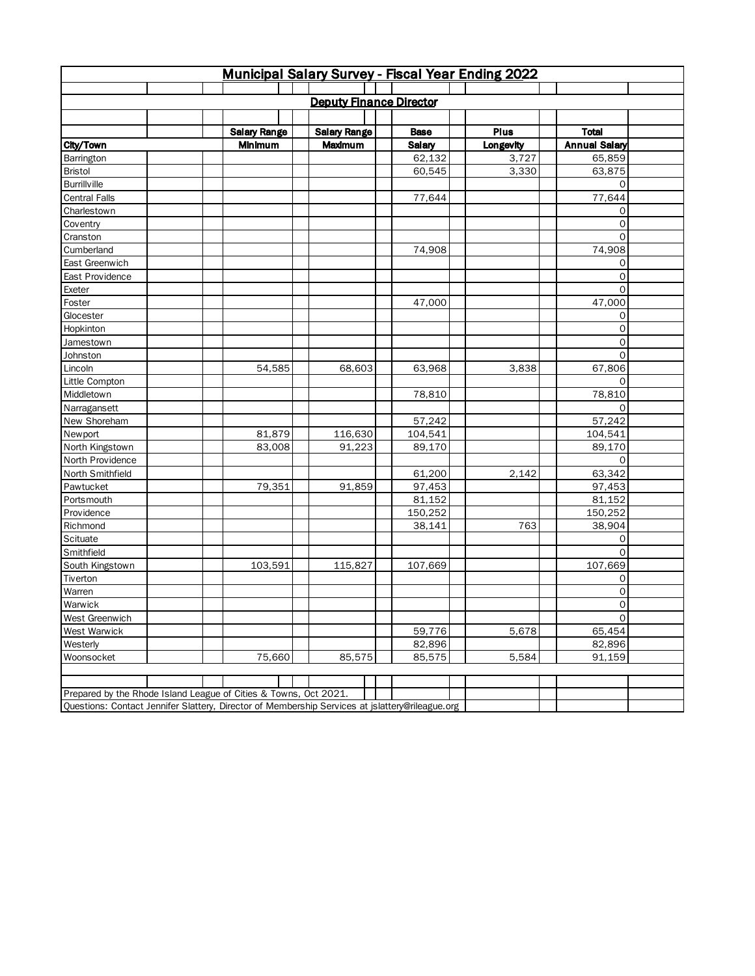|                                                                                                 |                     |                                |               | Municipal Salary Survey - Fiscal Year Ending 2022 |                      |  |
|-------------------------------------------------------------------------------------------------|---------------------|--------------------------------|---------------|---------------------------------------------------|----------------------|--|
|                                                                                                 |                     |                                |               |                                                   |                      |  |
|                                                                                                 |                     | <b>Deputy Finance Director</b> |               |                                                   |                      |  |
|                                                                                                 |                     |                                |               |                                                   |                      |  |
|                                                                                                 | <b>Salary Range</b> | <b>Salary Range</b>            | <b>Base</b>   | Plus                                              | <b>Total</b>         |  |
| City/Town                                                                                       | Minimum             | Maximum                        | <b>Salary</b> | Longevity                                         | <b>Annual Salary</b> |  |
| Barrington                                                                                      |                     |                                | 62,132        | 3,727                                             | 65,859               |  |
| Bristol                                                                                         |                     |                                | 60,545        | 3,330                                             | 63,875               |  |
| <b>Burrillville</b>                                                                             |                     |                                |               |                                                   | 0                    |  |
| <b>Central Falls</b>                                                                            |                     |                                | 77,644        |                                                   | 77,644               |  |
| Charlestown                                                                                     |                     |                                |               |                                                   | 0                    |  |
| Coventry                                                                                        |                     |                                |               |                                                   | 0                    |  |
| Cranston                                                                                        |                     |                                |               |                                                   | 0                    |  |
| Cumberland                                                                                      |                     |                                | 74,908        |                                                   | 74,908               |  |
| East Greenwich                                                                                  |                     |                                |               |                                                   | 0                    |  |
| East Providence                                                                                 |                     |                                |               |                                                   | 0                    |  |
| Exeter                                                                                          |                     |                                |               |                                                   | 0                    |  |
| Foster                                                                                          |                     |                                | 47,000        |                                                   | 47,000               |  |
| Glocester                                                                                       |                     |                                |               |                                                   | 0                    |  |
| Hopkinton                                                                                       |                     |                                |               |                                                   | 0                    |  |
| Jamestown                                                                                       |                     |                                |               |                                                   | $\mathsf{O}$         |  |
| Johnston                                                                                        |                     |                                |               |                                                   | 0                    |  |
| Lincoln                                                                                         | 54,585              | 68,603                         | 63,968        | 3,838                                             | 67,806               |  |
| Little Compton                                                                                  |                     |                                |               |                                                   | $\Omega$             |  |
| Middletown                                                                                      |                     |                                | 78,810        |                                                   | 78,810               |  |
| Narragansett                                                                                    |                     |                                |               |                                                   | 0                    |  |
| New Shoreham                                                                                    |                     |                                | 57,242        |                                                   | 57,242               |  |
| Newport                                                                                         | 81,879              | 116,630                        | 104,541       |                                                   | 104,541              |  |
| North Kingstown                                                                                 | 83,008              | 91,223                         | 89,170        |                                                   | 89,170               |  |
| North Providence                                                                                |                     |                                |               |                                                   | 0                    |  |
| North Smithfield                                                                                |                     |                                | 61,200        | 2,142                                             | 63,342               |  |
| Pawtucket                                                                                       | 79,351              | 91,859                         | 97,453        |                                                   | 97,453               |  |
| Portsmouth                                                                                      |                     |                                | 81,152        |                                                   | 81,152               |  |
| Providence                                                                                      |                     |                                | 150,252       |                                                   | 150,252              |  |
| Richmond                                                                                        |                     |                                | 38,141        | 763                                               | 38,904               |  |
| Scituate                                                                                        |                     |                                |               |                                                   | 0                    |  |
| Smithfield                                                                                      |                     |                                |               |                                                   | $\Omega$             |  |
| South Kingstown                                                                                 | 103,591             | 115,827                        | 107,669       |                                                   | 107,669              |  |
| Tiverton                                                                                        |                     |                                |               |                                                   | 0                    |  |
| Warren                                                                                          |                     |                                |               |                                                   | 0                    |  |
| Warwick                                                                                         |                     |                                |               |                                                   | 0                    |  |
| West Greenwich                                                                                  |                     |                                |               |                                                   | 0                    |  |
| West Warwick                                                                                    |                     |                                | 59,776        | 5,678                                             | 65,454               |  |
| Westerly                                                                                        |                     |                                | 82,896        |                                                   | 82,896               |  |
| Woonsocket                                                                                      | 75,660              | 85,575                         | 85,575        | 5,584                                             | 91,159               |  |
|                                                                                                 |                     |                                |               |                                                   |                      |  |
| Prepared by the Rhode Island League of Cities & Towns, Oct 2021.                                |                     |                                |               |                                                   |                      |  |
| Questions: Contact Jennifer Slattery, Director of Membership Services at jslattery@rileague.org |                     |                                |               |                                                   |                      |  |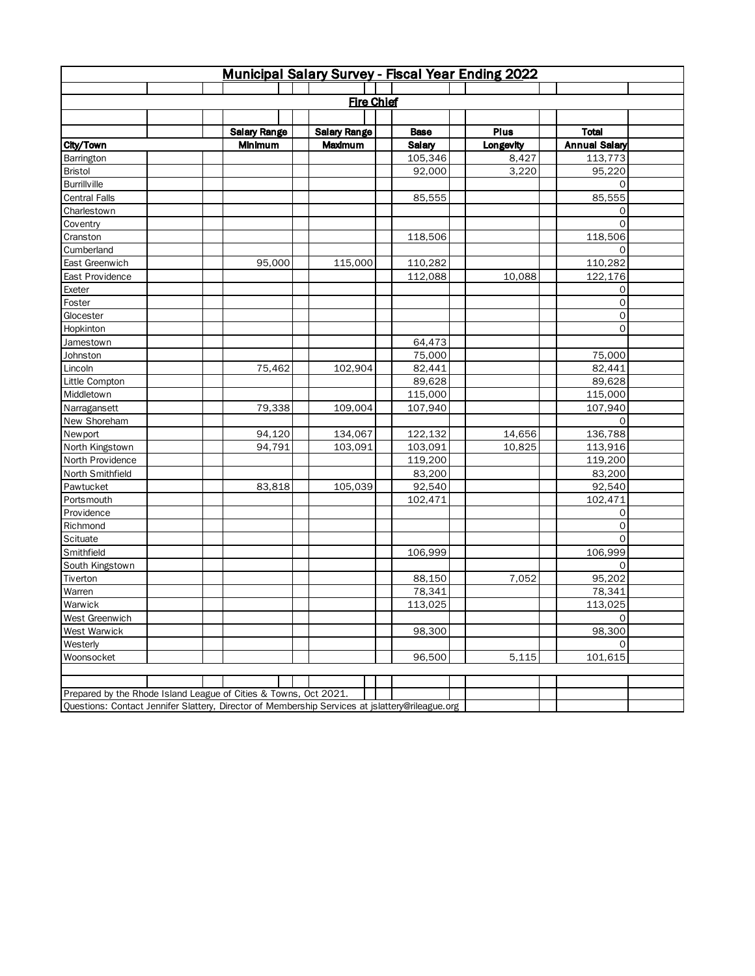|                                                                                                 |                     | <b>Municipal Salary Survey - Fiscal Year Ending 2022</b> |             |           |                      |  |
|-------------------------------------------------------------------------------------------------|---------------------|----------------------------------------------------------|-------------|-----------|----------------------|--|
|                                                                                                 |                     |                                                          |             |           |                      |  |
|                                                                                                 |                     | <b>Fire Chief</b>                                        |             |           |                      |  |
|                                                                                                 |                     |                                                          |             |           |                      |  |
|                                                                                                 | <b>Salary Range</b> | <b>Salary Range</b>                                      | <b>Base</b> | Plus      | <b>Total</b>         |  |
| City/Town                                                                                       | Minimum             | Maximum                                                  | Salary      | Longevity | <b>Annual Salary</b> |  |
| Barrington                                                                                      |                     |                                                          | 105,346     | 8,427     | 113,773              |  |
| Bristol                                                                                         |                     |                                                          | 92,000      | 3,220     | 95,220               |  |
| <b>Burrillville</b>                                                                             |                     |                                                          |             |           | 0                    |  |
| <b>Central Falls</b>                                                                            |                     |                                                          | 85,555      |           | 85,555               |  |
| Charlestown                                                                                     |                     |                                                          |             |           | 0                    |  |
| Coventry                                                                                        |                     |                                                          |             |           | 0                    |  |
| Cranston                                                                                        |                     |                                                          | 118,506     |           | 118,506              |  |
| Cumberland                                                                                      |                     |                                                          |             |           | $\Omega$             |  |
| East Greenwich                                                                                  | 95,000              | 115,000                                                  | 110,282     |           | 110,282              |  |
| East Providence                                                                                 |                     |                                                          | 112,088     | 10,088    | 122,176              |  |
| Exeter                                                                                          |                     |                                                          |             |           | 0                    |  |
| Foster                                                                                          |                     |                                                          |             |           | 0                    |  |
| Glocester                                                                                       |                     |                                                          |             |           | 0                    |  |
| Hopkinton                                                                                       |                     |                                                          |             |           | $\mathbf 0$          |  |
| Jamestown                                                                                       |                     |                                                          | 64,473      |           |                      |  |
| Johnston                                                                                        |                     |                                                          | 75,000      |           | 75,000               |  |
| Lincoln                                                                                         | 75,462              | 102,904                                                  | 82,441      |           | 82,441               |  |
| Little Compton                                                                                  |                     |                                                          | 89,628      |           | 89,628               |  |
| Middletown                                                                                      |                     |                                                          | 115,000     |           | 115,000              |  |
| Narragansett                                                                                    | 79,338              | 109,004                                                  | 107,940     |           | 107,940              |  |
| New Shoreham                                                                                    |                     |                                                          |             |           | 0                    |  |
| Newport                                                                                         | 94,120              | 134,067                                                  | 122,132     | 14,656    | 136,788              |  |
| North Kingstown                                                                                 | 94,791              | 103,091                                                  | 103,091     | 10,825    | 113,916              |  |
| North Providence                                                                                |                     |                                                          | 119,200     |           | 119,200              |  |
| North Smithfield                                                                                |                     |                                                          | 83,200      |           | 83,200               |  |
| Pawtucket                                                                                       | 83,818              | 105,039                                                  | 92,540      |           | 92,540               |  |
| Portsmouth                                                                                      |                     |                                                          | 102,471     |           | 102,471              |  |
| Providence                                                                                      |                     |                                                          |             |           | 0                    |  |
| Richmond                                                                                        |                     |                                                          |             |           | 0                    |  |
| Scituate                                                                                        |                     |                                                          |             |           | $\mathsf{O}$         |  |
| Smithfield                                                                                      |                     |                                                          | 106,999     |           | 106,999              |  |
| South Kingstown                                                                                 |                     |                                                          |             |           | 0                    |  |
| Tiverton                                                                                        |                     |                                                          | 88,150      | 7,052     | 95,202               |  |
| Warren                                                                                          |                     |                                                          | 78,341      |           | 78,341               |  |
| Warwick                                                                                         |                     |                                                          | 113,025     |           | 113,025              |  |
| West Greenwich                                                                                  |                     |                                                          | 98,300      |           | $\mathsf{O}$         |  |
| West Warwick                                                                                    |                     |                                                          |             |           | 98,300               |  |
| Westerly<br>Woonsocket                                                                          |                     |                                                          | 96,500      | 5,115     | 0<br>101,615         |  |
|                                                                                                 |                     |                                                          |             |           |                      |  |
|                                                                                                 |                     |                                                          |             |           |                      |  |
| Prepared by the Rhode Island League of Cities & Towns, Oct 2021.                                |                     |                                                          |             |           |                      |  |
| Questions: Contact Jennifer Slattery, Director of Membership Services at jslattery@rileague.org |                     |                                                          |             |           |                      |  |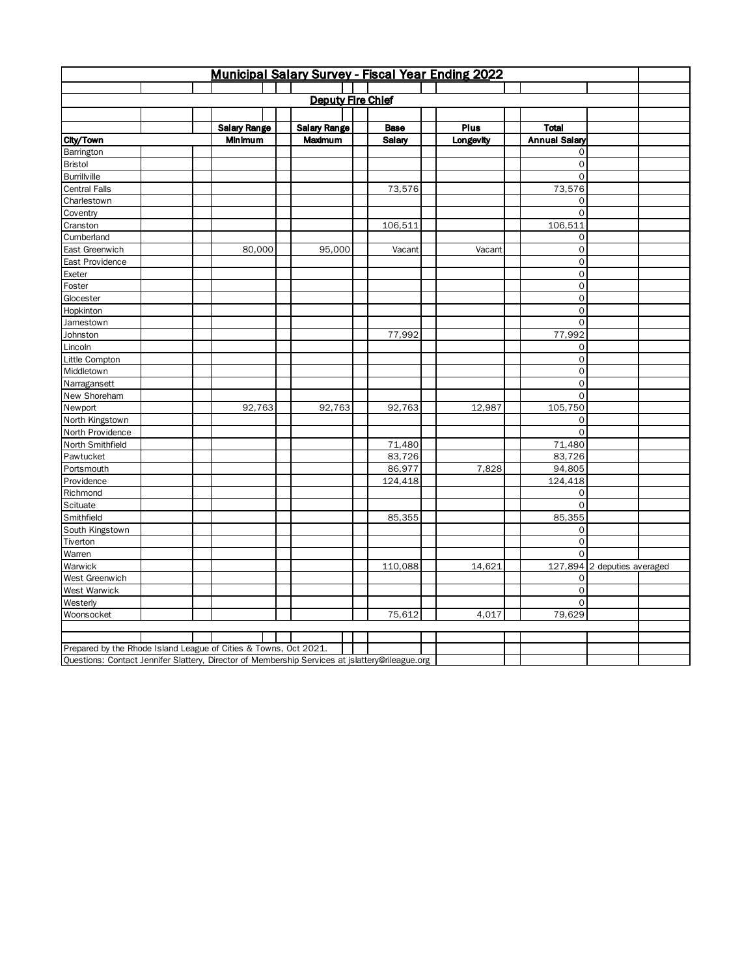|                                                                  |                                |                                                                                                 | Municipal Salary Survey - Fiscal Year Ending 2022 |               |           |                      |                             |  |
|------------------------------------------------------------------|--------------------------------|-------------------------------------------------------------------------------------------------|---------------------------------------------------|---------------|-----------|----------------------|-----------------------------|--|
|                                                                  |                                |                                                                                                 | <b>Deputy Fire Chief</b>                          |               |           |                      |                             |  |
|                                                                  |                                |                                                                                                 |                                                   |               |           |                      |                             |  |
|                                                                  |                                |                                                                                                 |                                                   | <b>Base</b>   | Plus      | <b>Total</b>         |                             |  |
| City/Town                                                        | <b>Salary Range</b><br>Minimum |                                                                                                 | <b>Salary Range</b>                               | <b>Salary</b> |           | <b>Annual Salary</b> |                             |  |
|                                                                  |                                |                                                                                                 | Maximum                                           |               | Longevity | 0                    |                             |  |
| Barrington<br><b>Bristol</b>                                     |                                |                                                                                                 |                                                   |               |           | 0                    |                             |  |
| Burrillville                                                     |                                |                                                                                                 |                                                   |               |           | $\Omega$             |                             |  |
| <b>Central Falls</b>                                             |                                |                                                                                                 |                                                   | 73,576        |           | 73,576               |                             |  |
| Charlestown                                                      |                                |                                                                                                 |                                                   |               |           | $\mathbf 0$          |                             |  |
| Coventry                                                         |                                |                                                                                                 |                                                   |               |           | 0                    |                             |  |
| Cranston                                                         |                                |                                                                                                 |                                                   | 106,511       |           | 106,511              |                             |  |
| Cumberland                                                       |                                |                                                                                                 |                                                   |               |           | 0                    |                             |  |
| East Greenwich                                                   | 80,000                         |                                                                                                 | 95,000                                            | Vacant        | Vacant    | 0                    |                             |  |
| East Providence                                                  |                                |                                                                                                 |                                                   |               |           | $\mathsf{O}$         |                             |  |
| Exeter                                                           |                                |                                                                                                 |                                                   |               |           | 0                    |                             |  |
| Foster                                                           |                                |                                                                                                 |                                                   |               |           | O                    |                             |  |
| Glocester                                                        |                                |                                                                                                 |                                                   |               |           | $\mathsf{O}$         |                             |  |
| Hopkinton                                                        |                                |                                                                                                 |                                                   |               |           | 0                    |                             |  |
| Jamestown                                                        |                                |                                                                                                 |                                                   |               |           | $\mathsf{O}\xspace$  |                             |  |
| Johnston                                                         |                                |                                                                                                 |                                                   | 77,992        |           | 77,992               |                             |  |
| Lincoln                                                          |                                |                                                                                                 |                                                   |               |           | 0                    |                             |  |
| Little Compton                                                   |                                |                                                                                                 |                                                   |               |           | $\overline{0}$       |                             |  |
| Middletown                                                       |                                |                                                                                                 |                                                   |               |           | $\mathsf{O}\xspace$  |                             |  |
| Narragansett                                                     |                                |                                                                                                 |                                                   |               |           | $\mathbf 0$          |                             |  |
| New Shoreham                                                     |                                |                                                                                                 |                                                   |               |           | $\mathbf 0$          |                             |  |
| Newport                                                          | 92,763                         |                                                                                                 | 92,763                                            | 92,763        | 12,987    | 105,750              |                             |  |
| North Kingstown                                                  |                                |                                                                                                 |                                                   |               |           | 0                    |                             |  |
| North Providence                                                 |                                |                                                                                                 |                                                   |               |           | $\mathbf 0$          |                             |  |
| North Smithfield                                                 |                                |                                                                                                 |                                                   | 71,480        |           | 71,480               |                             |  |
| Pawtucket                                                        |                                |                                                                                                 |                                                   | 83,726        |           | 83,726               |                             |  |
| Portsmouth                                                       |                                |                                                                                                 |                                                   | 86,977        | 7,828     | 94,805               |                             |  |
| Providence                                                       |                                |                                                                                                 |                                                   | 124,418       |           | 124,418              |                             |  |
| Richmond                                                         |                                |                                                                                                 |                                                   |               |           | 0                    |                             |  |
| Scituate                                                         |                                |                                                                                                 |                                                   |               |           | $\mathsf{O}$         |                             |  |
| Smithfield                                                       |                                |                                                                                                 |                                                   | 85,355        |           | 85,355               |                             |  |
| South Kingstown                                                  |                                |                                                                                                 |                                                   |               |           | 0                    |                             |  |
| Tiverton                                                         |                                |                                                                                                 |                                                   |               |           | 0                    |                             |  |
| Warren                                                           |                                |                                                                                                 |                                                   |               |           | $\Omega$             |                             |  |
| Warwick                                                          |                                |                                                                                                 |                                                   | 110,088       | 14,621    |                      | 127,894 2 deputies averaged |  |
| West Greenwich                                                   |                                |                                                                                                 |                                                   |               |           | 0                    |                             |  |
| West Warwick                                                     |                                |                                                                                                 |                                                   |               |           | 0                    |                             |  |
| Westerly                                                         |                                |                                                                                                 |                                                   |               |           | $\mathsf{O}$         |                             |  |
| Woonsocket                                                       |                                |                                                                                                 |                                                   | 75,612        | 4,017     | 79,629               |                             |  |
|                                                                  |                                |                                                                                                 |                                                   |               |           |                      |                             |  |
| Prepared by the Rhode Island League of Cities & Towns, Oct 2021. |                                |                                                                                                 |                                                   |               |           |                      |                             |  |
|                                                                  |                                | Questions: Contact Jennifer Slattery, Director of Membership Services at jslattery@rileague.org |                                                   |               |           |                      |                             |  |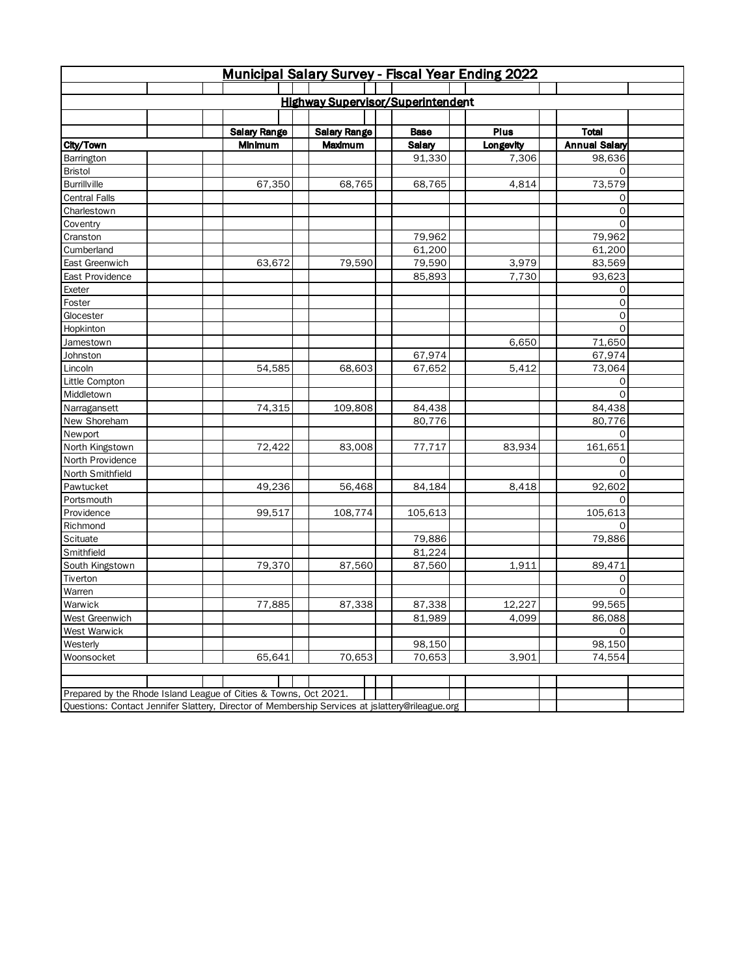| <b>Municipal Salary Survey - Fiscal Year Ending 2022</b> |                                                                                                 |                                          |             |             |                       |  |  |  |  |  |  |
|----------------------------------------------------------|-------------------------------------------------------------------------------------------------|------------------------------------------|-------------|-------------|-----------------------|--|--|--|--|--|--|
|                                                          |                                                                                                 |                                          |             |             |                       |  |  |  |  |  |  |
|                                                          |                                                                                                 | <b>Highway Supervisor/Superintendent</b> |             |             |                       |  |  |  |  |  |  |
|                                                          |                                                                                                 |                                          |             |             |                       |  |  |  |  |  |  |
|                                                          | <b>Salary Range</b>                                                                             | <b>Salary Range</b>                      | <b>Base</b> | <b>Plus</b> | <b>Total</b>          |  |  |  |  |  |  |
| City/Town                                                | <b>Minimum</b>                                                                                  | Maximum                                  | Salary      | Longevity   | <b>Annual Salary</b>  |  |  |  |  |  |  |
| Barrington                                               |                                                                                                 |                                          | 91,330      | 7,306       | 98,636                |  |  |  |  |  |  |
| Bristol                                                  |                                                                                                 |                                          |             |             | 0                     |  |  |  |  |  |  |
| <b>Burrillville</b>                                      | 67,350                                                                                          | 68,765                                   | 68,765      | 4,814       | 73,579                |  |  |  |  |  |  |
| <b>Central Falls</b>                                     |                                                                                                 |                                          |             |             | 0                     |  |  |  |  |  |  |
| Charlestown                                              |                                                                                                 |                                          |             |             | 0                     |  |  |  |  |  |  |
| Coventry                                                 |                                                                                                 |                                          |             |             | 0                     |  |  |  |  |  |  |
| Cranston                                                 |                                                                                                 |                                          | 79,962      |             | 79,962                |  |  |  |  |  |  |
| Cumberland                                               |                                                                                                 |                                          | 61,200      |             | 61,200                |  |  |  |  |  |  |
| East Greenwich                                           | 63,672                                                                                          | 79,590                                   | 79,590      | 3,979       | 83,569                |  |  |  |  |  |  |
| East Providence                                          |                                                                                                 |                                          | 85,893      | 7,730       | 93,623                |  |  |  |  |  |  |
| Exeter                                                   |                                                                                                 |                                          |             |             | 0                     |  |  |  |  |  |  |
| Foster                                                   |                                                                                                 |                                          |             |             | 0                     |  |  |  |  |  |  |
| Glocester                                                |                                                                                                 |                                          |             |             | 0                     |  |  |  |  |  |  |
| Hopkinton                                                |                                                                                                 |                                          |             |             | $\Omega$              |  |  |  |  |  |  |
| Jamestown                                                |                                                                                                 |                                          |             | 6,650       | 71,650                |  |  |  |  |  |  |
| Johnston                                                 |                                                                                                 |                                          | 67,974      |             | 67,974                |  |  |  |  |  |  |
| Lincoln                                                  | 54,585                                                                                          | 68,603                                   | 67,652      | 5,412       | 73,064                |  |  |  |  |  |  |
| Little Compton                                           |                                                                                                 |                                          |             |             | 0                     |  |  |  |  |  |  |
| Middletown                                               |                                                                                                 |                                          |             |             | $\Omega$              |  |  |  |  |  |  |
| Narragansett                                             | 74,315                                                                                          | 109,808                                  | 84,438      |             | 84,438                |  |  |  |  |  |  |
| New Shoreham                                             |                                                                                                 |                                          | 80,776      |             | 80,776                |  |  |  |  |  |  |
| Newport                                                  |                                                                                                 |                                          |             |             | $\Omega$              |  |  |  |  |  |  |
| North Kingstown                                          | 72,422                                                                                          | 83,008                                   | 77,717      | 83,934      | 161,651               |  |  |  |  |  |  |
| North Providence                                         |                                                                                                 |                                          |             |             | 0                     |  |  |  |  |  |  |
| North Smithfield                                         |                                                                                                 |                                          |             |             | 0                     |  |  |  |  |  |  |
| Pawtucket                                                | 49,236                                                                                          | 56,468                                   | 84,184      | 8,418       | 92,602                |  |  |  |  |  |  |
| Portsmouth                                               |                                                                                                 |                                          |             |             | $\Omega$              |  |  |  |  |  |  |
| Providence                                               | 99,517                                                                                          | 108,774                                  | 105,613     |             | 105,613               |  |  |  |  |  |  |
| Richmond                                                 |                                                                                                 |                                          |             |             | 0                     |  |  |  |  |  |  |
| Scituate                                                 |                                                                                                 |                                          | 79,886      |             | 79,886                |  |  |  |  |  |  |
| Smithfield                                               |                                                                                                 |                                          | 81,224      |             |                       |  |  |  |  |  |  |
| South Kingstown                                          | 79,370                                                                                          | 87,560                                   | 87,560      | 1,911       | 89,471                |  |  |  |  |  |  |
| Tiverton                                                 |                                                                                                 |                                          |             |             | 0                     |  |  |  |  |  |  |
| Warren                                                   |                                                                                                 |                                          |             |             | 0                     |  |  |  |  |  |  |
| Warwick                                                  | 77,885                                                                                          | 87,338                                   | 87,338      | 12,227      | 99,565                |  |  |  |  |  |  |
| West Greenwich                                           |                                                                                                 |                                          | 81,989      | 4,099       | 86,088<br>$\mathbf 0$ |  |  |  |  |  |  |
| West Warwick                                             |                                                                                                 |                                          |             |             |                       |  |  |  |  |  |  |
| Westerly                                                 |                                                                                                 |                                          | 98,150      |             | 98,150                |  |  |  |  |  |  |
| Woonsocket                                               | 65,641                                                                                          | 70,653                                   | 70,653      | 3,901       | 74,554                |  |  |  |  |  |  |
|                                                          |                                                                                                 |                                          |             |             |                       |  |  |  |  |  |  |
|                                                          | Prepared by the Rhode Island League of Cities & Towns, Oct 2021.                                |                                          |             |             |                       |  |  |  |  |  |  |
|                                                          | Questions: Contact Jennifer Slattery, Director of Membership Services at jslattery@rileague.org |                                          |             |             |                       |  |  |  |  |  |  |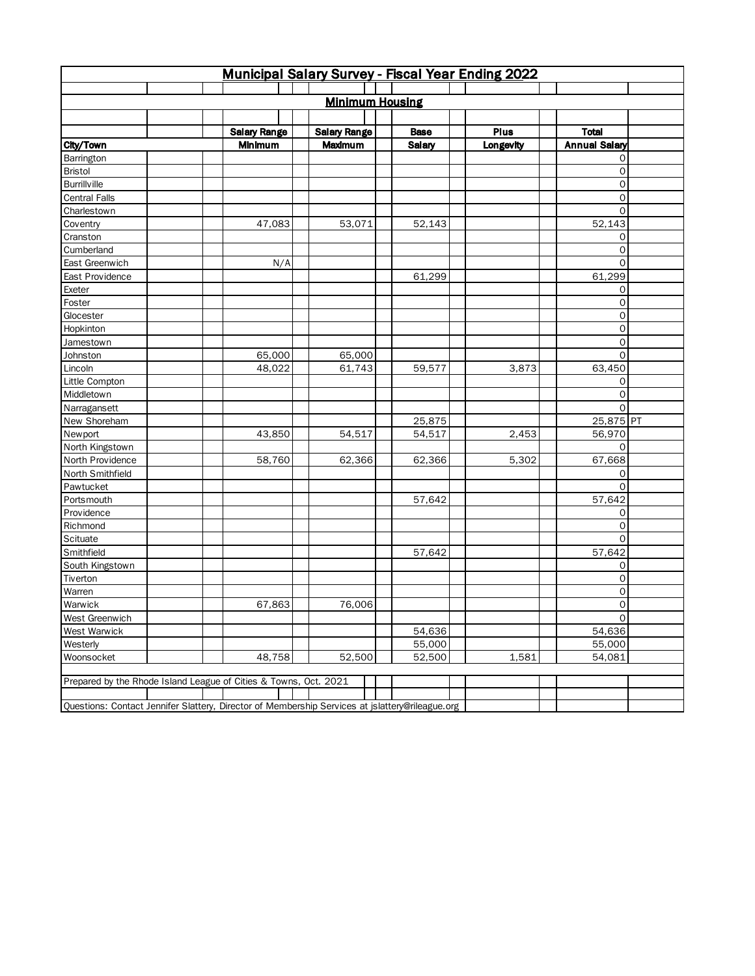| Municipal Salary Survey - Fiscal Year Ending 2022                                               |                     |                        |               |           |                      |  |  |  |  |  |  |
|-------------------------------------------------------------------------------------------------|---------------------|------------------------|---------------|-----------|----------------------|--|--|--|--|--|--|
|                                                                                                 |                     |                        |               |           |                      |  |  |  |  |  |  |
|                                                                                                 |                     | <b>Minimum Housing</b> |               |           |                      |  |  |  |  |  |  |
|                                                                                                 |                     |                        |               |           |                      |  |  |  |  |  |  |
|                                                                                                 | <b>Salary Range</b> | <b>Salary Range</b>    | <b>Base</b>   | Plus      | <b>Total</b>         |  |  |  |  |  |  |
| City/Town                                                                                       | Minimum             | Maximum                | <b>Salary</b> | Longevity | <b>Annual Salary</b> |  |  |  |  |  |  |
| Barrington                                                                                      |                     |                        |               |           | 0                    |  |  |  |  |  |  |
| Bristol                                                                                         |                     |                        |               |           | 0                    |  |  |  |  |  |  |
| <b>Burrillville</b>                                                                             |                     |                        |               |           | $\mathsf O$          |  |  |  |  |  |  |
| <b>Central Falls</b>                                                                            |                     |                        |               |           | $\mathsf{O}$         |  |  |  |  |  |  |
| Charlestown                                                                                     |                     |                        |               |           | $\circ$              |  |  |  |  |  |  |
| Coventry                                                                                        | 47,083              | 53,071                 | 52,143        |           | 52,143               |  |  |  |  |  |  |
| Cranston                                                                                        |                     |                        |               |           | 0                    |  |  |  |  |  |  |
| Cumberland                                                                                      |                     |                        |               |           | $\mathbf 0$          |  |  |  |  |  |  |
| East Greenwich                                                                                  | N/A                 |                        |               |           | $\Omega$             |  |  |  |  |  |  |
| East Providence                                                                                 |                     |                        | 61,299        |           | 61,299               |  |  |  |  |  |  |
| Exeter                                                                                          |                     |                        |               |           | 0                    |  |  |  |  |  |  |
| Foster                                                                                          |                     |                        |               |           | 0                    |  |  |  |  |  |  |
| Glocester                                                                                       |                     |                        |               |           | 0                    |  |  |  |  |  |  |
| Hopkinton                                                                                       |                     |                        |               |           | $\mathsf O$          |  |  |  |  |  |  |
| Jamestown                                                                                       |                     |                        |               |           | $\mathsf{O}$         |  |  |  |  |  |  |
| Johnston                                                                                        | 65,000              | 65,000                 |               |           | $\mathsf O$          |  |  |  |  |  |  |
| Lincoln                                                                                         | 48,022              | 61,743                 | 59,577        | 3,873     | 63,450               |  |  |  |  |  |  |
| Little Compton                                                                                  |                     |                        |               |           | 0                    |  |  |  |  |  |  |
| Middletown                                                                                      |                     |                        |               |           | 0                    |  |  |  |  |  |  |
| Narragansett                                                                                    |                     |                        |               |           | 0                    |  |  |  |  |  |  |
| New Shoreham                                                                                    |                     |                        | 25,875        |           | 25,875 PT            |  |  |  |  |  |  |
| Newport                                                                                         | 43,850              | 54,517                 | 54,517        | 2,453     | 56,970               |  |  |  |  |  |  |
| North Kingstown                                                                                 |                     |                        |               |           | 0                    |  |  |  |  |  |  |
| North Providence                                                                                | 58,760              | 62,366                 | 62,366        | 5,302     | 67,668               |  |  |  |  |  |  |
| North Smithfield                                                                                |                     |                        |               |           | 0                    |  |  |  |  |  |  |
| Pawtucket                                                                                       |                     |                        |               |           | $\Omega$             |  |  |  |  |  |  |
| Portsmouth                                                                                      |                     |                        | 57,642        |           | 57,642               |  |  |  |  |  |  |
| Providence                                                                                      |                     |                        |               |           | 0                    |  |  |  |  |  |  |
| Richmond                                                                                        |                     |                        |               |           | 0                    |  |  |  |  |  |  |
| Scituate                                                                                        |                     |                        |               |           | $\mathsf{O}$         |  |  |  |  |  |  |
| Smithfield                                                                                      |                     |                        | 57,642        |           | 57,642               |  |  |  |  |  |  |
| South Kingstown                                                                                 |                     |                        |               |           | 0                    |  |  |  |  |  |  |
| Tiverton                                                                                        |                     |                        |               |           | 0                    |  |  |  |  |  |  |
| Warren                                                                                          |                     |                        |               |           | $\mathsf O$          |  |  |  |  |  |  |
| Warwick                                                                                         | 67,863              | 76,006                 |               |           | 0                    |  |  |  |  |  |  |
| West Greenwich                                                                                  |                     |                        |               |           | 0                    |  |  |  |  |  |  |
| <b>West Warwick</b>                                                                             |                     |                        | 54,636        |           | 54,636               |  |  |  |  |  |  |
| Westerly                                                                                        |                     |                        | 55,000        |           | 55,000               |  |  |  |  |  |  |
| Woonsocket                                                                                      | 48,758              | 52,500                 | 52,500        | 1,581     | 54,081               |  |  |  |  |  |  |
|                                                                                                 |                     |                        |               |           |                      |  |  |  |  |  |  |
| Prepared by the Rhode Island League of Cities & Towns, Oct. 2021                                |                     |                        |               |           |                      |  |  |  |  |  |  |
|                                                                                                 |                     |                        |               |           |                      |  |  |  |  |  |  |
| Questions: Contact Jennifer Slattery, Director of Membership Services at jslattery@rileague.org |                     |                        |               |           |                      |  |  |  |  |  |  |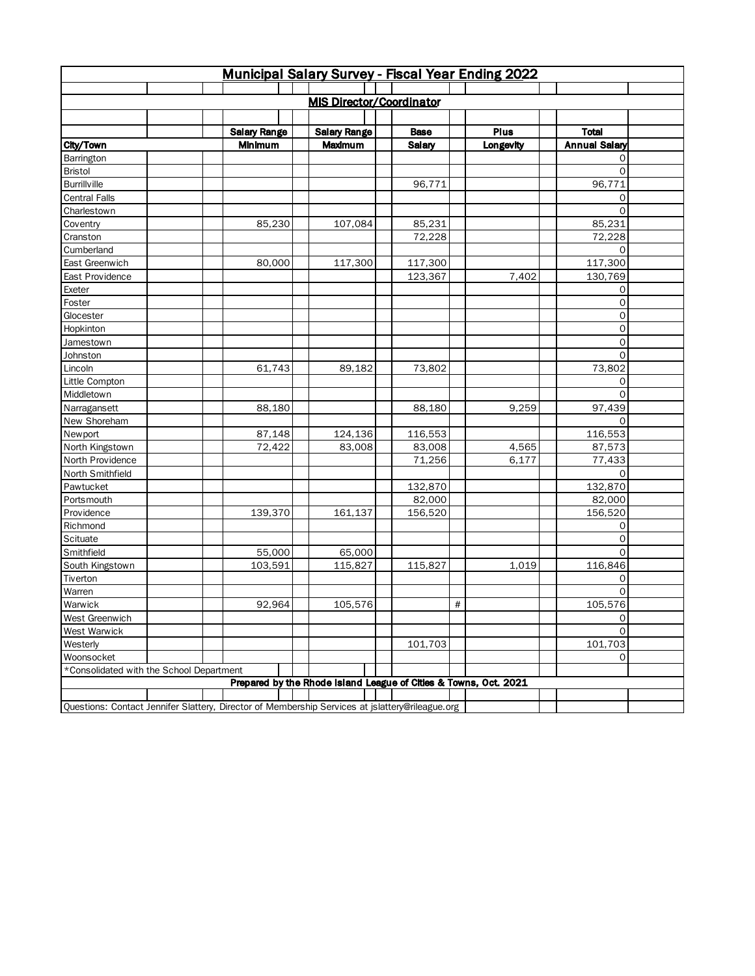| <b>Municipal Salary Survey - Fiscal Year Ending 2022</b> |                                                                                                 |                                                                  |               |           |                      |  |  |  |  |  |  |
|----------------------------------------------------------|-------------------------------------------------------------------------------------------------|------------------------------------------------------------------|---------------|-----------|----------------------|--|--|--|--|--|--|
|                                                          |                                                                                                 |                                                                  |               |           |                      |  |  |  |  |  |  |
|                                                          |                                                                                                 | <b>MIS Director/Coordinator</b>                                  |               |           |                      |  |  |  |  |  |  |
|                                                          |                                                                                                 |                                                                  |               |           |                      |  |  |  |  |  |  |
|                                                          | <b>Salary Range</b>                                                                             | <b>Salary Range</b>                                              | <b>Base</b>   | Plus      | <b>Total</b>         |  |  |  |  |  |  |
| City/Town                                                | <b>Minimum</b>                                                                                  | Maximum                                                          | <b>Salary</b> | Longevity | <b>Annual Salary</b> |  |  |  |  |  |  |
| Barrington                                               |                                                                                                 |                                                                  |               |           | 0                    |  |  |  |  |  |  |
| Bristol                                                  |                                                                                                 |                                                                  |               |           | 0                    |  |  |  |  |  |  |
| Burrillville                                             |                                                                                                 |                                                                  | 96,771        |           | 96,771               |  |  |  |  |  |  |
| <b>Central Falls</b>                                     |                                                                                                 |                                                                  |               |           | 0                    |  |  |  |  |  |  |
| Charlestown                                              |                                                                                                 |                                                                  |               |           | $\Omega$             |  |  |  |  |  |  |
| Coventry                                                 | 85,230                                                                                          | 107,084                                                          | 85,231        |           | 85,231               |  |  |  |  |  |  |
| Cranston                                                 |                                                                                                 |                                                                  | 72,228        |           | 72,228               |  |  |  |  |  |  |
| Cumberland                                               |                                                                                                 |                                                                  |               |           | 0                    |  |  |  |  |  |  |
| East Greenwich                                           | 80,000                                                                                          | 117,300                                                          | 117,300       |           | 117,300              |  |  |  |  |  |  |
| East Providence                                          |                                                                                                 |                                                                  | 123,367       | 7,402     | 130,769              |  |  |  |  |  |  |
| Exeter                                                   |                                                                                                 |                                                                  |               |           | 0                    |  |  |  |  |  |  |
| Foster                                                   |                                                                                                 |                                                                  |               |           | 0                    |  |  |  |  |  |  |
| Glocester                                                |                                                                                                 |                                                                  |               |           | 0                    |  |  |  |  |  |  |
| Hopkinton                                                |                                                                                                 |                                                                  |               |           | 0                    |  |  |  |  |  |  |
| Jamestown                                                |                                                                                                 |                                                                  |               |           | $\mathbf 0$          |  |  |  |  |  |  |
| Johnston                                                 |                                                                                                 |                                                                  |               |           | 0                    |  |  |  |  |  |  |
| Lincoln                                                  | 61,743                                                                                          | 89,182                                                           | 73,802        |           | 73,802               |  |  |  |  |  |  |
| Little Compton                                           |                                                                                                 |                                                                  |               |           | 0                    |  |  |  |  |  |  |
| Middletown                                               |                                                                                                 |                                                                  |               |           | $\Omega$             |  |  |  |  |  |  |
| Narragansett                                             | 88,180                                                                                          |                                                                  | 88,180        | 9,259     | 97,439               |  |  |  |  |  |  |
| New Shoreham                                             |                                                                                                 |                                                                  |               |           | 0                    |  |  |  |  |  |  |
| Newport                                                  | 87,148                                                                                          | 124,136                                                          | 116,553       |           | 116,553              |  |  |  |  |  |  |
| North Kingstown                                          | 72,422                                                                                          | 83,008                                                           | 83,008        | 4,565     | 87,573               |  |  |  |  |  |  |
| North Providence                                         |                                                                                                 |                                                                  | 71,256        | 6,177     | 77,433               |  |  |  |  |  |  |
| North Smithfield                                         |                                                                                                 |                                                                  |               |           | 0                    |  |  |  |  |  |  |
| Pawtucket                                                |                                                                                                 |                                                                  | 132,870       |           | 132,870              |  |  |  |  |  |  |
| Portsmouth                                               |                                                                                                 |                                                                  | 82,000        |           | 82,000               |  |  |  |  |  |  |
| Providence                                               | 139,370                                                                                         | 161,137                                                          | 156,520       |           | 156,520              |  |  |  |  |  |  |
| Richmond                                                 |                                                                                                 |                                                                  |               |           | 0                    |  |  |  |  |  |  |
| Scituate                                                 |                                                                                                 |                                                                  |               |           | 0                    |  |  |  |  |  |  |
| Smithfield                                               | 55,000                                                                                          | 65,000                                                           |               |           | $\mathbf 0$          |  |  |  |  |  |  |
| South Kingstown                                          | 103,591                                                                                         | 115,827                                                          | 115,827       | 1,019     | 116,846              |  |  |  |  |  |  |
| Tiverton                                                 |                                                                                                 |                                                                  |               |           | 0                    |  |  |  |  |  |  |
| Warren                                                   |                                                                                                 |                                                                  |               |           | 0                    |  |  |  |  |  |  |
| Warwick                                                  | 92,964                                                                                          | 105,576                                                          |               | $\#$      | 105,576              |  |  |  |  |  |  |
| West Greenwich                                           |                                                                                                 |                                                                  |               |           | 0                    |  |  |  |  |  |  |
| West Warwick                                             |                                                                                                 |                                                                  |               |           | 0                    |  |  |  |  |  |  |
| Westerly                                                 |                                                                                                 |                                                                  | 101,703       |           | 101,703              |  |  |  |  |  |  |
| Woonsocket                                               |                                                                                                 |                                                                  |               |           | 0                    |  |  |  |  |  |  |
| *Consolidated with the School Department                 |                                                                                                 | Prepared by the Rhode Island League of Cities & Towns, Oct. 2021 |               |           |                      |  |  |  |  |  |  |
|                                                          |                                                                                                 |                                                                  |               |           |                      |  |  |  |  |  |  |
|                                                          | Questions: Contact Jennifer Slattery, Director of Membership Services at jslattery@rileague.org |                                                                  |               |           |                      |  |  |  |  |  |  |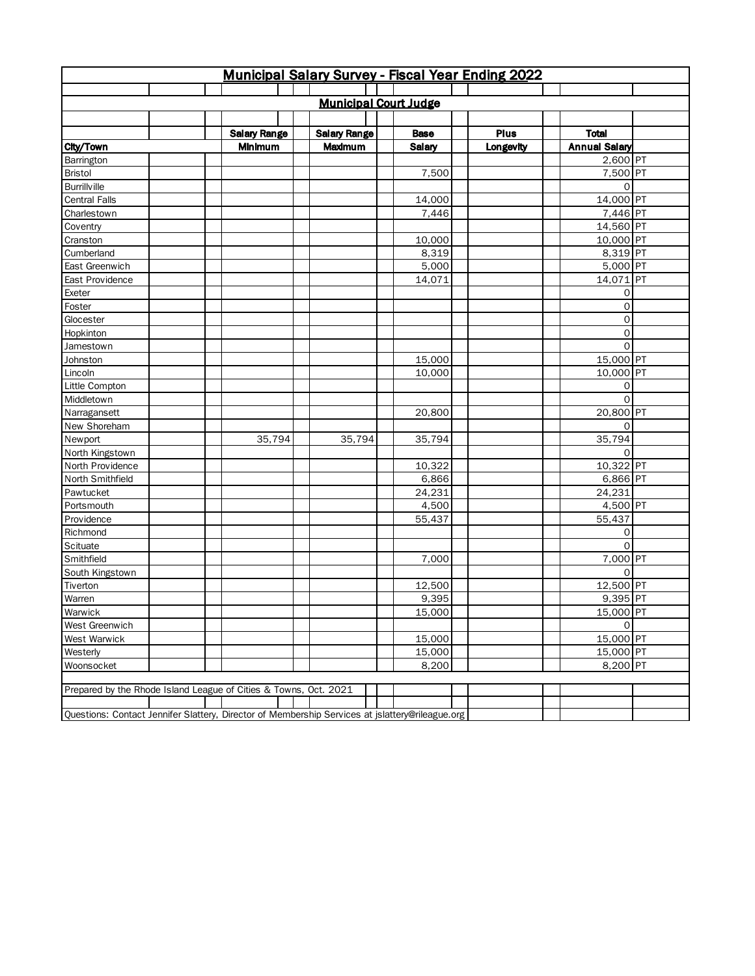|                                                                                                 |  |                     |                              |               | <b>Municipal Salary Survey - Fiscal Year Ending 2022</b> |                      |    |
|-------------------------------------------------------------------------------------------------|--|---------------------|------------------------------|---------------|----------------------------------------------------------|----------------------|----|
|                                                                                                 |  |                     |                              |               |                                                          |                      |    |
|                                                                                                 |  |                     | <b>Municipal Court Judge</b> |               |                                                          |                      |    |
|                                                                                                 |  |                     |                              |               |                                                          |                      |    |
|                                                                                                 |  | <b>Salary Range</b> | <b>Salary Range</b>          | <b>Base</b>   | <b>Plus</b>                                              | <b>Total</b>         |    |
| City/Town                                                                                       |  | <b>Minimum</b>      | Maximum                      | <b>Salary</b> | Longevity                                                | <b>Annual Salary</b> |    |
| Barrington                                                                                      |  |                     |                              |               |                                                          | 2,600 PT             |    |
| <b>Bristol</b>                                                                                  |  |                     |                              | 7,500         |                                                          | 7,500 PT             |    |
| Burrillville                                                                                    |  |                     |                              |               |                                                          | 0                    |    |
| <b>Central Falls</b>                                                                            |  |                     |                              | 14,000        |                                                          | 14,000 PT            |    |
| Charlestown                                                                                     |  |                     |                              | 7,446         |                                                          | 7,446 PT             |    |
| Coventry                                                                                        |  |                     |                              |               |                                                          | 14,560 PT            |    |
| Cranston                                                                                        |  |                     |                              | 10,000        |                                                          | 10,000 PT            |    |
| Cumberland                                                                                      |  |                     |                              | 8,319         |                                                          | 8,319 PT             |    |
| East Greenwich                                                                                  |  |                     |                              | 5,000         |                                                          | 5,000 PT             |    |
| East Providence                                                                                 |  |                     |                              | 14,071        |                                                          | 14,071               | PT |
| Exeter                                                                                          |  |                     |                              |               |                                                          | 0                    |    |
| Foster                                                                                          |  |                     |                              |               |                                                          | 0                    |    |
| Glocester                                                                                       |  |                     |                              |               |                                                          | 0                    |    |
| Hopkinton                                                                                       |  |                     |                              |               |                                                          | 0                    |    |
| Jamestown                                                                                       |  |                     |                              |               |                                                          | $\Omega$             |    |
| Johnston                                                                                        |  |                     |                              | 15,000        |                                                          | 15,000 PT            |    |
| Lincoln                                                                                         |  |                     |                              | 10,000        |                                                          | 10,000 PT            |    |
| Little Compton                                                                                  |  |                     |                              |               |                                                          | 0                    |    |
| Middletown                                                                                      |  |                     |                              |               |                                                          | 0                    |    |
| Narragansett                                                                                    |  |                     |                              | 20,800        |                                                          | 20,800 PT            |    |
| New Shoreham                                                                                    |  |                     |                              |               |                                                          | $\Omega$             |    |
| Newport                                                                                         |  | 35,794              | 35,794                       | 35,794        |                                                          | 35,794               |    |
| North Kingstown                                                                                 |  |                     |                              |               |                                                          | 0                    |    |
| North Providence                                                                                |  |                     |                              | 10,322        |                                                          | 10,322 PT            |    |
| North Smithfield                                                                                |  |                     |                              | 6,866         |                                                          | 6,866 PT             |    |
| Pawtucket                                                                                       |  |                     |                              | 24,231        |                                                          | 24,231               |    |
| Portsmouth                                                                                      |  |                     |                              | 4,500         |                                                          | 4,500 PT             |    |
| Providence                                                                                      |  |                     |                              | 55,437        |                                                          | 55,437               |    |
| Richmond                                                                                        |  |                     |                              |               |                                                          | 0                    |    |
| Scituate                                                                                        |  |                     |                              |               |                                                          | $\Omega$             |    |
| Smithfield                                                                                      |  |                     |                              | 7,000         |                                                          | 7,000 PT             |    |
| South Kingstown                                                                                 |  |                     |                              |               |                                                          | O                    |    |
| Tiverton                                                                                        |  |                     |                              | 12,500        |                                                          | 12,500 PT            |    |
| Warren                                                                                          |  |                     |                              | 9,395         |                                                          | 9,395 PT             |    |
| Warwick                                                                                         |  |                     |                              | 15,000        |                                                          | 15,000 PT            |    |
| West Greenwich                                                                                  |  |                     |                              |               |                                                          | $\mathsf{O}\xspace$  |    |
| West Warwick                                                                                    |  |                     |                              | 15,000        |                                                          | 15,000 PT            |    |
| Westerly                                                                                        |  |                     |                              | 15,000        |                                                          | 15,000 PT            |    |
| Woonsocket                                                                                      |  |                     |                              | 8,200         |                                                          | 8,200 PT             |    |
| Prepared by the Rhode Island League of Cities & Towns, Oct. 2021                                |  |                     |                              |               |                                                          |                      |    |
|                                                                                                 |  |                     |                              |               |                                                          |                      |    |
| Questions: Contact Jennifer Slattery, Director of Membership Services at jslattery@rileague.org |  |                     |                              |               |                                                          |                      |    |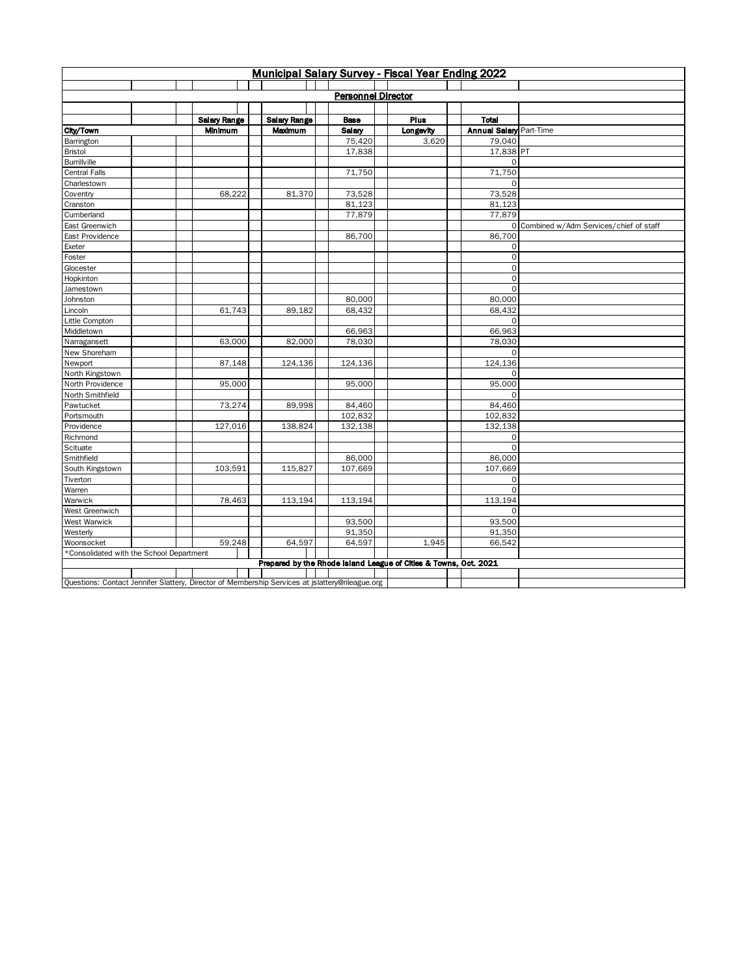|                                                                                                 | Municipal Salary Survey - Fiscal Year Ending 2022 |                     |                     |                           |                                                                  |                                |                                          |  |  |  |  |  |  |
|-------------------------------------------------------------------------------------------------|---------------------------------------------------|---------------------|---------------------|---------------------------|------------------------------------------------------------------|--------------------------------|------------------------------------------|--|--|--|--|--|--|
|                                                                                                 |                                                   |                     |                     |                           |                                                                  |                                |                                          |  |  |  |  |  |  |
|                                                                                                 |                                                   |                     |                     | <b>Personnel Director</b> |                                                                  |                                |                                          |  |  |  |  |  |  |
|                                                                                                 |                                                   |                     |                     |                           |                                                                  |                                |                                          |  |  |  |  |  |  |
|                                                                                                 |                                                   | <b>Salary Range</b> | <b>Salary Range</b> | <b>Base</b>               | Plus                                                             | <b>Total</b>                   |                                          |  |  |  |  |  |  |
| City/Town                                                                                       |                                                   | Minimum             | Maximum             | Salary                    | Longevity                                                        | <b>Annual Salary Part-Time</b> |                                          |  |  |  |  |  |  |
| Barrington                                                                                      |                                                   |                     |                     | 75,420                    | 3,620                                                            | 79,040                         |                                          |  |  |  |  |  |  |
| Bristol                                                                                         |                                                   |                     |                     | 17,838                    |                                                                  | 17,838 PT                      |                                          |  |  |  |  |  |  |
| Burrillville                                                                                    |                                                   |                     |                     |                           |                                                                  | $\Omega$                       |                                          |  |  |  |  |  |  |
| <b>Central Falls</b>                                                                            |                                                   |                     |                     | 71,750                    |                                                                  | 71,750                         |                                          |  |  |  |  |  |  |
| Charlestown                                                                                     |                                                   |                     |                     |                           |                                                                  | $\Omega$                       |                                          |  |  |  |  |  |  |
| Coventry                                                                                        |                                                   | 68,222              | 81,370              | 73,528                    |                                                                  | 73,528                         |                                          |  |  |  |  |  |  |
| Cranston                                                                                        |                                                   |                     |                     | 81,123                    |                                                                  | 81,123                         |                                          |  |  |  |  |  |  |
| Cumberland                                                                                      |                                                   |                     |                     | 77,879                    |                                                                  | 77,879                         |                                          |  |  |  |  |  |  |
| East Greenwich                                                                                  |                                                   |                     |                     |                           |                                                                  |                                | 0 Combined w/Adm Services/chief of staff |  |  |  |  |  |  |
| East Providence                                                                                 |                                                   |                     |                     | 86,700                    |                                                                  | 86,700                         |                                          |  |  |  |  |  |  |
| Exeter                                                                                          |                                                   |                     |                     |                           |                                                                  | $\circ$                        |                                          |  |  |  |  |  |  |
| Foster                                                                                          |                                                   |                     |                     |                           |                                                                  | $\circ$                        |                                          |  |  |  |  |  |  |
| Glocester                                                                                       |                                                   |                     |                     |                           |                                                                  | $\circ$                        |                                          |  |  |  |  |  |  |
| Hopkinton                                                                                       |                                                   |                     |                     |                           |                                                                  | $\circ$                        |                                          |  |  |  |  |  |  |
| Jamestown                                                                                       |                                                   |                     |                     |                           |                                                                  | $\circ$                        |                                          |  |  |  |  |  |  |
| Johnston                                                                                        |                                                   |                     |                     | 80,000                    |                                                                  | 80,000                         |                                          |  |  |  |  |  |  |
| Lincoln                                                                                         |                                                   | 61,743              | 89,182              | 68,432                    |                                                                  | 68,432                         |                                          |  |  |  |  |  |  |
| Little Compton                                                                                  |                                                   |                     |                     |                           |                                                                  | $\Omega$                       |                                          |  |  |  |  |  |  |
| Middletown                                                                                      |                                                   |                     |                     | 66,963                    |                                                                  | 66,963                         |                                          |  |  |  |  |  |  |
| Narragansett                                                                                    |                                                   | 63,000              | 82,000              | 78,030                    |                                                                  | 78,030                         |                                          |  |  |  |  |  |  |
| New Shoreham                                                                                    |                                                   |                     |                     |                           |                                                                  | 0                              |                                          |  |  |  |  |  |  |
| Newport                                                                                         |                                                   | 87,148              | 124,136             | 124,136                   |                                                                  | 124,136                        |                                          |  |  |  |  |  |  |
| North Kingstown                                                                                 |                                                   |                     |                     |                           |                                                                  | 0                              |                                          |  |  |  |  |  |  |
| North Providence                                                                                |                                                   | 95,000              |                     | 95,000                    |                                                                  | 95,000                         |                                          |  |  |  |  |  |  |
| North Smithfield                                                                                |                                                   |                     |                     |                           |                                                                  | $\Omega$                       |                                          |  |  |  |  |  |  |
| Pawtucket                                                                                       |                                                   | 73,274              | 89,998              | 84,460                    |                                                                  | 84,460                         |                                          |  |  |  |  |  |  |
| Portsmouth                                                                                      |                                                   |                     |                     | 102,832                   |                                                                  | 102,832                        |                                          |  |  |  |  |  |  |
| Providence                                                                                      |                                                   | 127,016             | 138,824             | 132,138                   |                                                                  | 132,138                        |                                          |  |  |  |  |  |  |
| Richmond                                                                                        |                                                   |                     |                     |                           |                                                                  | $\mathsf O$                    |                                          |  |  |  |  |  |  |
| Scituate                                                                                        |                                                   |                     |                     |                           |                                                                  | $\Omega$                       |                                          |  |  |  |  |  |  |
| Smithfield                                                                                      |                                                   |                     |                     | 86,000                    |                                                                  | 86,000                         |                                          |  |  |  |  |  |  |
| South Kingstown                                                                                 |                                                   | 103,591             | 115,827             | 107,669                   |                                                                  | 107,669                        |                                          |  |  |  |  |  |  |
| Tiverton                                                                                        |                                                   |                     |                     |                           |                                                                  | $\mathbf 0$                    |                                          |  |  |  |  |  |  |
| Warren                                                                                          |                                                   |                     |                     |                           |                                                                  | $\Omega$                       |                                          |  |  |  |  |  |  |
| Warwick                                                                                         |                                                   | 78,463              | 113,194             | 113,194                   |                                                                  | 113,194                        |                                          |  |  |  |  |  |  |
| West Greenwich                                                                                  |                                                   |                     |                     |                           |                                                                  | $\Omega$                       |                                          |  |  |  |  |  |  |
| West Warwick                                                                                    |                                                   |                     |                     | 93,500                    |                                                                  | 93,500                         |                                          |  |  |  |  |  |  |
| Westerly                                                                                        |                                                   |                     |                     | 91,350                    |                                                                  | 91,350                         |                                          |  |  |  |  |  |  |
| Woonsocket                                                                                      |                                                   | 59,248              | 64,597              | 64,597                    | 1,945                                                            | 66,542                         |                                          |  |  |  |  |  |  |
| *Consolidated with the School Department                                                        |                                                   |                     |                     |                           |                                                                  |                                |                                          |  |  |  |  |  |  |
|                                                                                                 |                                                   |                     |                     |                           | Prepared by the Rhode Island League of Cities & Towns, Oct. 2021 |                                |                                          |  |  |  |  |  |  |
| Questions: Contact Jennifer Slattery, Director of Membership Services at jslattery@rileague.org |                                                   |                     |                     |                           |                                                                  |                                |                                          |  |  |  |  |  |  |
|                                                                                                 |                                                   |                     |                     |                           |                                                                  |                                |                                          |  |  |  |  |  |  |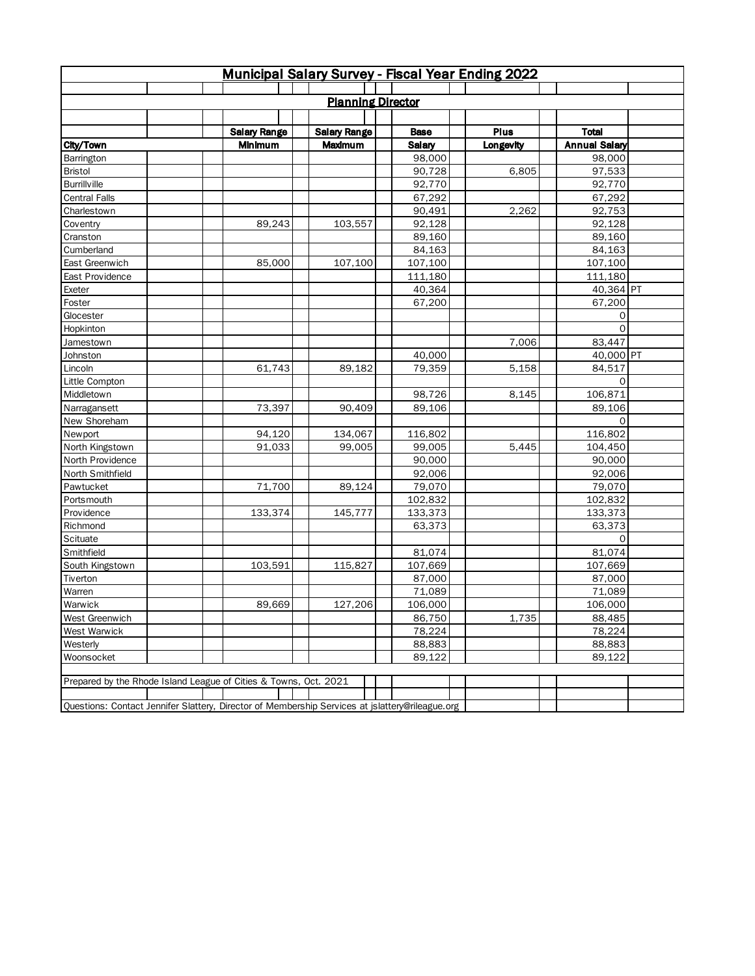| <b>Municipal Salary Survey - Fiscal Year Ending 2022</b>                                        |                     |                          |               |           |                      |  |  |  |  |  |  |
|-------------------------------------------------------------------------------------------------|---------------------|--------------------------|---------------|-----------|----------------------|--|--|--|--|--|--|
|                                                                                                 |                     |                          |               |           |                      |  |  |  |  |  |  |
|                                                                                                 |                     | <b>Planning Director</b> |               |           |                      |  |  |  |  |  |  |
|                                                                                                 |                     |                          |               |           |                      |  |  |  |  |  |  |
|                                                                                                 | <b>Salary Range</b> | <b>Salary Range</b>      | <b>Base</b>   | Plus      | <b>Total</b>         |  |  |  |  |  |  |
| City/Town                                                                                       | <b>Minimum</b>      | Maximum                  | <b>Salary</b> | Longevity | <b>Annual Salary</b> |  |  |  |  |  |  |
| Barrington                                                                                      |                     |                          | 98,000        |           | 98,000               |  |  |  |  |  |  |
| <b>Bristol</b>                                                                                  |                     |                          | 90,728        | 6,805     | 97,533               |  |  |  |  |  |  |
| <b>Burrillville</b>                                                                             |                     |                          | 92,770        |           | 92,770               |  |  |  |  |  |  |
| <b>Central Falls</b>                                                                            |                     |                          | 67,292        |           | 67,292               |  |  |  |  |  |  |
| Charlestown                                                                                     |                     |                          | 90,491        | 2,262     | 92,753               |  |  |  |  |  |  |
| Coventry                                                                                        | 89,243              | 103,557                  | 92,128        |           | 92,128               |  |  |  |  |  |  |
| Cranston                                                                                        |                     |                          | 89,160        |           | 89,160               |  |  |  |  |  |  |
| Cumberland                                                                                      |                     |                          | 84,163        |           | 84,163               |  |  |  |  |  |  |
| East Greenwich                                                                                  | 85,000              | 107,100                  | 107,100       |           | 107,100              |  |  |  |  |  |  |
| East Providence                                                                                 |                     |                          | 111,180       |           | 111,180              |  |  |  |  |  |  |
| Exeter                                                                                          |                     |                          | 40,364        |           | 40,364 PT            |  |  |  |  |  |  |
| Foster                                                                                          |                     |                          | 67,200        |           | 67,200               |  |  |  |  |  |  |
| Glocester                                                                                       |                     |                          |               |           | 0                    |  |  |  |  |  |  |
| Hopkinton                                                                                       |                     |                          |               |           | $\Omega$             |  |  |  |  |  |  |
| Jamestown                                                                                       |                     |                          |               | 7,006     | 83,447               |  |  |  |  |  |  |
| Johnston                                                                                        |                     |                          | 40,000        |           | 40,000 PT            |  |  |  |  |  |  |
| Lincoln                                                                                         | 61,743              | 89,182                   | 79,359        | 5,158     | 84,517               |  |  |  |  |  |  |
| Little Compton                                                                                  |                     |                          |               |           | 0                    |  |  |  |  |  |  |
| Middletown                                                                                      |                     |                          | 98,726        | 8.145     | 106,871              |  |  |  |  |  |  |
| Narragansett                                                                                    | 73,397              | 90,409                   | 89,106        |           | 89,106               |  |  |  |  |  |  |
| New Shoreham                                                                                    |                     |                          |               |           | 0                    |  |  |  |  |  |  |
| Newport                                                                                         | 94,120              | 134,067                  | 116,802       |           | 116,802              |  |  |  |  |  |  |
| North Kingstown                                                                                 | 91,033              | 99,005                   | 99,005        | 5,445     | 104,450              |  |  |  |  |  |  |
| North Providence                                                                                |                     |                          | 90,000        |           | 90,000               |  |  |  |  |  |  |
| North Smithfield                                                                                |                     |                          | 92,006        |           | 92,006               |  |  |  |  |  |  |
| Pawtucket                                                                                       | 71,700              | 89,124                   | 79,070        |           | 79,070               |  |  |  |  |  |  |
| Portsmouth                                                                                      |                     |                          | 102,832       |           | 102,832              |  |  |  |  |  |  |
| Providence                                                                                      | 133,374             | 145,777                  | 133,373       |           | 133,373              |  |  |  |  |  |  |
| Richmond                                                                                        |                     |                          | 63,373        |           | 63,373               |  |  |  |  |  |  |
| Scituate                                                                                        |                     |                          |               |           | 0                    |  |  |  |  |  |  |
| Smithfield                                                                                      |                     |                          | 81,074        |           | 81,074               |  |  |  |  |  |  |
| South Kingstown                                                                                 | 103,591             | 115,827                  | 107,669       |           | 107,669              |  |  |  |  |  |  |
| Tiverton                                                                                        |                     |                          | 87,000        |           | 87,000               |  |  |  |  |  |  |
| Warren                                                                                          |                     |                          | 71,089        |           | 71,089               |  |  |  |  |  |  |
| Warwick                                                                                         | 89,669              | 127,206                  | 106,000       |           | 106,000              |  |  |  |  |  |  |
| West Greenwich                                                                                  |                     |                          | 86,750        | 1,735     | 88,485               |  |  |  |  |  |  |
| <b>West Warwick</b>                                                                             |                     |                          | 78,224        |           | 78,224               |  |  |  |  |  |  |
| Westerly                                                                                        |                     |                          | 88,883        |           | 88,883               |  |  |  |  |  |  |
| Woonsocket                                                                                      |                     |                          | 89,122        |           | 89,122               |  |  |  |  |  |  |
| Prepared by the Rhode Island League of Cities & Towns, Oct. 2021                                |                     |                          |               |           |                      |  |  |  |  |  |  |
|                                                                                                 |                     |                          |               |           |                      |  |  |  |  |  |  |
| Questions: Contact Jennifer Slattery, Director of Membership Services at jslattery@rileague.org |                     |                          |               |           |                      |  |  |  |  |  |  |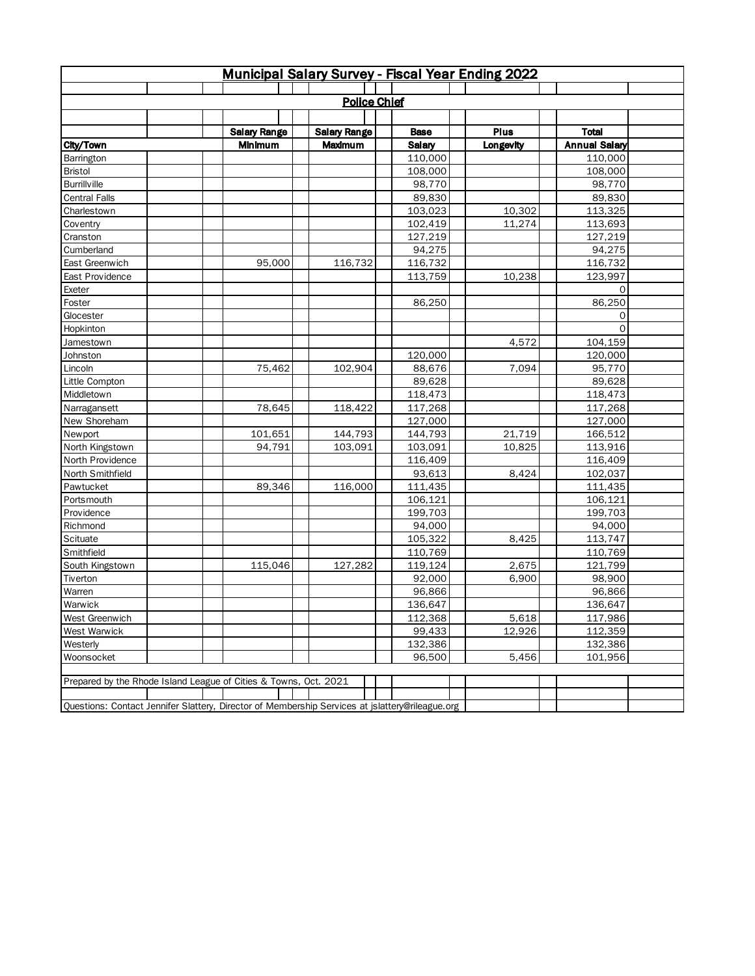| Municipal Salary Survey - Fiscal Year Ending 2022 |                                                                                                 |                     |               |           |                      |  |  |  |  |  |  |
|---------------------------------------------------|-------------------------------------------------------------------------------------------------|---------------------|---------------|-----------|----------------------|--|--|--|--|--|--|
|                                                   |                                                                                                 |                     |               |           |                      |  |  |  |  |  |  |
|                                                   |                                                                                                 | <b>Police Chief</b> |               |           |                      |  |  |  |  |  |  |
|                                                   |                                                                                                 |                     |               |           |                      |  |  |  |  |  |  |
|                                                   | <b>Salary Range</b>                                                                             | <b>Salary Range</b> | <b>Base</b>   | Plus      | <b>Total</b>         |  |  |  |  |  |  |
| City/Town                                         | <b>Minimum</b>                                                                                  | Maximum             | <b>Salary</b> | Longevity | <b>Annual Salary</b> |  |  |  |  |  |  |
| Barrington                                        |                                                                                                 |                     | 110,000       |           | 110,000              |  |  |  |  |  |  |
| <b>Bristol</b>                                    |                                                                                                 |                     | 108,000       |           | 108,000              |  |  |  |  |  |  |
| <b>Burrillville</b>                               |                                                                                                 |                     | 98,770        |           | 98,770               |  |  |  |  |  |  |
| <b>Central Falls</b>                              |                                                                                                 |                     | 89,830        |           | 89,830               |  |  |  |  |  |  |
| Charlestown                                       |                                                                                                 |                     | 103,023       | 10,302    | 113,325              |  |  |  |  |  |  |
| Coventry                                          |                                                                                                 |                     | 102,419       | 11,274    | 113,693              |  |  |  |  |  |  |
| Cranston                                          |                                                                                                 |                     | 127,219       |           | 127,219              |  |  |  |  |  |  |
| Cumberland                                        |                                                                                                 |                     | 94,275        |           | 94,275               |  |  |  |  |  |  |
| East Greenwich                                    | 95,000                                                                                          | 116,732             | 116,732       |           | 116,732              |  |  |  |  |  |  |
| East Providence                                   |                                                                                                 |                     | 113,759       | 10,238    | 123,997              |  |  |  |  |  |  |
| Exeter                                            |                                                                                                 |                     |               |           | 0                    |  |  |  |  |  |  |
| Foster                                            |                                                                                                 |                     | 86,250        |           | 86,250               |  |  |  |  |  |  |
| Glocester                                         |                                                                                                 |                     |               |           | 0                    |  |  |  |  |  |  |
| Hopkinton                                         |                                                                                                 |                     |               |           | $\Omega$             |  |  |  |  |  |  |
| Jamestown                                         |                                                                                                 |                     |               | 4,572     | 104,159              |  |  |  |  |  |  |
| Johnston                                          |                                                                                                 |                     | 120,000       |           | 120,000              |  |  |  |  |  |  |
| Lincoln                                           | 75,462                                                                                          | 102,904             | 88,676        | 7,094     | 95,770               |  |  |  |  |  |  |
| Little Compton                                    |                                                                                                 |                     | 89,628        |           | 89,628               |  |  |  |  |  |  |
| Middletown                                        |                                                                                                 |                     | 118,473       |           | 118,473              |  |  |  |  |  |  |
| Narragansett                                      | 78,645                                                                                          | 118,422             | 117,268       |           | 117,268              |  |  |  |  |  |  |
| New Shoreham                                      |                                                                                                 |                     | 127,000       |           | 127,000              |  |  |  |  |  |  |
| Newport                                           | 101,651                                                                                         | 144,793             | 144,793       | 21,719    | 166,512              |  |  |  |  |  |  |
| North Kingstown                                   | 94,791                                                                                          | 103,091             | 103,091       | 10,825    | 113,916              |  |  |  |  |  |  |
| North Providence                                  |                                                                                                 |                     | 116,409       |           | 116,409              |  |  |  |  |  |  |
| North Smithfield                                  |                                                                                                 |                     | 93,613        | 8,424     | 102,037              |  |  |  |  |  |  |
| Pawtucket                                         | 89,346                                                                                          | 116,000             | 111,435       |           | 111,435              |  |  |  |  |  |  |
| Portsmouth                                        |                                                                                                 |                     | 106,121       |           | 106,121              |  |  |  |  |  |  |
| Providence                                        |                                                                                                 |                     | 199,703       |           | 199,703              |  |  |  |  |  |  |
| Richmond                                          |                                                                                                 |                     | 94,000        |           | 94,000               |  |  |  |  |  |  |
| Scituate                                          |                                                                                                 |                     | 105,322       | 8,425     | 113,747              |  |  |  |  |  |  |
| Smithfield                                        |                                                                                                 |                     | 110,769       |           | 110,769              |  |  |  |  |  |  |
| South Kingstown                                   | 115,046                                                                                         | 127,282             | 119,124       | 2,675     | 121,799              |  |  |  |  |  |  |
| Tiverton                                          |                                                                                                 |                     | 92,000        | 6,900     | 98,900               |  |  |  |  |  |  |
| Warren                                            |                                                                                                 |                     | 96,866        |           | 96,866               |  |  |  |  |  |  |
| Warwick                                           |                                                                                                 |                     | 136,647       |           | 136,647              |  |  |  |  |  |  |
| West Greenwich                                    |                                                                                                 |                     | 112,368       | 5,618     | 117,986              |  |  |  |  |  |  |
| West Warwick                                      |                                                                                                 |                     | 99,433        | 12,926    | 112,359              |  |  |  |  |  |  |
| Westerly                                          |                                                                                                 |                     | 132,386       |           | 132,386              |  |  |  |  |  |  |
| Woonsocket                                        |                                                                                                 |                     | 96,500        | 5,456     | 101,956              |  |  |  |  |  |  |
|                                                   |                                                                                                 |                     |               |           |                      |  |  |  |  |  |  |
|                                                   | Prepared by the Rhode Island League of Cities & Towns, Oct. 2021                                |                     |               |           |                      |  |  |  |  |  |  |
|                                                   |                                                                                                 |                     |               |           |                      |  |  |  |  |  |  |
|                                                   | Questions: Contact Jennifer Slattery, Director of Membership Services at jslattery@rileague.org |                     |               |           |                      |  |  |  |  |  |  |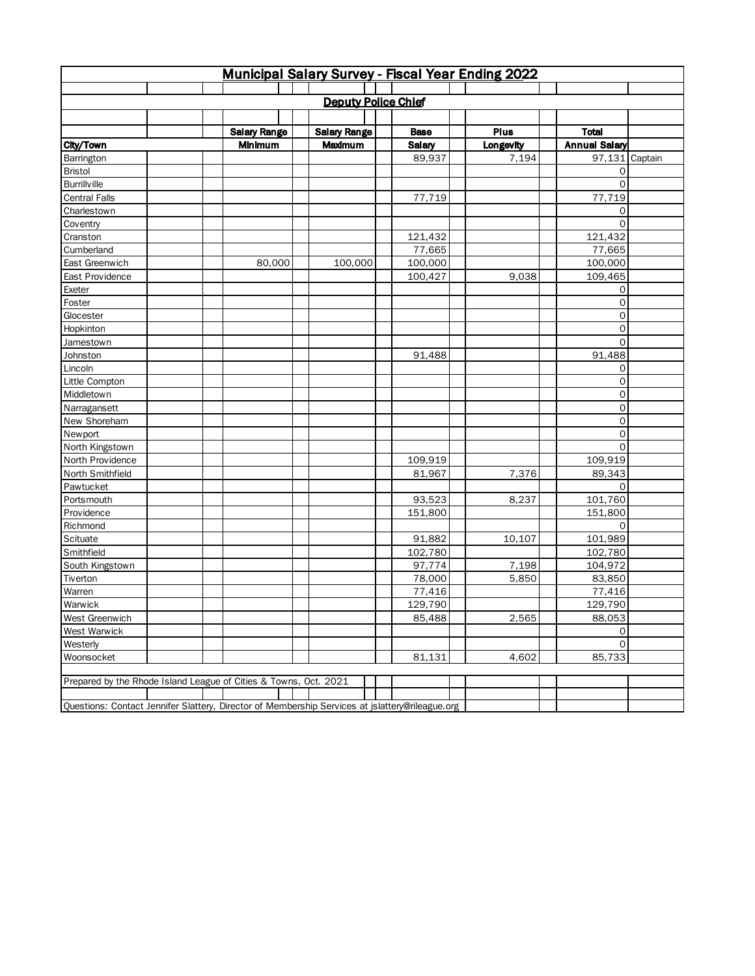| <b>Deputy Police Chief</b><br><b>Total</b><br><b>Salary Range</b><br><b>Salary Range</b><br>Plus<br><b>Base</b><br>City/Town<br><b>Minimum</b><br>Maximum<br>Longevity<br><b>Annual Salary</b><br>Salary<br>7,194<br>89,937<br>97,131 Captain<br>Barrington<br>Bristol<br>0<br>$\circ$<br><b>Burrillville</b><br>77,719<br><b>Central Falls</b><br>77,719<br>0<br>Coventry<br>0<br>Cranston<br>121,432<br>121,432<br>77,665<br>77,665<br>80,000<br>100,000<br>100,000<br>100,000<br>East Greenwich<br>100,427<br>109,465<br>East Providence<br>9,038<br>Exeter<br>0<br>0<br>Foster<br>0<br>Glocester<br>Hopkinton<br>0<br>$\mathsf{O}$<br>Jamestown<br>Johnston<br>91,488<br>91,488<br>Lincoln<br>0<br>Little Compton<br>0<br>0<br>Narragansett<br>0<br>New Shoreham<br>0<br>0<br>North Kingstown<br>0<br>North Providence<br>109,919<br>109,919<br>North Smithfield<br>81,967<br>7,376<br>89,343<br>Pawtucket<br>$\Omega$<br>93,523<br>101,760<br>Portsmouth<br>8,237<br>151,800<br>151,800<br>Providence<br>Richmond<br>0<br>91,882<br>101,989<br>Scituate<br>10,107<br>102,780<br>Smithfield<br>102,780<br>97,774<br>7,198<br>104,972<br>South Kingstown<br>78,000<br>5,850<br>83,850<br>Tiverton<br>77,416<br>Warren<br>77,416<br>129,790<br>129,790<br>Warwick<br>West Greenwich<br>85,488<br>2,565<br>88,053<br>$\mathsf{O}$<br><b>West Warwick</b><br>Westerly<br>0<br>85,733<br>Woonsocket<br>81,131<br>4,602<br>Prepared by the Rhode Island League of Cities & Towns, Oct. 2021<br>Questions: Contact Jennifer Slattery, Director of Membership Services at jslattery@rileague.org |             | <b>Municipal Salary Survey - Fiscal Year Ending 2022</b> |  |  |  |  |  |  |  |  |  |  |  |
|----------------------------------------------------------------------------------------------------------------------------------------------------------------------------------------------------------------------------------------------------------------------------------------------------------------------------------------------------------------------------------------------------------------------------------------------------------------------------------------------------------------------------------------------------------------------------------------------------------------------------------------------------------------------------------------------------------------------------------------------------------------------------------------------------------------------------------------------------------------------------------------------------------------------------------------------------------------------------------------------------------------------------------------------------------------------------------------------------------------------------------------------------------------------------------------------------------------------------------------------------------------------------------------------------------------------------------------------------------------------------------------------------------------------------------------------------------------------------------------------------------------------------------------------------------------------------------------------|-------------|----------------------------------------------------------|--|--|--|--|--|--|--|--|--|--|--|
|                                                                                                                                                                                                                                                                                                                                                                                                                                                                                                                                                                                                                                                                                                                                                                                                                                                                                                                                                                                                                                                                                                                                                                                                                                                                                                                                                                                                                                                                                                                                                                                              |             |                                                          |  |  |  |  |  |  |  |  |  |  |  |
|                                                                                                                                                                                                                                                                                                                                                                                                                                                                                                                                                                                                                                                                                                                                                                                                                                                                                                                                                                                                                                                                                                                                                                                                                                                                                                                                                                                                                                                                                                                                                                                              |             |                                                          |  |  |  |  |  |  |  |  |  |  |  |
|                                                                                                                                                                                                                                                                                                                                                                                                                                                                                                                                                                                                                                                                                                                                                                                                                                                                                                                                                                                                                                                                                                                                                                                                                                                                                                                                                                                                                                                                                                                                                                                              |             |                                                          |  |  |  |  |  |  |  |  |  |  |  |
|                                                                                                                                                                                                                                                                                                                                                                                                                                                                                                                                                                                                                                                                                                                                                                                                                                                                                                                                                                                                                                                                                                                                                                                                                                                                                                                                                                                                                                                                                                                                                                                              |             |                                                          |  |  |  |  |  |  |  |  |  |  |  |
|                                                                                                                                                                                                                                                                                                                                                                                                                                                                                                                                                                                                                                                                                                                                                                                                                                                                                                                                                                                                                                                                                                                                                                                                                                                                                                                                                                                                                                                                                                                                                                                              |             |                                                          |  |  |  |  |  |  |  |  |  |  |  |
|                                                                                                                                                                                                                                                                                                                                                                                                                                                                                                                                                                                                                                                                                                                                                                                                                                                                                                                                                                                                                                                                                                                                                                                                                                                                                                                                                                                                                                                                                                                                                                                              |             |                                                          |  |  |  |  |  |  |  |  |  |  |  |
|                                                                                                                                                                                                                                                                                                                                                                                                                                                                                                                                                                                                                                                                                                                                                                                                                                                                                                                                                                                                                                                                                                                                                                                                                                                                                                                                                                                                                                                                                                                                                                                              |             |                                                          |  |  |  |  |  |  |  |  |  |  |  |
|                                                                                                                                                                                                                                                                                                                                                                                                                                                                                                                                                                                                                                                                                                                                                                                                                                                                                                                                                                                                                                                                                                                                                                                                                                                                                                                                                                                                                                                                                                                                                                                              |             |                                                          |  |  |  |  |  |  |  |  |  |  |  |
|                                                                                                                                                                                                                                                                                                                                                                                                                                                                                                                                                                                                                                                                                                                                                                                                                                                                                                                                                                                                                                                                                                                                                                                                                                                                                                                                                                                                                                                                                                                                                                                              |             |                                                          |  |  |  |  |  |  |  |  |  |  |  |
|                                                                                                                                                                                                                                                                                                                                                                                                                                                                                                                                                                                                                                                                                                                                                                                                                                                                                                                                                                                                                                                                                                                                                                                                                                                                                                                                                                                                                                                                                                                                                                                              | Charlestown |                                                          |  |  |  |  |  |  |  |  |  |  |  |
|                                                                                                                                                                                                                                                                                                                                                                                                                                                                                                                                                                                                                                                                                                                                                                                                                                                                                                                                                                                                                                                                                                                                                                                                                                                                                                                                                                                                                                                                                                                                                                                              |             |                                                          |  |  |  |  |  |  |  |  |  |  |  |
|                                                                                                                                                                                                                                                                                                                                                                                                                                                                                                                                                                                                                                                                                                                                                                                                                                                                                                                                                                                                                                                                                                                                                                                                                                                                                                                                                                                                                                                                                                                                                                                              |             |                                                          |  |  |  |  |  |  |  |  |  |  |  |
|                                                                                                                                                                                                                                                                                                                                                                                                                                                                                                                                                                                                                                                                                                                                                                                                                                                                                                                                                                                                                                                                                                                                                                                                                                                                                                                                                                                                                                                                                                                                                                                              | Cumberland  |                                                          |  |  |  |  |  |  |  |  |  |  |  |
|                                                                                                                                                                                                                                                                                                                                                                                                                                                                                                                                                                                                                                                                                                                                                                                                                                                                                                                                                                                                                                                                                                                                                                                                                                                                                                                                                                                                                                                                                                                                                                                              |             |                                                          |  |  |  |  |  |  |  |  |  |  |  |
|                                                                                                                                                                                                                                                                                                                                                                                                                                                                                                                                                                                                                                                                                                                                                                                                                                                                                                                                                                                                                                                                                                                                                                                                                                                                                                                                                                                                                                                                                                                                                                                              |             |                                                          |  |  |  |  |  |  |  |  |  |  |  |
|                                                                                                                                                                                                                                                                                                                                                                                                                                                                                                                                                                                                                                                                                                                                                                                                                                                                                                                                                                                                                                                                                                                                                                                                                                                                                                                                                                                                                                                                                                                                                                                              |             |                                                          |  |  |  |  |  |  |  |  |  |  |  |
|                                                                                                                                                                                                                                                                                                                                                                                                                                                                                                                                                                                                                                                                                                                                                                                                                                                                                                                                                                                                                                                                                                                                                                                                                                                                                                                                                                                                                                                                                                                                                                                              |             |                                                          |  |  |  |  |  |  |  |  |  |  |  |
|                                                                                                                                                                                                                                                                                                                                                                                                                                                                                                                                                                                                                                                                                                                                                                                                                                                                                                                                                                                                                                                                                                                                                                                                                                                                                                                                                                                                                                                                                                                                                                                              |             |                                                          |  |  |  |  |  |  |  |  |  |  |  |
|                                                                                                                                                                                                                                                                                                                                                                                                                                                                                                                                                                                                                                                                                                                                                                                                                                                                                                                                                                                                                                                                                                                                                                                                                                                                                                                                                                                                                                                                                                                                                                                              |             |                                                          |  |  |  |  |  |  |  |  |  |  |  |
|                                                                                                                                                                                                                                                                                                                                                                                                                                                                                                                                                                                                                                                                                                                                                                                                                                                                                                                                                                                                                                                                                                                                                                                                                                                                                                                                                                                                                                                                                                                                                                                              |             |                                                          |  |  |  |  |  |  |  |  |  |  |  |
|                                                                                                                                                                                                                                                                                                                                                                                                                                                                                                                                                                                                                                                                                                                                                                                                                                                                                                                                                                                                                                                                                                                                                                                                                                                                                                                                                                                                                                                                                                                                                                                              |             |                                                          |  |  |  |  |  |  |  |  |  |  |  |
|                                                                                                                                                                                                                                                                                                                                                                                                                                                                                                                                                                                                                                                                                                                                                                                                                                                                                                                                                                                                                                                                                                                                                                                                                                                                                                                                                                                                                                                                                                                                                                                              |             |                                                          |  |  |  |  |  |  |  |  |  |  |  |
|                                                                                                                                                                                                                                                                                                                                                                                                                                                                                                                                                                                                                                                                                                                                                                                                                                                                                                                                                                                                                                                                                                                                                                                                                                                                                                                                                                                                                                                                                                                                                                                              |             |                                                          |  |  |  |  |  |  |  |  |  |  |  |
|                                                                                                                                                                                                                                                                                                                                                                                                                                                                                                                                                                                                                                                                                                                                                                                                                                                                                                                                                                                                                                                                                                                                                                                                                                                                                                                                                                                                                                                                                                                                                                                              | Middletown  |                                                          |  |  |  |  |  |  |  |  |  |  |  |
|                                                                                                                                                                                                                                                                                                                                                                                                                                                                                                                                                                                                                                                                                                                                                                                                                                                                                                                                                                                                                                                                                                                                                                                                                                                                                                                                                                                                                                                                                                                                                                                              |             |                                                          |  |  |  |  |  |  |  |  |  |  |  |
|                                                                                                                                                                                                                                                                                                                                                                                                                                                                                                                                                                                                                                                                                                                                                                                                                                                                                                                                                                                                                                                                                                                                                                                                                                                                                                                                                                                                                                                                                                                                                                                              |             |                                                          |  |  |  |  |  |  |  |  |  |  |  |
|                                                                                                                                                                                                                                                                                                                                                                                                                                                                                                                                                                                                                                                                                                                                                                                                                                                                                                                                                                                                                                                                                                                                                                                                                                                                                                                                                                                                                                                                                                                                                                                              | Newport     |                                                          |  |  |  |  |  |  |  |  |  |  |  |
|                                                                                                                                                                                                                                                                                                                                                                                                                                                                                                                                                                                                                                                                                                                                                                                                                                                                                                                                                                                                                                                                                                                                                                                                                                                                                                                                                                                                                                                                                                                                                                                              |             |                                                          |  |  |  |  |  |  |  |  |  |  |  |
|                                                                                                                                                                                                                                                                                                                                                                                                                                                                                                                                                                                                                                                                                                                                                                                                                                                                                                                                                                                                                                                                                                                                                                                                                                                                                                                                                                                                                                                                                                                                                                                              |             |                                                          |  |  |  |  |  |  |  |  |  |  |  |
|                                                                                                                                                                                                                                                                                                                                                                                                                                                                                                                                                                                                                                                                                                                                                                                                                                                                                                                                                                                                                                                                                                                                                                                                                                                                                                                                                                                                                                                                                                                                                                                              |             |                                                          |  |  |  |  |  |  |  |  |  |  |  |
|                                                                                                                                                                                                                                                                                                                                                                                                                                                                                                                                                                                                                                                                                                                                                                                                                                                                                                                                                                                                                                                                                                                                                                                                                                                                                                                                                                                                                                                                                                                                                                                              |             |                                                          |  |  |  |  |  |  |  |  |  |  |  |
|                                                                                                                                                                                                                                                                                                                                                                                                                                                                                                                                                                                                                                                                                                                                                                                                                                                                                                                                                                                                                                                                                                                                                                                                                                                                                                                                                                                                                                                                                                                                                                                              |             |                                                          |  |  |  |  |  |  |  |  |  |  |  |
|                                                                                                                                                                                                                                                                                                                                                                                                                                                                                                                                                                                                                                                                                                                                                                                                                                                                                                                                                                                                                                                                                                                                                                                                                                                                                                                                                                                                                                                                                                                                                                                              |             |                                                          |  |  |  |  |  |  |  |  |  |  |  |
|                                                                                                                                                                                                                                                                                                                                                                                                                                                                                                                                                                                                                                                                                                                                                                                                                                                                                                                                                                                                                                                                                                                                                                                                                                                                                                                                                                                                                                                                                                                                                                                              |             |                                                          |  |  |  |  |  |  |  |  |  |  |  |
|                                                                                                                                                                                                                                                                                                                                                                                                                                                                                                                                                                                                                                                                                                                                                                                                                                                                                                                                                                                                                                                                                                                                                                                                                                                                                                                                                                                                                                                                                                                                                                                              |             |                                                          |  |  |  |  |  |  |  |  |  |  |  |
|                                                                                                                                                                                                                                                                                                                                                                                                                                                                                                                                                                                                                                                                                                                                                                                                                                                                                                                                                                                                                                                                                                                                                                                                                                                                                                                                                                                                                                                                                                                                                                                              |             |                                                          |  |  |  |  |  |  |  |  |  |  |  |
|                                                                                                                                                                                                                                                                                                                                                                                                                                                                                                                                                                                                                                                                                                                                                                                                                                                                                                                                                                                                                                                                                                                                                                                                                                                                                                                                                                                                                                                                                                                                                                                              |             |                                                          |  |  |  |  |  |  |  |  |  |  |  |
|                                                                                                                                                                                                                                                                                                                                                                                                                                                                                                                                                                                                                                                                                                                                                                                                                                                                                                                                                                                                                                                                                                                                                                                                                                                                                                                                                                                                                                                                                                                                                                                              |             |                                                          |  |  |  |  |  |  |  |  |  |  |  |
|                                                                                                                                                                                                                                                                                                                                                                                                                                                                                                                                                                                                                                                                                                                                                                                                                                                                                                                                                                                                                                                                                                                                                                                                                                                                                                                                                                                                                                                                                                                                                                                              |             |                                                          |  |  |  |  |  |  |  |  |  |  |  |
|                                                                                                                                                                                                                                                                                                                                                                                                                                                                                                                                                                                                                                                                                                                                                                                                                                                                                                                                                                                                                                                                                                                                                                                                                                                                                                                                                                                                                                                                                                                                                                                              |             |                                                          |  |  |  |  |  |  |  |  |  |  |  |
|                                                                                                                                                                                                                                                                                                                                                                                                                                                                                                                                                                                                                                                                                                                                                                                                                                                                                                                                                                                                                                                                                                                                                                                                                                                                                                                                                                                                                                                                                                                                                                                              |             |                                                          |  |  |  |  |  |  |  |  |  |  |  |
|                                                                                                                                                                                                                                                                                                                                                                                                                                                                                                                                                                                                                                                                                                                                                                                                                                                                                                                                                                                                                                                                                                                                                                                                                                                                                                                                                                                                                                                                                                                                                                                              |             |                                                          |  |  |  |  |  |  |  |  |  |  |  |
|                                                                                                                                                                                                                                                                                                                                                                                                                                                                                                                                                                                                                                                                                                                                                                                                                                                                                                                                                                                                                                                                                                                                                                                                                                                                                                                                                                                                                                                                                                                                                                                              |             |                                                          |  |  |  |  |  |  |  |  |  |  |  |
|                                                                                                                                                                                                                                                                                                                                                                                                                                                                                                                                                                                                                                                                                                                                                                                                                                                                                                                                                                                                                                                                                                                                                                                                                                                                                                                                                                                                                                                                                                                                                                                              |             |                                                          |  |  |  |  |  |  |  |  |  |  |  |
|                                                                                                                                                                                                                                                                                                                                                                                                                                                                                                                                                                                                                                                                                                                                                                                                                                                                                                                                                                                                                                                                                                                                                                                                                                                                                                                                                                                                                                                                                                                                                                                              |             |                                                          |  |  |  |  |  |  |  |  |  |  |  |
|                                                                                                                                                                                                                                                                                                                                                                                                                                                                                                                                                                                                                                                                                                                                                                                                                                                                                                                                                                                                                                                                                                                                                                                                                                                                                                                                                                                                                                                                                                                                                                                              |             |                                                          |  |  |  |  |  |  |  |  |  |  |  |
|                                                                                                                                                                                                                                                                                                                                                                                                                                                                                                                                                                                                                                                                                                                                                                                                                                                                                                                                                                                                                                                                                                                                                                                                                                                                                                                                                                                                                                                                                                                                                                                              |             |                                                          |  |  |  |  |  |  |  |  |  |  |  |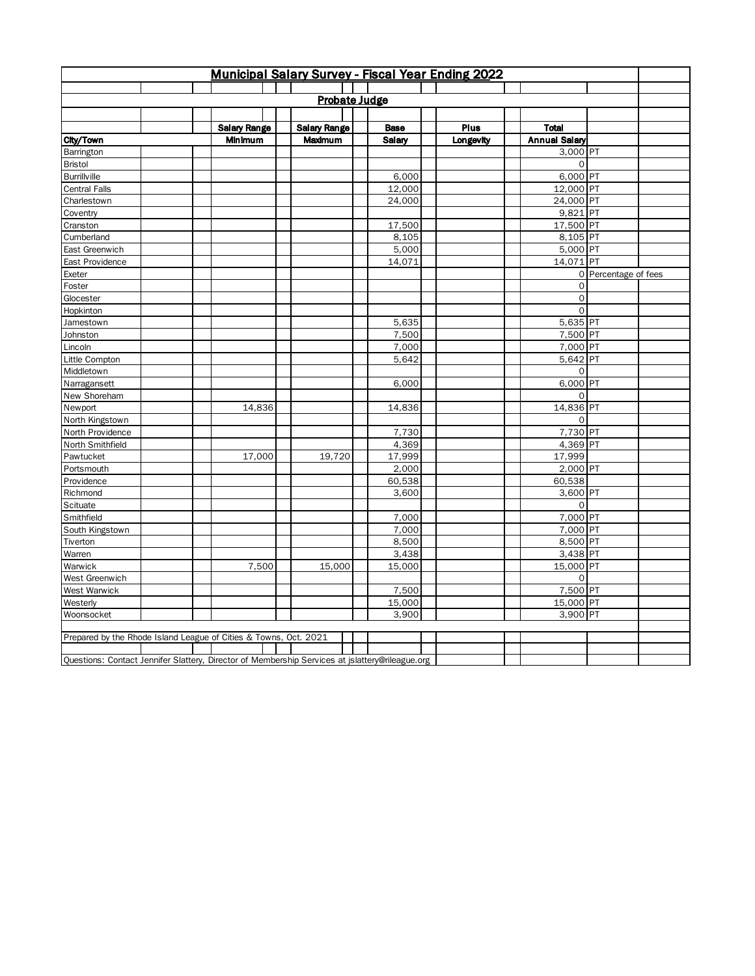|                                                                                                 |  | Municipal Salary Survey - Fiscal Year Ending 2022 |                     |             |           |                      |                      |  |
|-------------------------------------------------------------------------------------------------|--|---------------------------------------------------|---------------------|-------------|-----------|----------------------|----------------------|--|
|                                                                                                 |  |                                                   | Probate Judge       |             |           |                      |                      |  |
|                                                                                                 |  |                                                   |                     |             |           |                      |                      |  |
|                                                                                                 |  |                                                   |                     |             |           |                      |                      |  |
|                                                                                                 |  | <b>Salary Range</b>                               | <b>Salary Range</b> | <b>Base</b> | Plus      | <b>Total</b>         |                      |  |
| City/Town                                                                                       |  | Minimum                                           | Maximum             | Salary      | Longevity | <b>Annual Salary</b> |                      |  |
| Barrington                                                                                      |  |                                                   |                     |             |           | 3,000 PT             |                      |  |
| <b>Bristol</b>                                                                                  |  |                                                   |                     |             |           | $\Omega$             |                      |  |
| <b>Burrillville</b>                                                                             |  |                                                   |                     | 6,000       |           | 6,000 PT             |                      |  |
| <b>Central Falls</b>                                                                            |  |                                                   |                     | 12,000      |           | 12,000 PT            |                      |  |
| Charlestown                                                                                     |  |                                                   |                     | 24,000      |           | 24,000 PT            |                      |  |
| Coventry                                                                                        |  |                                                   |                     |             |           | 9,821 PT             |                      |  |
| Cranston                                                                                        |  |                                                   |                     | 17,500      |           | 17,500 PT            |                      |  |
| Cumberland                                                                                      |  |                                                   |                     | 8,105       |           | 8.105 PT             |                      |  |
| East Greenwich                                                                                  |  |                                                   |                     | 5,000       |           | 5,000 PT             |                      |  |
| East Providence                                                                                 |  |                                                   |                     | 14,071      |           | 14,071 PT            |                      |  |
| Exeter                                                                                          |  |                                                   |                     |             |           |                      | O Percentage of fees |  |
| Foster                                                                                          |  |                                                   |                     |             |           | $\mathbf 0$          |                      |  |
| Glocester                                                                                       |  |                                                   |                     |             |           | $\mathsf{O}$         |                      |  |
| Hopkinton                                                                                       |  |                                                   |                     |             |           | $\Omega$             |                      |  |
| Jamestown                                                                                       |  |                                                   |                     | 5,635       |           | 5,635 PT             |                      |  |
| Johnston                                                                                        |  |                                                   |                     | 7,500       |           | 7,500 PT             |                      |  |
| Lincoln                                                                                         |  |                                                   |                     | 7,000       |           | 7,000 PT             |                      |  |
| Little Compton                                                                                  |  |                                                   |                     | 5,642       |           | 5,642 PT             |                      |  |
| Middletown                                                                                      |  |                                                   |                     |             |           | 0                    |                      |  |
| Narragansett                                                                                    |  |                                                   |                     | 6,000       |           | 6,000 PT             |                      |  |
| New Shoreham                                                                                    |  |                                                   |                     |             |           | O                    |                      |  |
| Newport                                                                                         |  | 14,836                                            |                     | 14,836      |           | 14,836 PT            |                      |  |
| North Kingstown                                                                                 |  |                                                   |                     |             |           | O                    |                      |  |
| North Providence                                                                                |  |                                                   |                     | 7,730       |           | 7,730 PT             |                      |  |
| North Smithfield                                                                                |  |                                                   |                     | 4,369       |           | $4,369$ PT           |                      |  |
| Pawtucket                                                                                       |  | 17,000                                            | 19,720              | 17,999      |           | 17,999               |                      |  |
| Portsmouth                                                                                      |  |                                                   |                     | 2,000       |           | 2,000 PT             |                      |  |
| Providence                                                                                      |  |                                                   |                     | 60,538      |           | 60,538               |                      |  |
| Richmond                                                                                        |  |                                                   |                     | 3,600       |           | 3,600 PT             |                      |  |
| Scituate                                                                                        |  |                                                   |                     |             |           | $\circ$              |                      |  |
| Smithfield                                                                                      |  |                                                   |                     | 7,000       |           | 7,000 PT             |                      |  |
| South Kingstown                                                                                 |  |                                                   |                     | 7,000       |           | 7,000 PT             |                      |  |
| Tiverton                                                                                        |  |                                                   |                     | 8,500       |           | 8,500 PT             |                      |  |
| Warren                                                                                          |  |                                                   |                     | 3,438       |           | 3,438 PT             |                      |  |
| Warwick                                                                                         |  | 7,500                                             | 15,000              | 15,000      |           | 15,000 PT            |                      |  |
| West Greenwich                                                                                  |  |                                                   |                     |             |           | 0                    |                      |  |
| West Warwick                                                                                    |  |                                                   |                     | 7,500       |           | 7,500 PT             |                      |  |
| Westerly                                                                                        |  |                                                   |                     | 15,000      |           | 15,000 PT            |                      |  |
| Woonsocket                                                                                      |  |                                                   |                     | 3,900       |           | 3,900 PT             |                      |  |
|                                                                                                 |  |                                                   |                     |             |           |                      |                      |  |
| Prepared by the Rhode Island League of Cities & Towns, Oct. 2021                                |  |                                                   |                     |             |           |                      |                      |  |
|                                                                                                 |  |                                                   |                     |             |           |                      |                      |  |
| Questions: Contact Jennifer Slattery, Director of Membership Services at jslattery@rileague.org |  |                                                   |                     |             |           |                      |                      |  |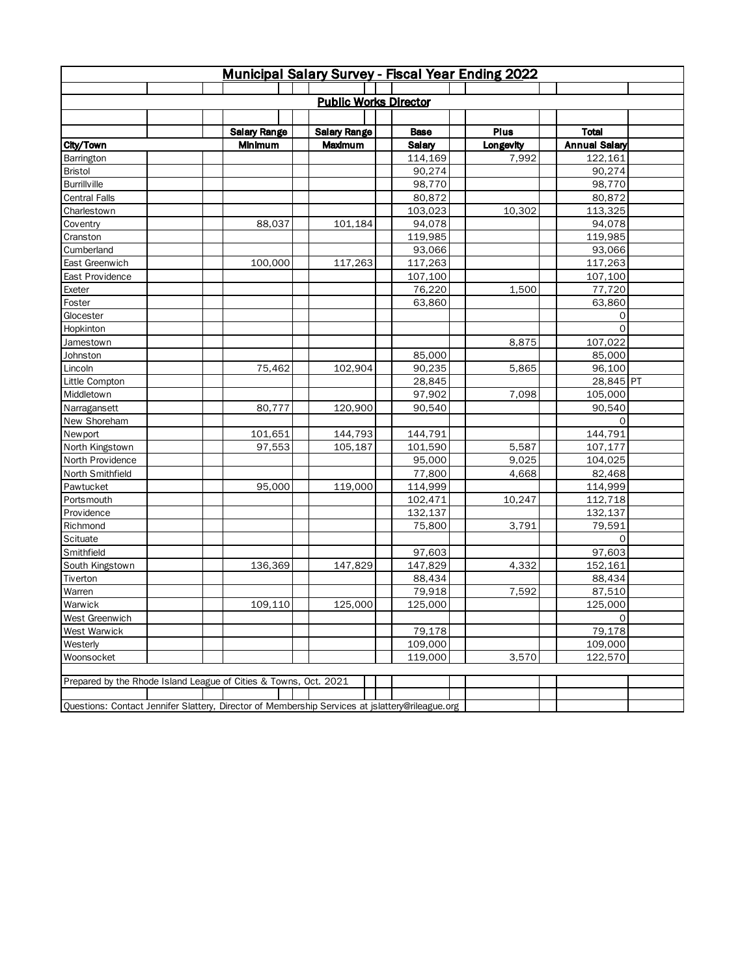| <b>Municipal Salary Survey - Fiscal Year Ending 2022</b> |                                                                                                 |                              |               |           |                      |  |  |  |  |  |  |
|----------------------------------------------------------|-------------------------------------------------------------------------------------------------|------------------------------|---------------|-----------|----------------------|--|--|--|--|--|--|
|                                                          |                                                                                                 |                              |               |           |                      |  |  |  |  |  |  |
|                                                          |                                                                                                 | <b>Public Works Director</b> |               |           |                      |  |  |  |  |  |  |
|                                                          |                                                                                                 |                              |               |           |                      |  |  |  |  |  |  |
|                                                          | <b>Salary Range</b>                                                                             | <b>Salary Range</b>          | <b>Base</b>   | Plus      | <b>Total</b>         |  |  |  |  |  |  |
| City/Town                                                | <b>Minimum</b>                                                                                  | Maximum                      | <b>Salary</b> | Longevity | <b>Annual Salary</b> |  |  |  |  |  |  |
| Barrington                                               |                                                                                                 |                              | 114,169       | 7,992     | 122,161              |  |  |  |  |  |  |
| <b>Bristol</b>                                           |                                                                                                 |                              | 90,274        |           | 90,274               |  |  |  |  |  |  |
| <b>Burrillville</b>                                      |                                                                                                 |                              | 98,770        |           | 98,770               |  |  |  |  |  |  |
| <b>Central Falls</b>                                     |                                                                                                 |                              | 80,872        |           | 80,872               |  |  |  |  |  |  |
| Charlestown                                              |                                                                                                 |                              | 103,023       | 10,302    | 113,325              |  |  |  |  |  |  |
| Coventry                                                 | 88,037                                                                                          | 101,184                      | 94,078        |           | 94,078               |  |  |  |  |  |  |
| Cranston                                                 |                                                                                                 |                              | 119,985       |           | 119,985              |  |  |  |  |  |  |
| Cumberland                                               |                                                                                                 |                              | 93,066        |           | 93,066               |  |  |  |  |  |  |
| East Greenwich                                           | 100,000                                                                                         | 117,263                      | 117,263       |           | 117,263              |  |  |  |  |  |  |
| East Providence                                          |                                                                                                 |                              | 107,100       |           | 107,100              |  |  |  |  |  |  |
| Exeter                                                   |                                                                                                 |                              | 76,220        | 1,500     | 77,720               |  |  |  |  |  |  |
| Foster                                                   |                                                                                                 |                              | 63,860        |           | 63,860               |  |  |  |  |  |  |
| Glocester                                                |                                                                                                 |                              |               |           | 0                    |  |  |  |  |  |  |
| Hopkinton                                                |                                                                                                 |                              |               |           | $\Omega$             |  |  |  |  |  |  |
| <b>Jamestown</b>                                         |                                                                                                 |                              |               | 8,875     | 107,022              |  |  |  |  |  |  |
| Johnston                                                 |                                                                                                 |                              | 85,000        |           | 85,000               |  |  |  |  |  |  |
| Lincoln                                                  | 75,462                                                                                          | 102,904                      | 90,235        | 5,865     | 96,100               |  |  |  |  |  |  |
| Little Compton                                           |                                                                                                 |                              | 28,845        |           | 28,845 PT            |  |  |  |  |  |  |
| Middletown                                               |                                                                                                 |                              | 97,902        | 7,098     | 105,000              |  |  |  |  |  |  |
| Narragansett                                             | 80,777                                                                                          | 120,900                      | 90,540        |           | 90,540               |  |  |  |  |  |  |
| New Shoreham                                             |                                                                                                 |                              |               |           | 0                    |  |  |  |  |  |  |
| Newport                                                  | 101,651                                                                                         | 144,793                      | 144,791       |           | 144,791              |  |  |  |  |  |  |
| North Kingstown                                          | 97,553                                                                                          | 105,187                      | 101,590       | 5,587     | 107,177              |  |  |  |  |  |  |
| North Providence                                         |                                                                                                 |                              | 95,000        | 9,025     | 104,025              |  |  |  |  |  |  |
| North Smithfield                                         |                                                                                                 |                              | 77,800        | 4,668     | 82,468               |  |  |  |  |  |  |
| Pawtucket                                                | 95,000                                                                                          | 119,000                      | 114,999       |           | 114,999              |  |  |  |  |  |  |
| Portsmouth                                               |                                                                                                 |                              | 102,471       | 10,247    | 112,718              |  |  |  |  |  |  |
| Providence                                               |                                                                                                 |                              | 132,137       |           | 132,137              |  |  |  |  |  |  |
| Richmond                                                 |                                                                                                 |                              | 75,800        | 3,791     | 79,591               |  |  |  |  |  |  |
| Scituate                                                 |                                                                                                 |                              |               |           | 0                    |  |  |  |  |  |  |
| Smithfield                                               |                                                                                                 |                              | 97,603        |           | 97,603               |  |  |  |  |  |  |
| South Kingstown                                          | 136,369                                                                                         | 147,829                      | 147,829       | 4,332     | 152,161              |  |  |  |  |  |  |
| Tiverton                                                 |                                                                                                 |                              | 88,434        |           | 88,434               |  |  |  |  |  |  |
| Warren                                                   |                                                                                                 |                              | 79,918        | 7,592     | 87,510               |  |  |  |  |  |  |
| Warwick                                                  | 109,110                                                                                         | 125,000                      | 125,000       |           | 125,000              |  |  |  |  |  |  |
| West Greenwich                                           |                                                                                                 |                              |               |           | 0                    |  |  |  |  |  |  |
| West Warwick                                             |                                                                                                 |                              | 79,178        |           | 79,178               |  |  |  |  |  |  |
| Westerly                                                 |                                                                                                 |                              | 109,000       |           | 109,000              |  |  |  |  |  |  |
| Woonsocket                                               |                                                                                                 |                              | 119,000       | 3,570     | 122,570              |  |  |  |  |  |  |
|                                                          |                                                                                                 |                              |               |           |                      |  |  |  |  |  |  |
|                                                          | Prepared by the Rhode Island League of Cities & Towns, Oct. 2021                                |                              |               |           |                      |  |  |  |  |  |  |
|                                                          | Questions: Contact Jennifer Slattery, Director of Membership Services at jslattery@rileague.org |                              |               |           |                      |  |  |  |  |  |  |
|                                                          |                                                                                                 |                              |               |           |                      |  |  |  |  |  |  |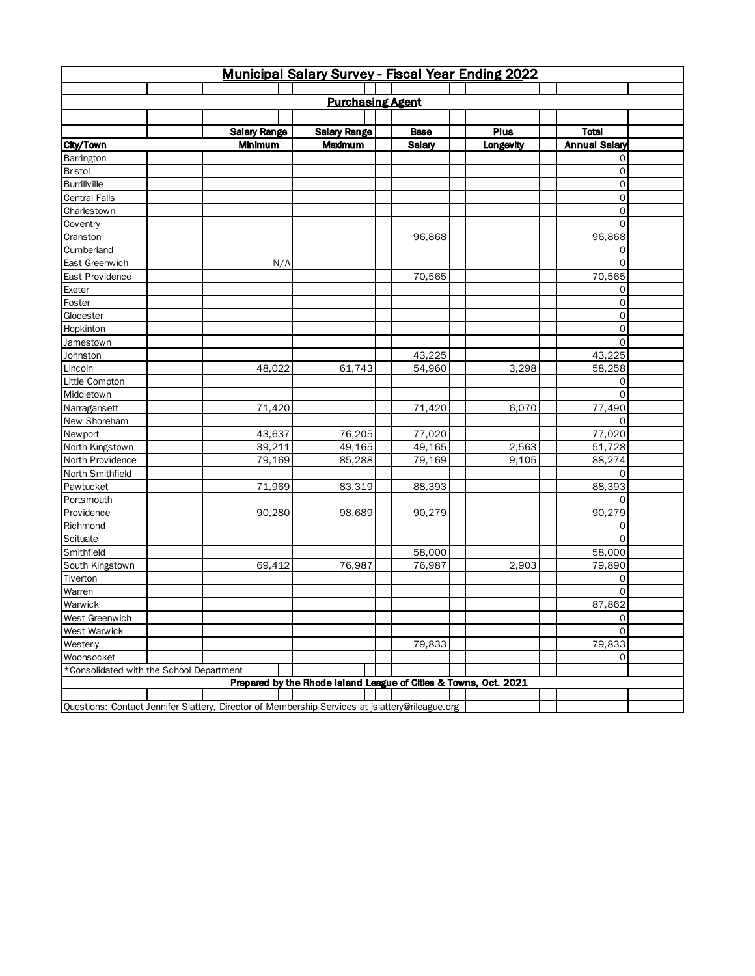| Municipal Salary Survey - Fiscal Year Ending 2022 |  |                                                                                                 |                                                                  |             |           |                      |  |  |  |  |  |
|---------------------------------------------------|--|-------------------------------------------------------------------------------------------------|------------------------------------------------------------------|-------------|-----------|----------------------|--|--|--|--|--|
|                                                   |  |                                                                                                 |                                                                  |             |           |                      |  |  |  |  |  |
|                                                   |  |                                                                                                 | <b>Purchasing Agent</b>                                          |             |           |                      |  |  |  |  |  |
|                                                   |  |                                                                                                 |                                                                  |             |           |                      |  |  |  |  |  |
|                                                   |  | <b>Salary Range</b>                                                                             | <b>Salary Range</b>                                              | <b>Base</b> | Plus      | <b>Total</b>         |  |  |  |  |  |
| City/Town                                         |  | <b>Minimum</b>                                                                                  | Maximum                                                          | Salary      | Longevity | <b>Annual Salary</b> |  |  |  |  |  |
| Barrington                                        |  |                                                                                                 |                                                                  |             |           | 0                    |  |  |  |  |  |
| Bristol                                           |  |                                                                                                 |                                                                  |             |           | 0                    |  |  |  |  |  |
| <b>Burrillville</b>                               |  |                                                                                                 |                                                                  |             |           | $\mathsf O$          |  |  |  |  |  |
| <b>Central Falls</b>                              |  |                                                                                                 |                                                                  |             |           | 0                    |  |  |  |  |  |
| Charlestown                                       |  |                                                                                                 |                                                                  |             |           | $\mathbf 0$          |  |  |  |  |  |
| Coventry                                          |  |                                                                                                 |                                                                  |             |           | 0                    |  |  |  |  |  |
| Cranston                                          |  |                                                                                                 |                                                                  | 96,868      |           | 96,868               |  |  |  |  |  |
| Cumberland                                        |  |                                                                                                 |                                                                  |             |           | 0                    |  |  |  |  |  |
| East Greenwich                                    |  | N/A                                                                                             |                                                                  |             |           | $\Omega$             |  |  |  |  |  |
| East Providence                                   |  |                                                                                                 |                                                                  | 70,565      |           | 70,565               |  |  |  |  |  |
| Exeter                                            |  |                                                                                                 |                                                                  |             |           | 0                    |  |  |  |  |  |
| Foster                                            |  |                                                                                                 |                                                                  |             |           | 0                    |  |  |  |  |  |
| Glocester                                         |  |                                                                                                 |                                                                  |             |           | 0                    |  |  |  |  |  |
| Hopkinton                                         |  |                                                                                                 |                                                                  |             |           | 0                    |  |  |  |  |  |
| Jamestown                                         |  |                                                                                                 |                                                                  |             |           | 0                    |  |  |  |  |  |
| Johnston                                          |  |                                                                                                 |                                                                  | 43,225      |           | 43,225               |  |  |  |  |  |
| Lincoln                                           |  | 48,022                                                                                          | 61,743                                                           | 54,960      | 3,298     | 58,258               |  |  |  |  |  |
| Little Compton                                    |  |                                                                                                 |                                                                  |             |           | 0                    |  |  |  |  |  |
| Middletown                                        |  |                                                                                                 |                                                                  |             |           | $\Omega$             |  |  |  |  |  |
| Narragansett                                      |  | 71,420                                                                                          |                                                                  | 71,420      | 6,070     | 77,490               |  |  |  |  |  |
| New Shoreham                                      |  |                                                                                                 |                                                                  |             |           | 0                    |  |  |  |  |  |
| Newport                                           |  | 43,637                                                                                          | 76,205                                                           | 77,020      |           | 77,020               |  |  |  |  |  |
| North Kingstown                                   |  | 39,211                                                                                          | 49,165                                                           | 49,165      | 2,563     | 51,728               |  |  |  |  |  |
| North Providence                                  |  | 79,169                                                                                          | 85,288                                                           | 79,169      | 9,105     | 88,274               |  |  |  |  |  |
| North Smithfield                                  |  |                                                                                                 |                                                                  |             |           | 0                    |  |  |  |  |  |
| Pawtucket                                         |  | 71,969                                                                                          | 83,319                                                           | 88,393      |           | 88,393               |  |  |  |  |  |
| Portsmouth                                        |  |                                                                                                 |                                                                  |             |           | $\Omega$             |  |  |  |  |  |
| Providence                                        |  | 90,280                                                                                          | 98,689                                                           | 90,279      |           | 90,279               |  |  |  |  |  |
| Richmond                                          |  |                                                                                                 |                                                                  |             |           | 0                    |  |  |  |  |  |
| Scituate                                          |  |                                                                                                 |                                                                  |             |           | 0                    |  |  |  |  |  |
| Smithfield                                        |  |                                                                                                 |                                                                  | 58,000      |           | 58,000               |  |  |  |  |  |
| South Kingstown                                   |  | 69,412                                                                                          | 76,987                                                           | 76,987      | 2,903     | 79,890               |  |  |  |  |  |
| Tiverton                                          |  |                                                                                                 |                                                                  |             |           | 0                    |  |  |  |  |  |
| Warren                                            |  |                                                                                                 |                                                                  |             |           | $\mathsf O$          |  |  |  |  |  |
| Warwick                                           |  |                                                                                                 |                                                                  |             |           | 87,862               |  |  |  |  |  |
| West Greenwich                                    |  |                                                                                                 |                                                                  |             |           | 0                    |  |  |  |  |  |
| West Warwick                                      |  |                                                                                                 |                                                                  |             |           | $\mathsf{O}$         |  |  |  |  |  |
| Westerly                                          |  |                                                                                                 |                                                                  | 79,833      |           | 79,833               |  |  |  |  |  |
| Woonsocket                                        |  |                                                                                                 |                                                                  |             |           | 0                    |  |  |  |  |  |
| *Consolidated with the School Department          |  |                                                                                                 | Prepared by the Rhode Island League of Cities & Towns, Oct. 2021 |             |           |                      |  |  |  |  |  |
|                                                   |  |                                                                                                 |                                                                  |             |           |                      |  |  |  |  |  |
|                                                   |  | Questions: Contact Jennifer Slattery, Director of Membership Services at jslattery@rileague.org |                                                                  |             |           |                      |  |  |  |  |  |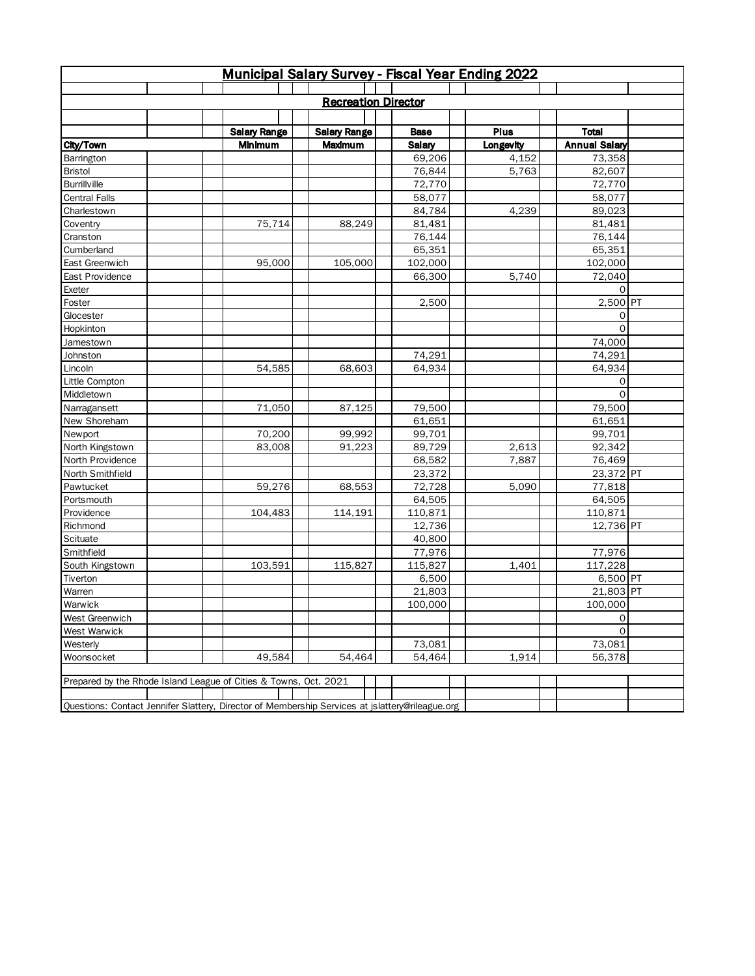| <b>Municipal Salary Survey - Fiscal Year Ending 2022</b>                                        |                     |                            |               |             |                      |  |  |  |  |  |  |
|-------------------------------------------------------------------------------------------------|---------------------|----------------------------|---------------|-------------|----------------------|--|--|--|--|--|--|
|                                                                                                 |                     |                            |               |             |                      |  |  |  |  |  |  |
|                                                                                                 |                     | <b>Recreation Director</b> |               |             |                      |  |  |  |  |  |  |
|                                                                                                 |                     |                            |               |             |                      |  |  |  |  |  |  |
|                                                                                                 | <b>Salary Range</b> | <b>Salary Range</b>        | <b>Base</b>   | <b>Plus</b> | <b>Total</b>         |  |  |  |  |  |  |
| City/Town                                                                                       | <b>Minimum</b>      | Maximum                    | <b>Salary</b> | Longevity   | <b>Annual Salary</b> |  |  |  |  |  |  |
| Barrington                                                                                      |                     |                            | 69,206        | 4,152       | 73,358               |  |  |  |  |  |  |
| <b>Bristol</b>                                                                                  |                     |                            | 76,844        | 5,763       | 82,607               |  |  |  |  |  |  |
| <b>Burrillville</b>                                                                             |                     |                            | 72,770        |             | 72,770               |  |  |  |  |  |  |
| <b>Central Falls</b>                                                                            |                     |                            | 58,077        |             | 58,077               |  |  |  |  |  |  |
| Charlestown                                                                                     |                     |                            | 84,784        | 4,239       | 89,023               |  |  |  |  |  |  |
| Coventry                                                                                        | 75,714              | 88,249                     | 81,481        |             | 81,481               |  |  |  |  |  |  |
| Cranston                                                                                        |                     |                            | 76,144        |             | 76,144               |  |  |  |  |  |  |
| Cumberland                                                                                      |                     |                            | 65,351        |             | 65,351               |  |  |  |  |  |  |
| East Greenwich                                                                                  | 95,000              | 105,000                    | 102,000       |             | 102,000              |  |  |  |  |  |  |
| East Providence                                                                                 |                     |                            | 66,300        | 5,740       | 72,040               |  |  |  |  |  |  |
| Exeter                                                                                          |                     |                            |               |             | $\Omega$             |  |  |  |  |  |  |
| Foster                                                                                          |                     |                            | 2,500         |             | 2,500 PT             |  |  |  |  |  |  |
| Glocester                                                                                       |                     |                            |               |             | 0                    |  |  |  |  |  |  |
| Hopkinton                                                                                       |                     |                            |               |             | $\Omega$             |  |  |  |  |  |  |
| Jamestown                                                                                       |                     |                            |               |             | 74,000               |  |  |  |  |  |  |
| Johnston                                                                                        |                     |                            | 74,291        |             | 74,291               |  |  |  |  |  |  |
| Lincoln                                                                                         | 54,585              | 68,603                     | 64,934        |             | 64,934               |  |  |  |  |  |  |
| Little Compton                                                                                  |                     |                            |               |             | 0                    |  |  |  |  |  |  |
| Middletown                                                                                      |                     |                            |               |             | $\Omega$             |  |  |  |  |  |  |
| Narragansett                                                                                    | 71,050              | 87,125                     | 79,500        |             | 79,500               |  |  |  |  |  |  |
| New Shoreham                                                                                    |                     |                            | 61,651        |             | 61,651               |  |  |  |  |  |  |
| Newport                                                                                         | 70,200              | 99,992                     | 99,701        |             | 99,701               |  |  |  |  |  |  |
| North Kingstown                                                                                 | 83,008              | 91,223                     | 89,729        | 2,613       | 92,342               |  |  |  |  |  |  |
| North Providence                                                                                |                     |                            | 68,582        | 7,887       | 76,469               |  |  |  |  |  |  |
| North Smithfield                                                                                |                     |                            | 23,372        |             | 23,372 PT            |  |  |  |  |  |  |
| Pawtucket                                                                                       | 59,276              | 68,553                     | 72,728        | 5,090       | 77,818               |  |  |  |  |  |  |
| Portsmouth                                                                                      |                     |                            | 64,505        |             | 64,505               |  |  |  |  |  |  |
| Providence                                                                                      | 104,483             | 114,191                    | 110,871       |             | 110,871              |  |  |  |  |  |  |
| Richmond                                                                                        |                     |                            | 12,736        |             | 12,736 PT            |  |  |  |  |  |  |
| Scituate                                                                                        |                     |                            | 40,800        |             |                      |  |  |  |  |  |  |
| Smithfield                                                                                      |                     |                            | 77,976        |             | 77,976               |  |  |  |  |  |  |
| South Kingstown                                                                                 | 103,591             | 115,827                    | 115,827       | 1,401       | 117,228              |  |  |  |  |  |  |
| Tiverton                                                                                        |                     |                            | 6,500         |             | 6,500 PT             |  |  |  |  |  |  |
| Warren                                                                                          |                     |                            | 21,803        |             | 21,803 PT            |  |  |  |  |  |  |
| Warwick                                                                                         |                     |                            | 100,000       |             | 100,000              |  |  |  |  |  |  |
| West Greenwich                                                                                  |                     |                            |               |             | 0                    |  |  |  |  |  |  |
| West Warwick                                                                                    |                     |                            |               |             | $\Omega$             |  |  |  |  |  |  |
| Westerly                                                                                        |                     |                            | 73,081        |             | 73,081               |  |  |  |  |  |  |
| Woonsocket                                                                                      | 49,584              | 54.464                     | 54,464        | 1,914       | 56,378               |  |  |  |  |  |  |
| Prepared by the Rhode Island League of Cities & Towns, Oct. 2021                                |                     |                            |               |             |                      |  |  |  |  |  |  |
|                                                                                                 |                     |                            |               |             |                      |  |  |  |  |  |  |
| Questions: Contact Jennifer Slattery, Director of Membership Services at jslattery@rileague.org |                     |                            |               |             |                      |  |  |  |  |  |  |
|                                                                                                 |                     |                            |               |             |                      |  |  |  |  |  |  |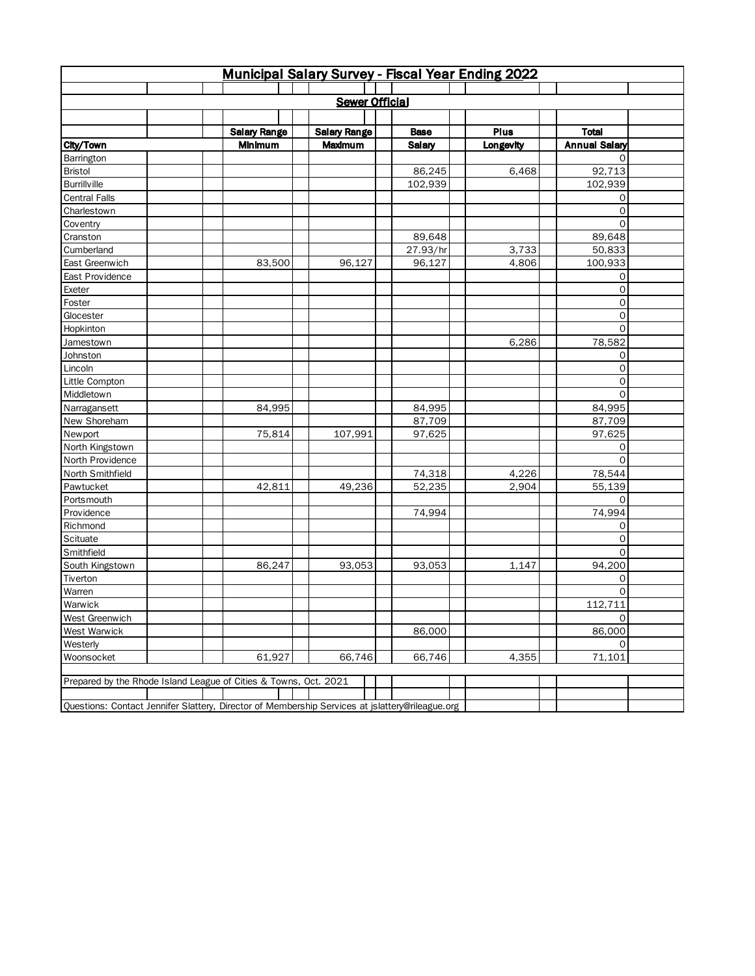| Municipal Salary Survey - Fiscal Year Ending 2022 |                                                                  |                                                                                                 |                       |             |           |                      |  |  |  |  |  |  |
|---------------------------------------------------|------------------------------------------------------------------|-------------------------------------------------------------------------------------------------|-----------------------|-------------|-----------|----------------------|--|--|--|--|--|--|
|                                                   |                                                                  |                                                                                                 |                       |             |           |                      |  |  |  |  |  |  |
|                                                   |                                                                  |                                                                                                 | <b>Sewer Official</b> |             |           |                      |  |  |  |  |  |  |
|                                                   |                                                                  |                                                                                                 |                       |             |           |                      |  |  |  |  |  |  |
|                                                   |                                                                  | <b>Salary Range</b>                                                                             | <b>Salary Range</b>   | <b>Base</b> | Plus      | <b>Total</b>         |  |  |  |  |  |  |
| City/Town                                         |                                                                  | <b>Minimum</b>                                                                                  | Maximum               | Salary      | Longevity | <b>Annual Salary</b> |  |  |  |  |  |  |
| Barrington                                        |                                                                  |                                                                                                 |                       |             |           | 0                    |  |  |  |  |  |  |
| Bristol                                           |                                                                  |                                                                                                 |                       | 86,245      | 6,468     | 92,713               |  |  |  |  |  |  |
| <b>Burrillville</b>                               |                                                                  |                                                                                                 |                       | 102,939     |           | 102,939              |  |  |  |  |  |  |
| <b>Central Falls</b>                              |                                                                  |                                                                                                 |                       |             |           | 0                    |  |  |  |  |  |  |
| Charlestown                                       |                                                                  |                                                                                                 |                       |             |           | 0                    |  |  |  |  |  |  |
| Coventry                                          |                                                                  |                                                                                                 |                       |             |           | 0                    |  |  |  |  |  |  |
| Cranston                                          |                                                                  |                                                                                                 |                       | 89,648      |           | 89,648               |  |  |  |  |  |  |
| Cumberland                                        |                                                                  |                                                                                                 |                       | 27.93/hr    | 3,733     | 50,833               |  |  |  |  |  |  |
| East Greenwich                                    |                                                                  | 83,500                                                                                          | 96,127                | 96,127      | 4,806     | 100,933              |  |  |  |  |  |  |
| East Providence                                   |                                                                  |                                                                                                 |                       |             |           | 0                    |  |  |  |  |  |  |
| Exeter                                            |                                                                  |                                                                                                 |                       |             |           | 0                    |  |  |  |  |  |  |
| Foster                                            |                                                                  |                                                                                                 |                       |             |           | $\mathsf O$          |  |  |  |  |  |  |
| Glocester                                         |                                                                  |                                                                                                 |                       |             |           | $\mathsf{O}$         |  |  |  |  |  |  |
| Hopkinton                                         |                                                                  |                                                                                                 |                       |             |           | $\mathbf 0$          |  |  |  |  |  |  |
| Jamestown                                         |                                                                  |                                                                                                 |                       |             | 6,286     | 78,582               |  |  |  |  |  |  |
| Johnston                                          |                                                                  |                                                                                                 |                       |             |           | 0                    |  |  |  |  |  |  |
| Lincoln                                           |                                                                  |                                                                                                 |                       |             |           | $\mathbf 0$          |  |  |  |  |  |  |
| Little Compton                                    |                                                                  |                                                                                                 |                       |             |           | 0                    |  |  |  |  |  |  |
| Middletown                                        |                                                                  |                                                                                                 |                       |             |           | 0                    |  |  |  |  |  |  |
| Narragansett                                      |                                                                  | 84,995                                                                                          |                       | 84,995      |           | 84,995               |  |  |  |  |  |  |
| New Shoreham                                      |                                                                  |                                                                                                 |                       | 87,709      |           | 87,709               |  |  |  |  |  |  |
| Newport                                           |                                                                  | 75,814                                                                                          | 107,991               | 97,625      |           | 97,625               |  |  |  |  |  |  |
| North Kingstown                                   |                                                                  |                                                                                                 |                       |             |           | 0                    |  |  |  |  |  |  |
| North Providence                                  |                                                                  |                                                                                                 |                       |             |           | 0                    |  |  |  |  |  |  |
| North Smithfield                                  |                                                                  |                                                                                                 |                       | 74,318      | 4,226     | 78,544               |  |  |  |  |  |  |
| Pawtucket                                         |                                                                  | 42,811                                                                                          | 49,236                | 52,235      | 2,904     | 55,139               |  |  |  |  |  |  |
| Portsmouth                                        |                                                                  |                                                                                                 |                       |             |           | $\Omega$             |  |  |  |  |  |  |
| Providence                                        |                                                                  |                                                                                                 |                       | 74,994      |           | 74,994               |  |  |  |  |  |  |
| Richmond                                          |                                                                  |                                                                                                 |                       |             |           | 0                    |  |  |  |  |  |  |
| Scituate                                          |                                                                  |                                                                                                 |                       |             |           | 0                    |  |  |  |  |  |  |
| Smithfield                                        |                                                                  |                                                                                                 |                       |             |           | 0                    |  |  |  |  |  |  |
| South Kingstown                                   |                                                                  | 86,247                                                                                          | 93,053                | 93,053      | 1,147     | 94,200               |  |  |  |  |  |  |
| Tiverton                                          |                                                                  |                                                                                                 |                       |             |           | 0                    |  |  |  |  |  |  |
| Warren                                            |                                                                  |                                                                                                 |                       |             |           | 0                    |  |  |  |  |  |  |
| Warwick                                           |                                                                  |                                                                                                 |                       |             |           | 112,711              |  |  |  |  |  |  |
| West Greenwich<br>West Warwick                    |                                                                  |                                                                                                 |                       | 86,000      |           | 0<br>86,000          |  |  |  |  |  |  |
|                                                   |                                                                  |                                                                                                 |                       |             |           |                      |  |  |  |  |  |  |
| Westerly<br>Woonsocket                            |                                                                  | 61,927                                                                                          | 66,746                | 66,746      |           | 0<br>71,101          |  |  |  |  |  |  |
|                                                   |                                                                  |                                                                                                 |                       |             | 4,355     |                      |  |  |  |  |  |  |
|                                                   | Prepared by the Rhode Island League of Cities & Towns, Oct. 2021 |                                                                                                 |                       |             |           |                      |  |  |  |  |  |  |
|                                                   |                                                                  |                                                                                                 |                       |             |           |                      |  |  |  |  |  |  |
|                                                   |                                                                  | Questions: Contact Jennifer Slattery, Director of Membership Services at jslattery@rileague.org |                       |             |           |                      |  |  |  |  |  |  |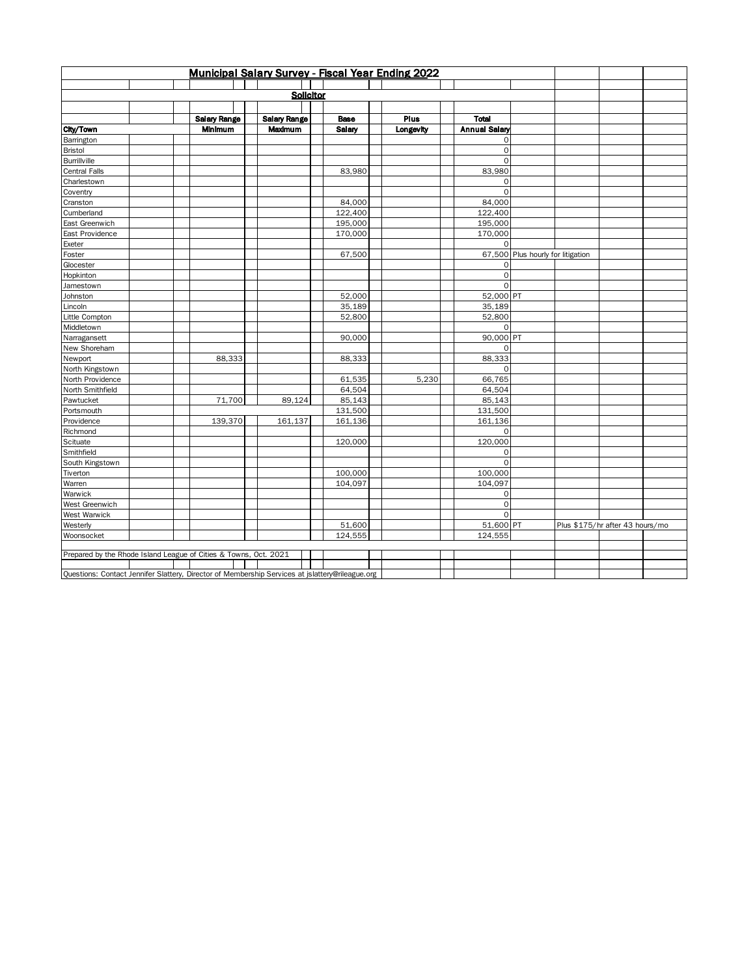|                                                                                                 |                     | Municipal Salary Survey - Fiscal Year Ending 2022 |                    |           |                        |                                   |                                 |
|-------------------------------------------------------------------------------------------------|---------------------|---------------------------------------------------|--------------------|-----------|------------------------|-----------------------------------|---------------------------------|
|                                                                                                 |                     | <b>Solicitor</b>                                  |                    |           |                        |                                   |                                 |
|                                                                                                 |                     |                                                   |                    |           |                        |                                   |                                 |
|                                                                                                 |                     |                                                   |                    |           |                        |                                   |                                 |
|                                                                                                 | <b>Salary Range</b> | <b>Salary Range</b>                               | <b>Base</b>        | Plus      | <b>Total</b>           |                                   |                                 |
| City/Town                                                                                       | Minimum             | Maximum                                           | Salary             | Longevity | <b>Annual Salary</b>   |                                   |                                 |
| Barrington                                                                                      |                     |                                                   |                    |           | $\circ$                |                                   |                                 |
| <b>Bristol</b>                                                                                  |                     |                                                   |                    |           | $\circ$<br>$\Omega$    |                                   |                                 |
| <b>Burrillville</b>                                                                             |                     |                                                   |                    |           |                        |                                   |                                 |
| <b>Central Falls</b>                                                                            |                     |                                                   | 83,980             |           | 83,980                 |                                   |                                 |
| Charlestown                                                                                     |                     |                                                   |                    |           | $\mathbf 0$<br>$\circ$ |                                   |                                 |
| Coventry                                                                                        |                     |                                                   |                    |           |                        |                                   |                                 |
| Cranston                                                                                        |                     |                                                   | 84,000<br>122,400  |           | 84,000<br>122,400      |                                   |                                 |
| Cumberland                                                                                      |                     |                                                   |                    |           |                        |                                   |                                 |
| East Greenwich                                                                                  |                     |                                                   | 195,000            |           | 195,000                |                                   |                                 |
| East Providence                                                                                 |                     |                                                   | 170,000            |           | 170,000                |                                   |                                 |
| Exeter                                                                                          |                     |                                                   |                    |           | $\circ$                |                                   |                                 |
| Foster                                                                                          |                     |                                                   | 67,500             |           |                        | 67,500 Plus hourly for litigation |                                 |
| Glocester                                                                                       |                     |                                                   |                    |           | $\circ$<br>$\circ$     |                                   |                                 |
| Hopkinton                                                                                       |                     |                                                   |                    |           |                        |                                   |                                 |
| Jamestown                                                                                       |                     |                                                   |                    |           | $\Omega$               |                                   |                                 |
| Johnston                                                                                        |                     |                                                   | 52,000             |           | 52,000 PT              |                                   |                                 |
| Lincoln                                                                                         |                     |                                                   | 35,189             |           | 35,189                 |                                   |                                 |
| Little Compton                                                                                  |                     |                                                   | 52,800             |           | 52,800                 |                                   |                                 |
| Middletown                                                                                      |                     |                                                   |                    |           | $\circ$                |                                   |                                 |
| Narragansett                                                                                    |                     |                                                   | 90,000             |           | 90,000 PT              |                                   |                                 |
| New Shoreham                                                                                    |                     |                                                   |                    |           | $\Omega$               |                                   |                                 |
| Newport                                                                                         | 88,333              |                                                   | 88,333             |           | 88,333                 |                                   |                                 |
| North Kingstown                                                                                 |                     |                                                   |                    |           | $\circ$                |                                   |                                 |
| North Providence                                                                                |                     |                                                   | 61,535             | 5,230     | 66,765                 |                                   |                                 |
| North Smithfield                                                                                |                     |                                                   | 64,504             |           | 64,504                 |                                   |                                 |
| Pawtucket                                                                                       | 71,700              | 89,124                                            | 85,143             |           | 85,143                 |                                   |                                 |
| Portsmouth                                                                                      |                     |                                                   | 131,500            |           | 131,500                |                                   |                                 |
| Providence                                                                                      | 139,370             | 161,137                                           | 161,136            |           | 161,136                |                                   |                                 |
| Richmond                                                                                        |                     |                                                   |                    |           | $\circ$                |                                   |                                 |
| Scituate                                                                                        |                     |                                                   | 120,000            |           | 120,000                |                                   |                                 |
| Smithfield                                                                                      |                     |                                                   |                    |           | $\circ$<br>$\Omega$    |                                   |                                 |
| South Kingstown                                                                                 |                     |                                                   |                    |           |                        |                                   |                                 |
| Tiverton                                                                                        |                     |                                                   | 100,000<br>104,097 |           | 100,000                |                                   |                                 |
| Warren                                                                                          |                     |                                                   |                    |           | 104,097                |                                   |                                 |
| Warwick                                                                                         |                     |                                                   |                    |           | $\circ$                |                                   |                                 |
| West Greenwich                                                                                  |                     |                                                   |                    |           | $\circ$<br>$\Omega$    |                                   |                                 |
| West Warwick                                                                                    |                     |                                                   |                    |           |                        |                                   |                                 |
| Westerly                                                                                        |                     |                                                   | 51,600             |           | 51,600 PT              |                                   | Plus \$175/hr after 43 hours/mo |
| Woonsocket                                                                                      |                     |                                                   | 124,555            |           | 124,555                |                                   |                                 |
| Prepared by the Rhode Island League of Cities & Towns, Oct. 2021                                |                     |                                                   |                    |           |                        |                                   |                                 |
|                                                                                                 |                     |                                                   |                    |           |                        |                                   |                                 |
| Questions: Contact Jennifer Slattery, Director of Membership Services at jslattery@rileague.org |                     |                                                   |                    |           |                        |                                   |                                 |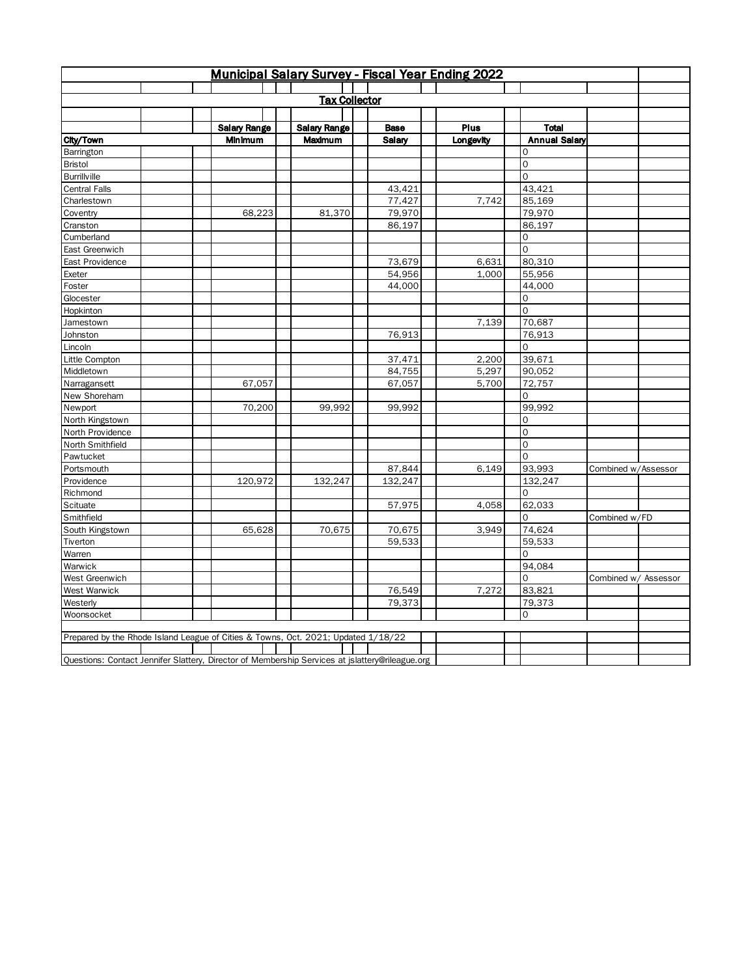| <b>Tax Collector</b><br><b>Salary Range</b><br><b>Salary Range</b><br>Plus<br><b>Total</b><br><b>Base</b><br>City/Town<br>Minimum<br><b>Annual Salary</b><br>Maximum<br>Salary<br>Longevity<br>Barrington<br>$\Omega$<br>$\Omega$<br>Bristol<br>$\Omega$<br><b>Burrillville</b><br>43,421<br>43,421<br><b>Central Falls</b><br>77,427<br>7,742<br>85,169<br>Charlestown<br>81,370<br>79,970<br>79,970<br>Coventry<br>68,223<br>86,197<br>Cranston<br>86,197<br>Cumberland<br>$\circ$<br>$\mathsf{O}$<br>East Greenwich<br>80,310<br>East Providence<br>73,679<br>6,631<br>1,000<br>54,956<br>55,956<br>Exeter<br>44,000<br>Foster<br>44,000<br>Glocester<br>$\Omega$<br>$\Omega$<br>Hopkinton<br>7,139<br>70,687<br>Jamestown<br>76,913<br>76,913<br>Johnston<br>Lincoln<br>$\Omega$<br>39,671<br>37,471<br>2,200<br>Little Compton<br>Middletown<br>5,297<br>90,052<br>84,755<br>67,057<br>67,057<br>Narragansett<br>5,700<br>72,757<br>New Shoreham<br>$\Omega$<br>Newport<br>70,200<br>99,992<br>99,992<br>99,992<br>North Kingstown<br>0<br>North Providence<br>$\circ$<br>North Smithfield<br>$\mathsf{O}$<br>$\Omega$<br>Pawtucket<br>93,993<br>Portsmouth<br>87,844<br>6,149<br>Combined w/Assessor<br>132,247<br>Providence<br>120,972<br>132,247<br>132,247<br>Richmond<br>$\Omega$<br>62,033<br>Scituate<br>57,975<br>4,058<br>$\Omega$<br>Smithfield<br>Combined w/FD<br>70,675<br>70,675<br>74,624<br>South Kingstown<br>65,628<br>3,949<br>Tiverton<br>59,533<br>59,533<br>Warren<br>0<br>94,084<br>Warwick<br>West Greenwich<br>Combined w/ Assessor<br>0<br>West Warwick<br>83,821<br>76,549<br>7,272<br>Westerly<br>79,373<br>79,373<br>Woonsocket<br>$\Omega$<br>Prepared by the Rhode Island League of Cities & Towns, Oct. 2021; Updated 1/18/22 | <b>Municipal Salary Survey - Fiscal Year Ending 2022</b> |  |  |  |  |  |  |  |  |  |  |  |
|---------------------------------------------------------------------------------------------------------------------------------------------------------------------------------------------------------------------------------------------------------------------------------------------------------------------------------------------------------------------------------------------------------------------------------------------------------------------------------------------------------------------------------------------------------------------------------------------------------------------------------------------------------------------------------------------------------------------------------------------------------------------------------------------------------------------------------------------------------------------------------------------------------------------------------------------------------------------------------------------------------------------------------------------------------------------------------------------------------------------------------------------------------------------------------------------------------------------------------------------------------------------------------------------------------------------------------------------------------------------------------------------------------------------------------------------------------------------------------------------------------------------------------------------------------------------------------------------------------------------------------------------------------------------------------------------------------------------------------------------------------------------|----------------------------------------------------------|--|--|--|--|--|--|--|--|--|--|--|
|                                                                                                                                                                                                                                                                                                                                                                                                                                                                                                                                                                                                                                                                                                                                                                                                                                                                                                                                                                                                                                                                                                                                                                                                                                                                                                                                                                                                                                                                                                                                                                                                                                                                                                                                                                     |                                                          |  |  |  |  |  |  |  |  |  |  |  |
|                                                                                                                                                                                                                                                                                                                                                                                                                                                                                                                                                                                                                                                                                                                                                                                                                                                                                                                                                                                                                                                                                                                                                                                                                                                                                                                                                                                                                                                                                                                                                                                                                                                                                                                                                                     |                                                          |  |  |  |  |  |  |  |  |  |  |  |
|                                                                                                                                                                                                                                                                                                                                                                                                                                                                                                                                                                                                                                                                                                                                                                                                                                                                                                                                                                                                                                                                                                                                                                                                                                                                                                                                                                                                                                                                                                                                                                                                                                                                                                                                                                     |                                                          |  |  |  |  |  |  |  |  |  |  |  |
|                                                                                                                                                                                                                                                                                                                                                                                                                                                                                                                                                                                                                                                                                                                                                                                                                                                                                                                                                                                                                                                                                                                                                                                                                                                                                                                                                                                                                                                                                                                                                                                                                                                                                                                                                                     |                                                          |  |  |  |  |  |  |  |  |  |  |  |
|                                                                                                                                                                                                                                                                                                                                                                                                                                                                                                                                                                                                                                                                                                                                                                                                                                                                                                                                                                                                                                                                                                                                                                                                                                                                                                                                                                                                                                                                                                                                                                                                                                                                                                                                                                     |                                                          |  |  |  |  |  |  |  |  |  |  |  |
|                                                                                                                                                                                                                                                                                                                                                                                                                                                                                                                                                                                                                                                                                                                                                                                                                                                                                                                                                                                                                                                                                                                                                                                                                                                                                                                                                                                                                                                                                                                                                                                                                                                                                                                                                                     |                                                          |  |  |  |  |  |  |  |  |  |  |  |
|                                                                                                                                                                                                                                                                                                                                                                                                                                                                                                                                                                                                                                                                                                                                                                                                                                                                                                                                                                                                                                                                                                                                                                                                                                                                                                                                                                                                                                                                                                                                                                                                                                                                                                                                                                     |                                                          |  |  |  |  |  |  |  |  |  |  |  |
|                                                                                                                                                                                                                                                                                                                                                                                                                                                                                                                                                                                                                                                                                                                                                                                                                                                                                                                                                                                                                                                                                                                                                                                                                                                                                                                                                                                                                                                                                                                                                                                                                                                                                                                                                                     |                                                          |  |  |  |  |  |  |  |  |  |  |  |
|                                                                                                                                                                                                                                                                                                                                                                                                                                                                                                                                                                                                                                                                                                                                                                                                                                                                                                                                                                                                                                                                                                                                                                                                                                                                                                                                                                                                                                                                                                                                                                                                                                                                                                                                                                     |                                                          |  |  |  |  |  |  |  |  |  |  |  |
|                                                                                                                                                                                                                                                                                                                                                                                                                                                                                                                                                                                                                                                                                                                                                                                                                                                                                                                                                                                                                                                                                                                                                                                                                                                                                                                                                                                                                                                                                                                                                                                                                                                                                                                                                                     |                                                          |  |  |  |  |  |  |  |  |  |  |  |
|                                                                                                                                                                                                                                                                                                                                                                                                                                                                                                                                                                                                                                                                                                                                                                                                                                                                                                                                                                                                                                                                                                                                                                                                                                                                                                                                                                                                                                                                                                                                                                                                                                                                                                                                                                     |                                                          |  |  |  |  |  |  |  |  |  |  |  |
|                                                                                                                                                                                                                                                                                                                                                                                                                                                                                                                                                                                                                                                                                                                                                                                                                                                                                                                                                                                                                                                                                                                                                                                                                                                                                                                                                                                                                                                                                                                                                                                                                                                                                                                                                                     |                                                          |  |  |  |  |  |  |  |  |  |  |  |
|                                                                                                                                                                                                                                                                                                                                                                                                                                                                                                                                                                                                                                                                                                                                                                                                                                                                                                                                                                                                                                                                                                                                                                                                                                                                                                                                                                                                                                                                                                                                                                                                                                                                                                                                                                     |                                                          |  |  |  |  |  |  |  |  |  |  |  |
|                                                                                                                                                                                                                                                                                                                                                                                                                                                                                                                                                                                                                                                                                                                                                                                                                                                                                                                                                                                                                                                                                                                                                                                                                                                                                                                                                                                                                                                                                                                                                                                                                                                                                                                                                                     |                                                          |  |  |  |  |  |  |  |  |  |  |  |
|                                                                                                                                                                                                                                                                                                                                                                                                                                                                                                                                                                                                                                                                                                                                                                                                                                                                                                                                                                                                                                                                                                                                                                                                                                                                                                                                                                                                                                                                                                                                                                                                                                                                                                                                                                     |                                                          |  |  |  |  |  |  |  |  |  |  |  |
|                                                                                                                                                                                                                                                                                                                                                                                                                                                                                                                                                                                                                                                                                                                                                                                                                                                                                                                                                                                                                                                                                                                                                                                                                                                                                                                                                                                                                                                                                                                                                                                                                                                                                                                                                                     |                                                          |  |  |  |  |  |  |  |  |  |  |  |
|                                                                                                                                                                                                                                                                                                                                                                                                                                                                                                                                                                                                                                                                                                                                                                                                                                                                                                                                                                                                                                                                                                                                                                                                                                                                                                                                                                                                                                                                                                                                                                                                                                                                                                                                                                     |                                                          |  |  |  |  |  |  |  |  |  |  |  |
|                                                                                                                                                                                                                                                                                                                                                                                                                                                                                                                                                                                                                                                                                                                                                                                                                                                                                                                                                                                                                                                                                                                                                                                                                                                                                                                                                                                                                                                                                                                                                                                                                                                                                                                                                                     |                                                          |  |  |  |  |  |  |  |  |  |  |  |
|                                                                                                                                                                                                                                                                                                                                                                                                                                                                                                                                                                                                                                                                                                                                                                                                                                                                                                                                                                                                                                                                                                                                                                                                                                                                                                                                                                                                                                                                                                                                                                                                                                                                                                                                                                     |                                                          |  |  |  |  |  |  |  |  |  |  |  |
|                                                                                                                                                                                                                                                                                                                                                                                                                                                                                                                                                                                                                                                                                                                                                                                                                                                                                                                                                                                                                                                                                                                                                                                                                                                                                                                                                                                                                                                                                                                                                                                                                                                                                                                                                                     |                                                          |  |  |  |  |  |  |  |  |  |  |  |
|                                                                                                                                                                                                                                                                                                                                                                                                                                                                                                                                                                                                                                                                                                                                                                                                                                                                                                                                                                                                                                                                                                                                                                                                                                                                                                                                                                                                                                                                                                                                                                                                                                                                                                                                                                     |                                                          |  |  |  |  |  |  |  |  |  |  |  |
|                                                                                                                                                                                                                                                                                                                                                                                                                                                                                                                                                                                                                                                                                                                                                                                                                                                                                                                                                                                                                                                                                                                                                                                                                                                                                                                                                                                                                                                                                                                                                                                                                                                                                                                                                                     |                                                          |  |  |  |  |  |  |  |  |  |  |  |
|                                                                                                                                                                                                                                                                                                                                                                                                                                                                                                                                                                                                                                                                                                                                                                                                                                                                                                                                                                                                                                                                                                                                                                                                                                                                                                                                                                                                                                                                                                                                                                                                                                                                                                                                                                     |                                                          |  |  |  |  |  |  |  |  |  |  |  |
|                                                                                                                                                                                                                                                                                                                                                                                                                                                                                                                                                                                                                                                                                                                                                                                                                                                                                                                                                                                                                                                                                                                                                                                                                                                                                                                                                                                                                                                                                                                                                                                                                                                                                                                                                                     |                                                          |  |  |  |  |  |  |  |  |  |  |  |
|                                                                                                                                                                                                                                                                                                                                                                                                                                                                                                                                                                                                                                                                                                                                                                                                                                                                                                                                                                                                                                                                                                                                                                                                                                                                                                                                                                                                                                                                                                                                                                                                                                                                                                                                                                     |                                                          |  |  |  |  |  |  |  |  |  |  |  |
|                                                                                                                                                                                                                                                                                                                                                                                                                                                                                                                                                                                                                                                                                                                                                                                                                                                                                                                                                                                                                                                                                                                                                                                                                                                                                                                                                                                                                                                                                                                                                                                                                                                                                                                                                                     |                                                          |  |  |  |  |  |  |  |  |  |  |  |
|                                                                                                                                                                                                                                                                                                                                                                                                                                                                                                                                                                                                                                                                                                                                                                                                                                                                                                                                                                                                                                                                                                                                                                                                                                                                                                                                                                                                                                                                                                                                                                                                                                                                                                                                                                     |                                                          |  |  |  |  |  |  |  |  |  |  |  |
|                                                                                                                                                                                                                                                                                                                                                                                                                                                                                                                                                                                                                                                                                                                                                                                                                                                                                                                                                                                                                                                                                                                                                                                                                                                                                                                                                                                                                                                                                                                                                                                                                                                                                                                                                                     |                                                          |  |  |  |  |  |  |  |  |  |  |  |
|                                                                                                                                                                                                                                                                                                                                                                                                                                                                                                                                                                                                                                                                                                                                                                                                                                                                                                                                                                                                                                                                                                                                                                                                                                                                                                                                                                                                                                                                                                                                                                                                                                                                                                                                                                     |                                                          |  |  |  |  |  |  |  |  |  |  |  |
|                                                                                                                                                                                                                                                                                                                                                                                                                                                                                                                                                                                                                                                                                                                                                                                                                                                                                                                                                                                                                                                                                                                                                                                                                                                                                                                                                                                                                                                                                                                                                                                                                                                                                                                                                                     |                                                          |  |  |  |  |  |  |  |  |  |  |  |
|                                                                                                                                                                                                                                                                                                                                                                                                                                                                                                                                                                                                                                                                                                                                                                                                                                                                                                                                                                                                                                                                                                                                                                                                                                                                                                                                                                                                                                                                                                                                                                                                                                                                                                                                                                     |                                                          |  |  |  |  |  |  |  |  |  |  |  |
|                                                                                                                                                                                                                                                                                                                                                                                                                                                                                                                                                                                                                                                                                                                                                                                                                                                                                                                                                                                                                                                                                                                                                                                                                                                                                                                                                                                                                                                                                                                                                                                                                                                                                                                                                                     |                                                          |  |  |  |  |  |  |  |  |  |  |  |
|                                                                                                                                                                                                                                                                                                                                                                                                                                                                                                                                                                                                                                                                                                                                                                                                                                                                                                                                                                                                                                                                                                                                                                                                                                                                                                                                                                                                                                                                                                                                                                                                                                                                                                                                                                     |                                                          |  |  |  |  |  |  |  |  |  |  |  |
|                                                                                                                                                                                                                                                                                                                                                                                                                                                                                                                                                                                                                                                                                                                                                                                                                                                                                                                                                                                                                                                                                                                                                                                                                                                                                                                                                                                                                                                                                                                                                                                                                                                                                                                                                                     |                                                          |  |  |  |  |  |  |  |  |  |  |  |
|                                                                                                                                                                                                                                                                                                                                                                                                                                                                                                                                                                                                                                                                                                                                                                                                                                                                                                                                                                                                                                                                                                                                                                                                                                                                                                                                                                                                                                                                                                                                                                                                                                                                                                                                                                     |                                                          |  |  |  |  |  |  |  |  |  |  |  |
|                                                                                                                                                                                                                                                                                                                                                                                                                                                                                                                                                                                                                                                                                                                                                                                                                                                                                                                                                                                                                                                                                                                                                                                                                                                                                                                                                                                                                                                                                                                                                                                                                                                                                                                                                                     |                                                          |  |  |  |  |  |  |  |  |  |  |  |
|                                                                                                                                                                                                                                                                                                                                                                                                                                                                                                                                                                                                                                                                                                                                                                                                                                                                                                                                                                                                                                                                                                                                                                                                                                                                                                                                                                                                                                                                                                                                                                                                                                                                                                                                                                     |                                                          |  |  |  |  |  |  |  |  |  |  |  |
|                                                                                                                                                                                                                                                                                                                                                                                                                                                                                                                                                                                                                                                                                                                                                                                                                                                                                                                                                                                                                                                                                                                                                                                                                                                                                                                                                                                                                                                                                                                                                                                                                                                                                                                                                                     |                                                          |  |  |  |  |  |  |  |  |  |  |  |
|                                                                                                                                                                                                                                                                                                                                                                                                                                                                                                                                                                                                                                                                                                                                                                                                                                                                                                                                                                                                                                                                                                                                                                                                                                                                                                                                                                                                                                                                                                                                                                                                                                                                                                                                                                     |                                                          |  |  |  |  |  |  |  |  |  |  |  |
|                                                                                                                                                                                                                                                                                                                                                                                                                                                                                                                                                                                                                                                                                                                                                                                                                                                                                                                                                                                                                                                                                                                                                                                                                                                                                                                                                                                                                                                                                                                                                                                                                                                                                                                                                                     |                                                          |  |  |  |  |  |  |  |  |  |  |  |
|                                                                                                                                                                                                                                                                                                                                                                                                                                                                                                                                                                                                                                                                                                                                                                                                                                                                                                                                                                                                                                                                                                                                                                                                                                                                                                                                                                                                                                                                                                                                                                                                                                                                                                                                                                     |                                                          |  |  |  |  |  |  |  |  |  |  |  |
|                                                                                                                                                                                                                                                                                                                                                                                                                                                                                                                                                                                                                                                                                                                                                                                                                                                                                                                                                                                                                                                                                                                                                                                                                                                                                                                                                                                                                                                                                                                                                                                                                                                                                                                                                                     |                                                          |  |  |  |  |  |  |  |  |  |  |  |
|                                                                                                                                                                                                                                                                                                                                                                                                                                                                                                                                                                                                                                                                                                                                                                                                                                                                                                                                                                                                                                                                                                                                                                                                                                                                                                                                                                                                                                                                                                                                                                                                                                                                                                                                                                     |                                                          |  |  |  |  |  |  |  |  |  |  |  |
|                                                                                                                                                                                                                                                                                                                                                                                                                                                                                                                                                                                                                                                                                                                                                                                                                                                                                                                                                                                                                                                                                                                                                                                                                                                                                                                                                                                                                                                                                                                                                                                                                                                                                                                                                                     |                                                          |  |  |  |  |  |  |  |  |  |  |  |
|                                                                                                                                                                                                                                                                                                                                                                                                                                                                                                                                                                                                                                                                                                                                                                                                                                                                                                                                                                                                                                                                                                                                                                                                                                                                                                                                                                                                                                                                                                                                                                                                                                                                                                                                                                     |                                                          |  |  |  |  |  |  |  |  |  |  |  |
| Questions: Contact Jennifer Slattery, Director of Membership Services at jslattery@rileague.org                                                                                                                                                                                                                                                                                                                                                                                                                                                                                                                                                                                                                                                                                                                                                                                                                                                                                                                                                                                                                                                                                                                                                                                                                                                                                                                                                                                                                                                                                                                                                                                                                                                                     |                                                          |  |  |  |  |  |  |  |  |  |  |  |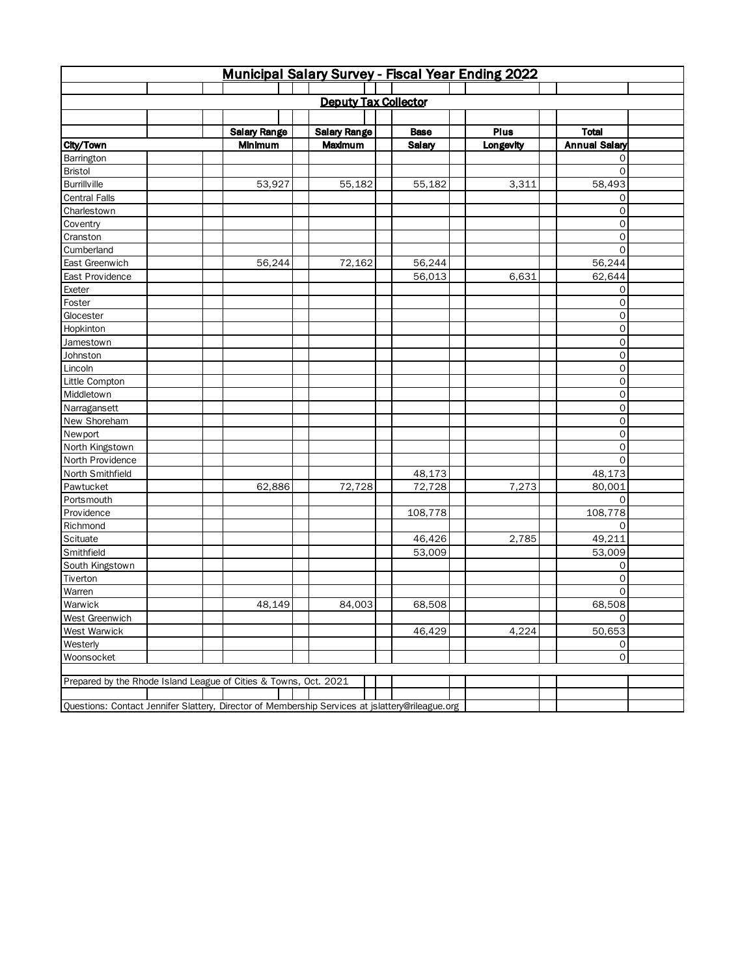| Municipal Salary Survey - Fiscal Year Ending 2022 |                                                                                                 |                             |             |           |                      |  |  |  |  |  |  |
|---------------------------------------------------|-------------------------------------------------------------------------------------------------|-----------------------------|-------------|-----------|----------------------|--|--|--|--|--|--|
|                                                   |                                                                                                 |                             |             |           |                      |  |  |  |  |  |  |
|                                                   |                                                                                                 | <b>Deputy Tax Collector</b> |             |           |                      |  |  |  |  |  |  |
|                                                   |                                                                                                 |                             |             |           |                      |  |  |  |  |  |  |
|                                                   | <b>Salary Range</b>                                                                             | <b>Salary Range</b>         | <b>Base</b> | Plus      | <b>Total</b>         |  |  |  |  |  |  |
| City/Town                                         | Minimum                                                                                         | Maximum                     | Salary      | Longevity | <b>Annual Salary</b> |  |  |  |  |  |  |
| Barrington                                        |                                                                                                 |                             |             |           | 0                    |  |  |  |  |  |  |
| Bristol                                           |                                                                                                 |                             |             |           | 0                    |  |  |  |  |  |  |
| Burrillville                                      | 53,927                                                                                          | 55,182                      | 55,182      | 3,311     | 58,493               |  |  |  |  |  |  |
| <b>Central Falls</b>                              |                                                                                                 |                             |             |           | 0                    |  |  |  |  |  |  |
| Charlestown                                       |                                                                                                 |                             |             |           | 0                    |  |  |  |  |  |  |
| Coventry                                          |                                                                                                 |                             |             |           | $\mathbf 0$          |  |  |  |  |  |  |
| Cranston                                          |                                                                                                 |                             |             |           | 0                    |  |  |  |  |  |  |
| Cumberland                                        |                                                                                                 |                             |             |           | $\mathbf 0$          |  |  |  |  |  |  |
| East Greenwich                                    | 56,244                                                                                          | 72,162                      | 56,244      |           | 56,244               |  |  |  |  |  |  |
| East Providence                                   |                                                                                                 |                             | 56,013      | 6,631     | 62,644               |  |  |  |  |  |  |
| Exeter                                            |                                                                                                 |                             |             |           | 0                    |  |  |  |  |  |  |
| Foster                                            |                                                                                                 |                             |             |           | 0                    |  |  |  |  |  |  |
| Glocester                                         |                                                                                                 |                             |             |           | 0                    |  |  |  |  |  |  |
| Hopkinton                                         |                                                                                                 |                             |             |           | $\mathsf O$          |  |  |  |  |  |  |
| Jamestown                                         |                                                                                                 |                             |             |           | $\mathbf 0$          |  |  |  |  |  |  |
| Johnston                                          |                                                                                                 |                             |             |           | 0                    |  |  |  |  |  |  |
| Lincoln                                           |                                                                                                 |                             |             |           | $\mathsf{O}\xspace$  |  |  |  |  |  |  |
| Little Compton                                    |                                                                                                 |                             |             |           | 0                    |  |  |  |  |  |  |
| Middletown                                        |                                                                                                 |                             |             |           | $\mathsf{O}\xspace$  |  |  |  |  |  |  |
| Narragansett                                      |                                                                                                 |                             |             |           | 0                    |  |  |  |  |  |  |
| New Shoreham                                      |                                                                                                 |                             |             |           | $\mathsf{O}\xspace$  |  |  |  |  |  |  |
| Newport                                           |                                                                                                 |                             |             |           | $\mathsf{O}\xspace$  |  |  |  |  |  |  |
| North Kingstown                                   |                                                                                                 |                             |             |           | 0                    |  |  |  |  |  |  |
| North Providence                                  |                                                                                                 |                             |             |           | $\mathbf 0$          |  |  |  |  |  |  |
| North Smithfield                                  |                                                                                                 |                             | 48,173      |           | 48,173               |  |  |  |  |  |  |
| Pawtucket                                         | 62,886                                                                                          | 72,728                      | 72,728      | 7,273     | 80,001               |  |  |  |  |  |  |
| Portsmouth                                        |                                                                                                 |                             |             |           | 0                    |  |  |  |  |  |  |
| Providence                                        |                                                                                                 |                             | 108,778     |           | 108,778              |  |  |  |  |  |  |
| Richmond                                          |                                                                                                 |                             |             |           | 0                    |  |  |  |  |  |  |
| Scituate                                          |                                                                                                 |                             | 46,426      | 2,785     | 49,211               |  |  |  |  |  |  |
| Smithfield                                        |                                                                                                 |                             | 53,009      |           | 53,009               |  |  |  |  |  |  |
| South Kingstown                                   |                                                                                                 |                             |             |           | 0                    |  |  |  |  |  |  |
| Tiverton                                          |                                                                                                 |                             |             |           | 0                    |  |  |  |  |  |  |
| Warren                                            |                                                                                                 |                             |             |           | 0                    |  |  |  |  |  |  |
| Warwick                                           | 48,149                                                                                          | 84,003                      | 68,508      |           | 68,508               |  |  |  |  |  |  |
| West Greenwich                                    |                                                                                                 |                             |             |           | 0                    |  |  |  |  |  |  |
| West Warwick                                      |                                                                                                 |                             | 46,429      | 4,224     | 50,653               |  |  |  |  |  |  |
| Westerly                                          |                                                                                                 |                             |             |           | 0                    |  |  |  |  |  |  |
| Woonsocket                                        |                                                                                                 |                             |             |           | $\mathsf O$          |  |  |  |  |  |  |
|                                                   |                                                                                                 |                             |             |           |                      |  |  |  |  |  |  |
|                                                   | Prepared by the Rhode Island League of Cities & Towns, Oct. 2021                                |                             |             |           |                      |  |  |  |  |  |  |
|                                                   |                                                                                                 |                             |             |           |                      |  |  |  |  |  |  |
|                                                   | Questions: Contact Jennifer Slattery, Director of Membership Services at jslattery@rileague.org |                             |             |           |                      |  |  |  |  |  |  |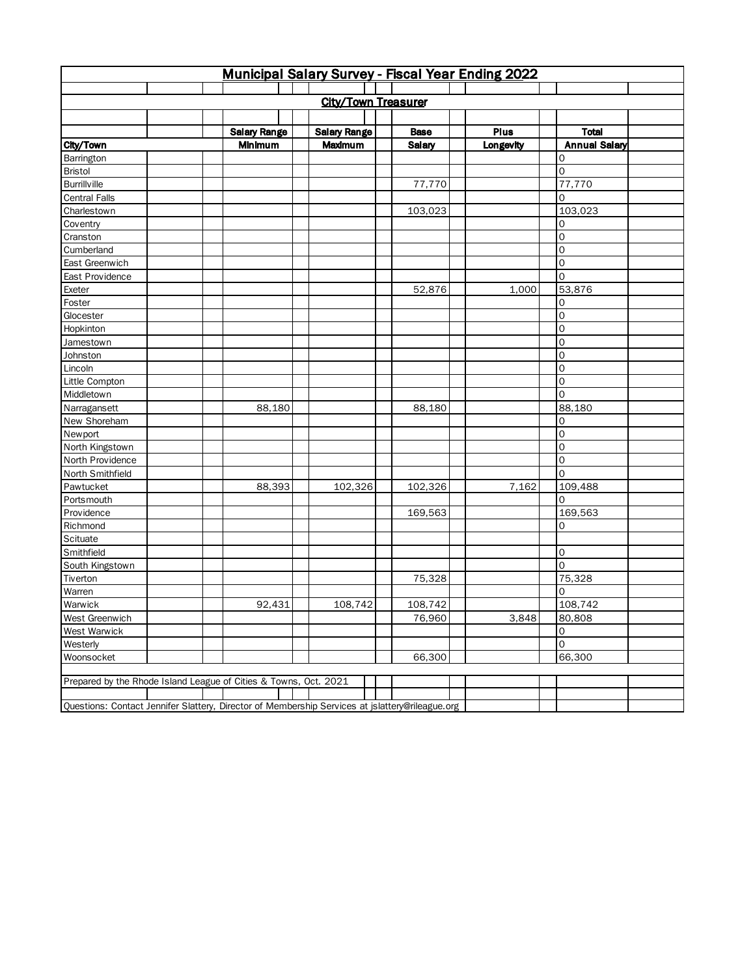| Municipal Salary Survey - Fiscal Year Ending 2022                                               |  |                     |                            |             |           |                      |  |  |  |  |  |  |
|-------------------------------------------------------------------------------------------------|--|---------------------|----------------------------|-------------|-----------|----------------------|--|--|--|--|--|--|
|                                                                                                 |  |                     |                            |             |           |                      |  |  |  |  |  |  |
|                                                                                                 |  |                     | <b>City/Town Treasurer</b> |             |           |                      |  |  |  |  |  |  |
|                                                                                                 |  |                     |                            |             |           |                      |  |  |  |  |  |  |
|                                                                                                 |  | <b>Salary Range</b> | <b>Salary Range</b>        | <b>Base</b> | Plus      | <b>Total</b>         |  |  |  |  |  |  |
| City/Town                                                                                       |  | Minimum             | Maximum                    | Salary      | Longevity | <b>Annual Salary</b> |  |  |  |  |  |  |
| Barrington                                                                                      |  |                     |                            |             |           | 0                    |  |  |  |  |  |  |
| Bristol                                                                                         |  |                     |                            |             |           | 0                    |  |  |  |  |  |  |
| Burrillville                                                                                    |  |                     |                            | 77,770      |           | 77,770               |  |  |  |  |  |  |
| <b>Central Falls</b>                                                                            |  |                     |                            |             |           | 0                    |  |  |  |  |  |  |
| Charlestown                                                                                     |  |                     |                            | 103,023     |           | 103,023              |  |  |  |  |  |  |
| Coventry                                                                                        |  |                     |                            |             |           | 0                    |  |  |  |  |  |  |
| Cranston                                                                                        |  |                     |                            |             |           | 0                    |  |  |  |  |  |  |
| Cumberland                                                                                      |  |                     |                            |             |           | 0                    |  |  |  |  |  |  |
| East Greenwich                                                                                  |  |                     |                            |             |           | 0                    |  |  |  |  |  |  |
| East Providence                                                                                 |  |                     |                            |             |           | 0                    |  |  |  |  |  |  |
| Exeter                                                                                          |  |                     |                            | 52,876      | 1,000     | 53,876               |  |  |  |  |  |  |
| Foster                                                                                          |  |                     |                            |             |           | 0                    |  |  |  |  |  |  |
| Glocester                                                                                       |  |                     |                            |             |           | 0                    |  |  |  |  |  |  |
| Hopkinton                                                                                       |  |                     |                            |             |           | 0                    |  |  |  |  |  |  |
| Jamestown                                                                                       |  |                     |                            |             |           | 0                    |  |  |  |  |  |  |
| Johnston                                                                                        |  |                     |                            |             |           | 0                    |  |  |  |  |  |  |
| Lincoln                                                                                         |  |                     |                            |             |           | 0                    |  |  |  |  |  |  |
| Little Compton                                                                                  |  |                     |                            |             |           | 0                    |  |  |  |  |  |  |
| Middletown                                                                                      |  |                     |                            |             |           | 0                    |  |  |  |  |  |  |
| Narragansett                                                                                    |  | 88,180              |                            | 88,180      |           | 88,180               |  |  |  |  |  |  |
| New Shoreham                                                                                    |  |                     |                            |             |           | 0                    |  |  |  |  |  |  |
| Newport                                                                                         |  |                     |                            |             |           | 0                    |  |  |  |  |  |  |
| North Kingstown                                                                                 |  |                     |                            |             |           | $\mathsf{O}\xspace$  |  |  |  |  |  |  |
| North Providence                                                                                |  |                     |                            |             |           | 0                    |  |  |  |  |  |  |
| North Smithfield                                                                                |  |                     |                            |             |           | 0                    |  |  |  |  |  |  |
| Pawtucket                                                                                       |  | 88,393              | 102,326                    | 102,326     | 7,162     | 109,488              |  |  |  |  |  |  |
| Portsmouth                                                                                      |  |                     |                            |             |           | 0                    |  |  |  |  |  |  |
| Providence                                                                                      |  |                     |                            | 169,563     |           | 169,563              |  |  |  |  |  |  |
| Richmond                                                                                        |  |                     |                            |             |           | 0                    |  |  |  |  |  |  |
| Scituate                                                                                        |  |                     |                            |             |           |                      |  |  |  |  |  |  |
| Smithfield                                                                                      |  |                     |                            |             |           | 0                    |  |  |  |  |  |  |
| South Kingstown                                                                                 |  |                     |                            |             |           | 0                    |  |  |  |  |  |  |
| Tiverton                                                                                        |  |                     |                            | 75,328      |           | 75,328               |  |  |  |  |  |  |
| Warren                                                                                          |  |                     |                            |             |           | 0                    |  |  |  |  |  |  |
| Warwick                                                                                         |  | 92,431              | 108,742                    | 108,742     |           | 108,742              |  |  |  |  |  |  |
| West Greenwich                                                                                  |  |                     |                            | 76,960      | 3,848     | 80,808               |  |  |  |  |  |  |
| West Warwick                                                                                    |  |                     |                            |             |           | 0                    |  |  |  |  |  |  |
| Westerly                                                                                        |  |                     |                            |             |           | 0                    |  |  |  |  |  |  |
| Woonsocket                                                                                      |  |                     |                            | 66,300      |           | 66,300               |  |  |  |  |  |  |
|                                                                                                 |  |                     |                            |             |           |                      |  |  |  |  |  |  |
| Prepared by the Rhode Island League of Cities & Towns, Oct. 2021                                |  |                     |                            |             |           |                      |  |  |  |  |  |  |
| Questions: Contact Jennifer Slattery, Director of Membership Services at jslattery@rileague.org |  |                     |                            |             |           |                      |  |  |  |  |  |  |
|                                                                                                 |  |                     |                            |             |           |                      |  |  |  |  |  |  |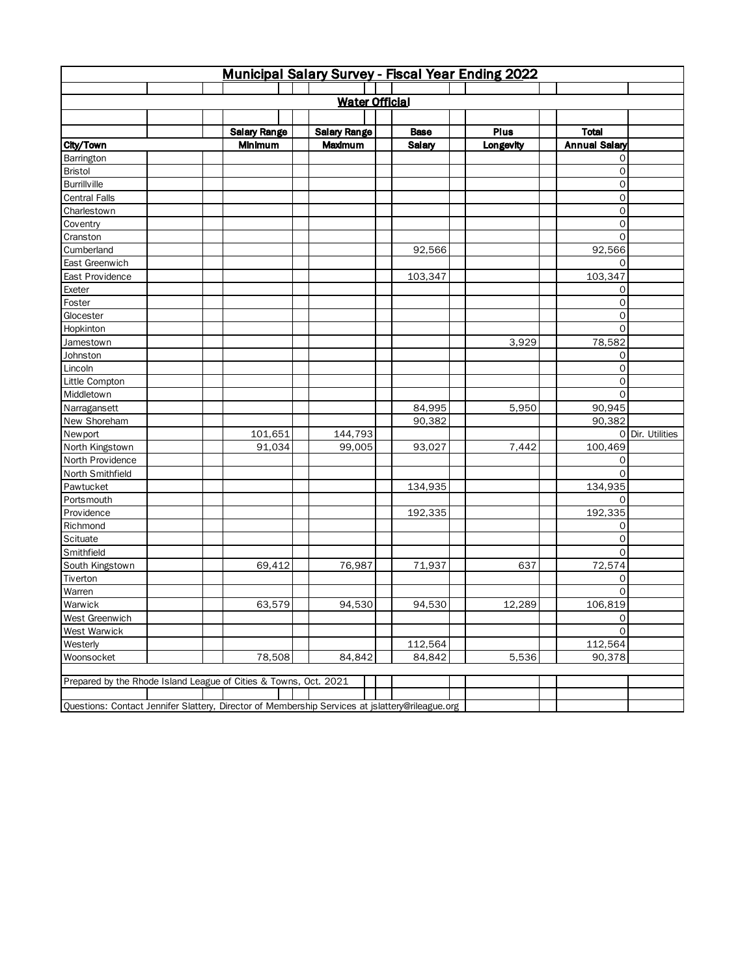| Municipal Salary Survey - Fiscal Year Ending 2022                                               |  |                     |                       |                   |           |                      |                  |  |  |  |  |
|-------------------------------------------------------------------------------------------------|--|---------------------|-----------------------|-------------------|-----------|----------------------|------------------|--|--|--|--|
|                                                                                                 |  |                     |                       |                   |           |                      |                  |  |  |  |  |
|                                                                                                 |  |                     | <b>Water Official</b> |                   |           |                      |                  |  |  |  |  |
|                                                                                                 |  |                     |                       |                   |           |                      |                  |  |  |  |  |
|                                                                                                 |  | <b>Salary Range</b> | <b>Salary Range</b>   | <b>Base</b>       | Plus      | <b>Total</b>         |                  |  |  |  |  |
| City/Town                                                                                       |  | Minimum             | Maximum               | Salary            | Longevity | <b>Annual Salary</b> |                  |  |  |  |  |
| Barrington                                                                                      |  |                     |                       |                   |           | 0                    |                  |  |  |  |  |
| Bristol                                                                                         |  |                     |                       |                   |           | 0                    |                  |  |  |  |  |
| <b>Burrillville</b>                                                                             |  |                     |                       |                   |           | 0                    |                  |  |  |  |  |
| <b>Central Falls</b>                                                                            |  |                     |                       |                   |           | 0                    |                  |  |  |  |  |
| Charlestown                                                                                     |  |                     |                       |                   |           | $\mathsf O$          |                  |  |  |  |  |
| Coventry                                                                                        |  |                     |                       |                   |           | 0                    |                  |  |  |  |  |
| Cranston                                                                                        |  |                     |                       |                   |           | $\mathsf O$          |                  |  |  |  |  |
| Cumberland                                                                                      |  |                     |                       | 92,566            |           | 92,566               |                  |  |  |  |  |
| East Greenwich                                                                                  |  |                     |                       |                   |           | 0                    |                  |  |  |  |  |
| East Providence                                                                                 |  |                     |                       | 103,347           |           | 103,347              |                  |  |  |  |  |
| Exeter                                                                                          |  |                     |                       |                   |           | 0                    |                  |  |  |  |  |
| Foster                                                                                          |  |                     |                       |                   |           | 0                    |                  |  |  |  |  |
| Glocester                                                                                       |  |                     |                       |                   |           | 0                    |                  |  |  |  |  |
| Hopkinton                                                                                       |  |                     |                       |                   |           | 0                    |                  |  |  |  |  |
| Jamestown                                                                                       |  |                     |                       |                   | 3,929     | 78,582               |                  |  |  |  |  |
| Johnston                                                                                        |  |                     |                       |                   |           | 0                    |                  |  |  |  |  |
| Lincoln                                                                                         |  |                     |                       |                   |           | $\mathbf 0$          |                  |  |  |  |  |
| Little Compton                                                                                  |  |                     |                       |                   |           | 0                    |                  |  |  |  |  |
| Middletown                                                                                      |  |                     |                       |                   |           | 0                    |                  |  |  |  |  |
| Narragansett                                                                                    |  |                     |                       | 84,995            | 5,950     | 90,945               |                  |  |  |  |  |
| New Shoreham                                                                                    |  |                     |                       | 90,382            |           | 90,382               |                  |  |  |  |  |
| Newport                                                                                         |  | 101,651             | 144,793               |                   |           |                      | O Dir. Utilities |  |  |  |  |
| North Kingstown                                                                                 |  | 91,034              | 99,005                | 93,027            | 7,442     | 100,469              |                  |  |  |  |  |
| North Providence                                                                                |  |                     |                       |                   |           | 0                    |                  |  |  |  |  |
| North Smithfield                                                                                |  |                     |                       |                   |           | 0                    |                  |  |  |  |  |
| Pawtucket                                                                                       |  |                     |                       | 134,935           |           | 134,935              |                  |  |  |  |  |
| Portsmouth                                                                                      |  |                     |                       |                   |           | $\Omega$             |                  |  |  |  |  |
| Providence                                                                                      |  |                     |                       | 192,335           |           | 192,335              |                  |  |  |  |  |
| Richmond                                                                                        |  |                     |                       |                   |           | 0                    |                  |  |  |  |  |
| Scituate                                                                                        |  |                     |                       |                   |           | 0                    |                  |  |  |  |  |
| Smithfield                                                                                      |  |                     |                       |                   |           | 0                    |                  |  |  |  |  |
| South Kingstown                                                                                 |  | 69,412              | 76,987                | 71,937            | 637       | 72,574               |                  |  |  |  |  |
| Tiverton                                                                                        |  |                     |                       |                   |           | 0                    |                  |  |  |  |  |
| Warren                                                                                          |  |                     |                       |                   |           | 0                    |                  |  |  |  |  |
| Warwick                                                                                         |  | 63,579              | 94,530                | 94,530            | 12,289    | 106,819              |                  |  |  |  |  |
| West Greenwich                                                                                  |  |                     |                       |                   |           | 0<br>$\Omega$        |                  |  |  |  |  |
| West Warwick                                                                                    |  |                     |                       |                   |           |                      |                  |  |  |  |  |
| Westerly<br>Woonsocket                                                                          |  | 78,508              | 84,842                | 112,564<br>84,842 | 5,536     | 112,564<br>90,378    |                  |  |  |  |  |
|                                                                                                 |  |                     |                       |                   |           |                      |                  |  |  |  |  |
| Prepared by the Rhode Island League of Cities & Towns, Oct. 2021                                |  |                     |                       |                   |           |                      |                  |  |  |  |  |
|                                                                                                 |  |                     |                       |                   |           |                      |                  |  |  |  |  |
| Questions: Contact Jennifer Slattery, Director of Membership Services at jslattery@rileague.org |  |                     |                       |                   |           |                      |                  |  |  |  |  |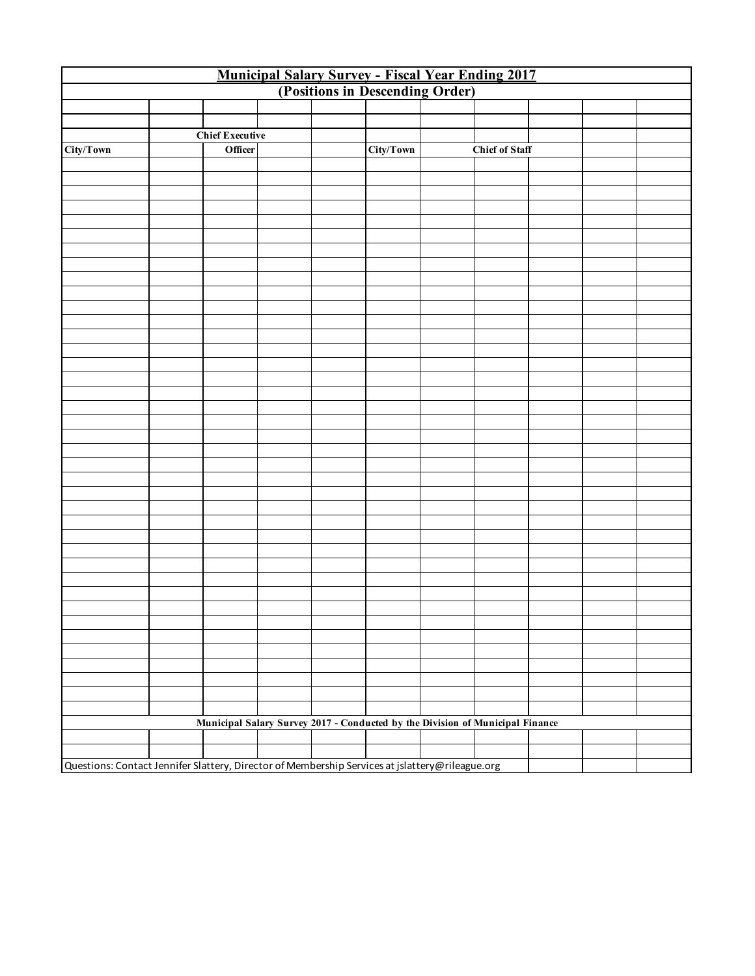| <b>Municipal Salary Survey - Fiscal Year Ending 2017</b><br>(Positions in Descending Order)     |  |                        |  |                                                                               |           |  |                       |  |  |  |  |  |
|-------------------------------------------------------------------------------------------------|--|------------------------|--|-------------------------------------------------------------------------------|-----------|--|-----------------------|--|--|--|--|--|
|                                                                                                 |  |                        |  |                                                                               |           |  |                       |  |  |  |  |  |
|                                                                                                 |  |                        |  |                                                                               |           |  |                       |  |  |  |  |  |
|                                                                                                 |  |                        |  |                                                                               |           |  |                       |  |  |  |  |  |
|                                                                                                 |  | <b>Chief Executive</b> |  |                                                                               |           |  |                       |  |  |  |  |  |
| City/Town                                                                                       |  | Officer                |  |                                                                               | City/Town |  | <b>Chief of Staff</b> |  |  |  |  |  |
|                                                                                                 |  |                        |  |                                                                               |           |  |                       |  |  |  |  |  |
|                                                                                                 |  |                        |  |                                                                               |           |  |                       |  |  |  |  |  |
|                                                                                                 |  |                        |  |                                                                               |           |  |                       |  |  |  |  |  |
|                                                                                                 |  |                        |  |                                                                               |           |  |                       |  |  |  |  |  |
|                                                                                                 |  |                        |  |                                                                               |           |  |                       |  |  |  |  |  |
|                                                                                                 |  |                        |  |                                                                               |           |  |                       |  |  |  |  |  |
|                                                                                                 |  |                        |  |                                                                               |           |  |                       |  |  |  |  |  |
|                                                                                                 |  |                        |  |                                                                               |           |  |                       |  |  |  |  |  |
|                                                                                                 |  |                        |  |                                                                               |           |  |                       |  |  |  |  |  |
|                                                                                                 |  |                        |  |                                                                               |           |  |                       |  |  |  |  |  |
|                                                                                                 |  |                        |  |                                                                               |           |  |                       |  |  |  |  |  |
|                                                                                                 |  |                        |  |                                                                               |           |  |                       |  |  |  |  |  |
|                                                                                                 |  |                        |  |                                                                               |           |  |                       |  |  |  |  |  |
|                                                                                                 |  |                        |  |                                                                               |           |  |                       |  |  |  |  |  |
|                                                                                                 |  |                        |  |                                                                               |           |  |                       |  |  |  |  |  |
|                                                                                                 |  |                        |  |                                                                               |           |  |                       |  |  |  |  |  |
|                                                                                                 |  |                        |  |                                                                               |           |  |                       |  |  |  |  |  |
|                                                                                                 |  |                        |  |                                                                               |           |  |                       |  |  |  |  |  |
|                                                                                                 |  |                        |  |                                                                               |           |  |                       |  |  |  |  |  |
|                                                                                                 |  |                        |  |                                                                               |           |  |                       |  |  |  |  |  |
|                                                                                                 |  |                        |  |                                                                               |           |  |                       |  |  |  |  |  |
|                                                                                                 |  |                        |  |                                                                               |           |  |                       |  |  |  |  |  |
|                                                                                                 |  |                        |  |                                                                               |           |  |                       |  |  |  |  |  |
|                                                                                                 |  |                        |  |                                                                               |           |  |                       |  |  |  |  |  |
|                                                                                                 |  |                        |  |                                                                               |           |  |                       |  |  |  |  |  |
|                                                                                                 |  |                        |  |                                                                               |           |  |                       |  |  |  |  |  |
|                                                                                                 |  |                        |  |                                                                               |           |  |                       |  |  |  |  |  |
|                                                                                                 |  |                        |  |                                                                               |           |  |                       |  |  |  |  |  |
|                                                                                                 |  |                        |  |                                                                               |           |  |                       |  |  |  |  |  |
|                                                                                                 |  |                        |  |                                                                               |           |  |                       |  |  |  |  |  |
|                                                                                                 |  |                        |  |                                                                               |           |  |                       |  |  |  |  |  |
|                                                                                                 |  |                        |  |                                                                               |           |  |                       |  |  |  |  |  |
|                                                                                                 |  |                        |  |                                                                               |           |  |                       |  |  |  |  |  |
|                                                                                                 |  |                        |  |                                                                               |           |  |                       |  |  |  |  |  |
|                                                                                                 |  |                        |  |                                                                               |           |  |                       |  |  |  |  |  |
|                                                                                                 |  |                        |  |                                                                               |           |  |                       |  |  |  |  |  |
|                                                                                                 |  |                        |  |                                                                               |           |  |                       |  |  |  |  |  |
|                                                                                                 |  |                        |  |                                                                               |           |  |                       |  |  |  |  |  |
|                                                                                                 |  |                        |  |                                                                               |           |  |                       |  |  |  |  |  |
|                                                                                                 |  |                        |  | Municipal Salary Survey 2017 - Conducted by the Division of Municipal Finance |           |  |                       |  |  |  |  |  |
|                                                                                                 |  |                        |  |                                                                               |           |  |                       |  |  |  |  |  |
|                                                                                                 |  |                        |  |                                                                               |           |  |                       |  |  |  |  |  |
| Questions: Contact Jennifer Slattery, Director of Membership Services at jslattery@rileague.org |  |                        |  |                                                                               |           |  |                       |  |  |  |  |  |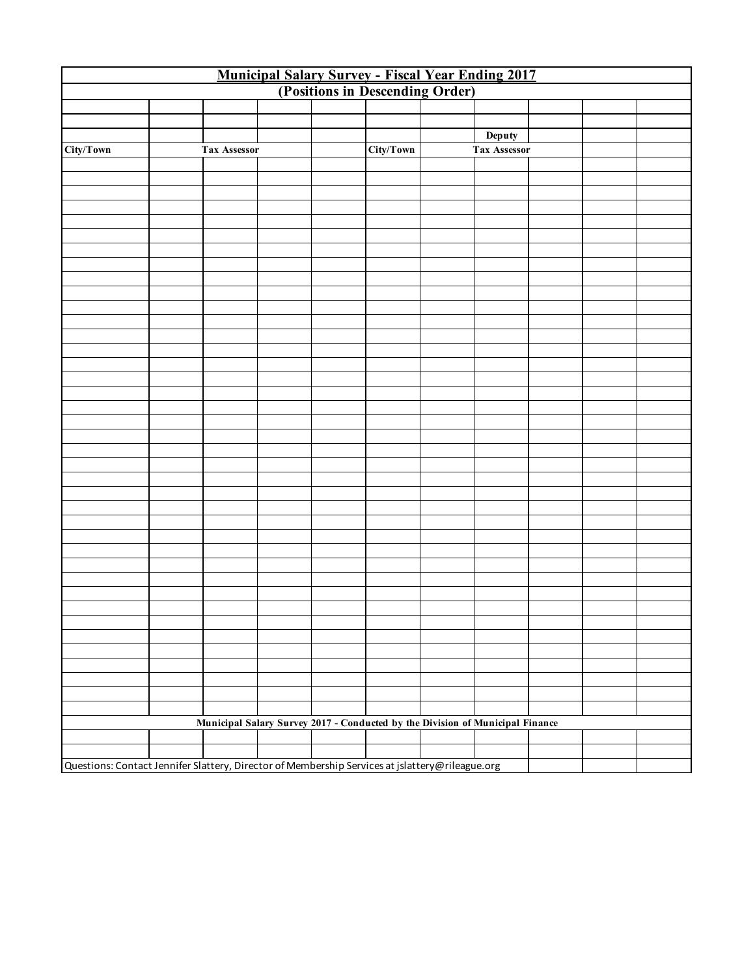| <b>Municipal Salary Survey - Fiscal Year Ending 2017</b><br>(Positions in Descending Order)     |  |                     |  |  |           |  |                                                                               |  |  |  |  |  |
|-------------------------------------------------------------------------------------------------|--|---------------------|--|--|-----------|--|-------------------------------------------------------------------------------|--|--|--|--|--|
|                                                                                                 |  |                     |  |  |           |  |                                                                               |  |  |  |  |  |
|                                                                                                 |  |                     |  |  |           |  |                                                                               |  |  |  |  |  |
|                                                                                                 |  |                     |  |  |           |  |                                                                               |  |  |  |  |  |
|                                                                                                 |  |                     |  |  |           |  | Deputy                                                                        |  |  |  |  |  |
| City/Town                                                                                       |  | <b>Tax Assessor</b> |  |  | City/Town |  | <b>Tax Assessor</b>                                                           |  |  |  |  |  |
|                                                                                                 |  |                     |  |  |           |  |                                                                               |  |  |  |  |  |
|                                                                                                 |  |                     |  |  |           |  |                                                                               |  |  |  |  |  |
|                                                                                                 |  |                     |  |  |           |  |                                                                               |  |  |  |  |  |
|                                                                                                 |  |                     |  |  |           |  |                                                                               |  |  |  |  |  |
|                                                                                                 |  |                     |  |  |           |  |                                                                               |  |  |  |  |  |
|                                                                                                 |  |                     |  |  |           |  |                                                                               |  |  |  |  |  |
|                                                                                                 |  |                     |  |  |           |  |                                                                               |  |  |  |  |  |
|                                                                                                 |  |                     |  |  |           |  |                                                                               |  |  |  |  |  |
|                                                                                                 |  |                     |  |  |           |  |                                                                               |  |  |  |  |  |
|                                                                                                 |  |                     |  |  |           |  |                                                                               |  |  |  |  |  |
|                                                                                                 |  |                     |  |  |           |  |                                                                               |  |  |  |  |  |
|                                                                                                 |  |                     |  |  |           |  |                                                                               |  |  |  |  |  |
|                                                                                                 |  |                     |  |  |           |  |                                                                               |  |  |  |  |  |
|                                                                                                 |  |                     |  |  |           |  |                                                                               |  |  |  |  |  |
|                                                                                                 |  |                     |  |  |           |  |                                                                               |  |  |  |  |  |
|                                                                                                 |  |                     |  |  |           |  |                                                                               |  |  |  |  |  |
|                                                                                                 |  |                     |  |  |           |  |                                                                               |  |  |  |  |  |
|                                                                                                 |  |                     |  |  |           |  |                                                                               |  |  |  |  |  |
|                                                                                                 |  |                     |  |  |           |  |                                                                               |  |  |  |  |  |
|                                                                                                 |  |                     |  |  |           |  |                                                                               |  |  |  |  |  |
|                                                                                                 |  |                     |  |  |           |  |                                                                               |  |  |  |  |  |
|                                                                                                 |  |                     |  |  |           |  |                                                                               |  |  |  |  |  |
|                                                                                                 |  |                     |  |  |           |  |                                                                               |  |  |  |  |  |
|                                                                                                 |  |                     |  |  |           |  |                                                                               |  |  |  |  |  |
|                                                                                                 |  |                     |  |  |           |  |                                                                               |  |  |  |  |  |
|                                                                                                 |  |                     |  |  |           |  |                                                                               |  |  |  |  |  |
|                                                                                                 |  |                     |  |  |           |  |                                                                               |  |  |  |  |  |
|                                                                                                 |  |                     |  |  |           |  |                                                                               |  |  |  |  |  |
|                                                                                                 |  |                     |  |  |           |  |                                                                               |  |  |  |  |  |
|                                                                                                 |  |                     |  |  |           |  |                                                                               |  |  |  |  |  |
|                                                                                                 |  |                     |  |  |           |  |                                                                               |  |  |  |  |  |
|                                                                                                 |  |                     |  |  |           |  |                                                                               |  |  |  |  |  |
|                                                                                                 |  |                     |  |  |           |  |                                                                               |  |  |  |  |  |
|                                                                                                 |  |                     |  |  |           |  |                                                                               |  |  |  |  |  |
|                                                                                                 |  |                     |  |  |           |  |                                                                               |  |  |  |  |  |
|                                                                                                 |  |                     |  |  |           |  |                                                                               |  |  |  |  |  |
|                                                                                                 |  |                     |  |  |           |  |                                                                               |  |  |  |  |  |
|                                                                                                 |  |                     |  |  |           |  |                                                                               |  |  |  |  |  |
|                                                                                                 |  |                     |  |  |           |  |                                                                               |  |  |  |  |  |
|                                                                                                 |  |                     |  |  |           |  | Municipal Salary Survey 2017 - Conducted by the Division of Municipal Finance |  |  |  |  |  |
|                                                                                                 |  |                     |  |  |           |  |                                                                               |  |  |  |  |  |
|                                                                                                 |  |                     |  |  |           |  |                                                                               |  |  |  |  |  |
| Questions: Contact Jennifer Slattery, Director of Membership Services at jslattery@rileague.org |  |                     |  |  |           |  |                                                                               |  |  |  |  |  |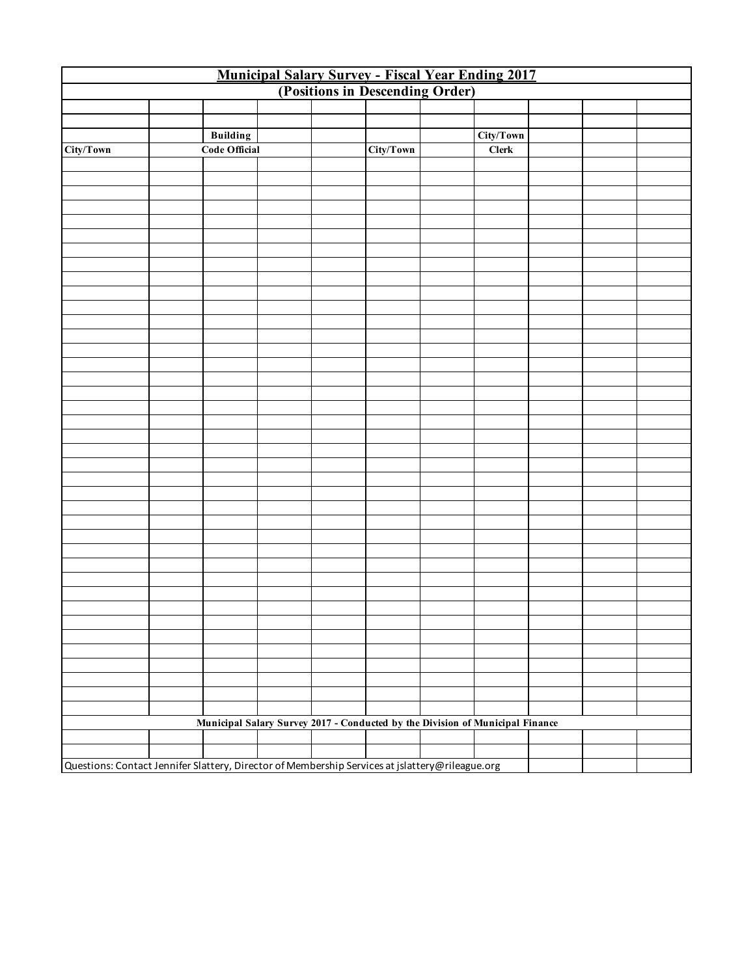| <b>Municipal Salary Survey - Fiscal Year Ending 2017</b><br>(Positions in Descending Order)     |  |                      |  |  |           |  |                                                                               |  |  |  |  |  |
|-------------------------------------------------------------------------------------------------|--|----------------------|--|--|-----------|--|-------------------------------------------------------------------------------|--|--|--|--|--|
|                                                                                                 |  |                      |  |  |           |  |                                                                               |  |  |  |  |  |
|                                                                                                 |  |                      |  |  |           |  |                                                                               |  |  |  |  |  |
|                                                                                                 |  |                      |  |  |           |  |                                                                               |  |  |  |  |  |
|                                                                                                 |  | <b>Building</b>      |  |  |           |  | City/Town                                                                     |  |  |  |  |  |
| City/Town                                                                                       |  | <b>Code Official</b> |  |  | City/Town |  | <b>Clerk</b>                                                                  |  |  |  |  |  |
|                                                                                                 |  |                      |  |  |           |  |                                                                               |  |  |  |  |  |
|                                                                                                 |  |                      |  |  |           |  |                                                                               |  |  |  |  |  |
|                                                                                                 |  |                      |  |  |           |  |                                                                               |  |  |  |  |  |
|                                                                                                 |  |                      |  |  |           |  |                                                                               |  |  |  |  |  |
|                                                                                                 |  |                      |  |  |           |  |                                                                               |  |  |  |  |  |
|                                                                                                 |  |                      |  |  |           |  |                                                                               |  |  |  |  |  |
|                                                                                                 |  |                      |  |  |           |  |                                                                               |  |  |  |  |  |
|                                                                                                 |  |                      |  |  |           |  |                                                                               |  |  |  |  |  |
|                                                                                                 |  |                      |  |  |           |  |                                                                               |  |  |  |  |  |
|                                                                                                 |  |                      |  |  |           |  |                                                                               |  |  |  |  |  |
|                                                                                                 |  |                      |  |  |           |  |                                                                               |  |  |  |  |  |
|                                                                                                 |  |                      |  |  |           |  |                                                                               |  |  |  |  |  |
|                                                                                                 |  |                      |  |  |           |  |                                                                               |  |  |  |  |  |
|                                                                                                 |  |                      |  |  |           |  |                                                                               |  |  |  |  |  |
|                                                                                                 |  |                      |  |  |           |  |                                                                               |  |  |  |  |  |
|                                                                                                 |  |                      |  |  |           |  |                                                                               |  |  |  |  |  |
|                                                                                                 |  |                      |  |  |           |  |                                                                               |  |  |  |  |  |
|                                                                                                 |  |                      |  |  |           |  |                                                                               |  |  |  |  |  |
|                                                                                                 |  |                      |  |  |           |  |                                                                               |  |  |  |  |  |
|                                                                                                 |  |                      |  |  |           |  |                                                                               |  |  |  |  |  |
|                                                                                                 |  |                      |  |  |           |  |                                                                               |  |  |  |  |  |
|                                                                                                 |  |                      |  |  |           |  |                                                                               |  |  |  |  |  |
|                                                                                                 |  |                      |  |  |           |  |                                                                               |  |  |  |  |  |
|                                                                                                 |  |                      |  |  |           |  |                                                                               |  |  |  |  |  |
|                                                                                                 |  |                      |  |  |           |  |                                                                               |  |  |  |  |  |
|                                                                                                 |  |                      |  |  |           |  |                                                                               |  |  |  |  |  |
|                                                                                                 |  |                      |  |  |           |  |                                                                               |  |  |  |  |  |
|                                                                                                 |  |                      |  |  |           |  |                                                                               |  |  |  |  |  |
|                                                                                                 |  |                      |  |  |           |  |                                                                               |  |  |  |  |  |
|                                                                                                 |  |                      |  |  |           |  |                                                                               |  |  |  |  |  |
|                                                                                                 |  |                      |  |  |           |  |                                                                               |  |  |  |  |  |
|                                                                                                 |  |                      |  |  |           |  |                                                                               |  |  |  |  |  |
|                                                                                                 |  |                      |  |  |           |  |                                                                               |  |  |  |  |  |
|                                                                                                 |  |                      |  |  |           |  |                                                                               |  |  |  |  |  |
|                                                                                                 |  |                      |  |  |           |  |                                                                               |  |  |  |  |  |
|                                                                                                 |  |                      |  |  |           |  |                                                                               |  |  |  |  |  |
|                                                                                                 |  |                      |  |  |           |  |                                                                               |  |  |  |  |  |
|                                                                                                 |  |                      |  |  |           |  |                                                                               |  |  |  |  |  |
|                                                                                                 |  |                      |  |  |           |  |                                                                               |  |  |  |  |  |
|                                                                                                 |  |                      |  |  |           |  |                                                                               |  |  |  |  |  |
|                                                                                                 |  |                      |  |  |           |  | Municipal Salary Survey 2017 - Conducted by the Division of Municipal Finance |  |  |  |  |  |
|                                                                                                 |  |                      |  |  |           |  |                                                                               |  |  |  |  |  |
|                                                                                                 |  |                      |  |  |           |  |                                                                               |  |  |  |  |  |
| Questions: Contact Jennifer Slattery, Director of Membership Services at jslattery@rileague.org |  |                      |  |  |           |  |                                                                               |  |  |  |  |  |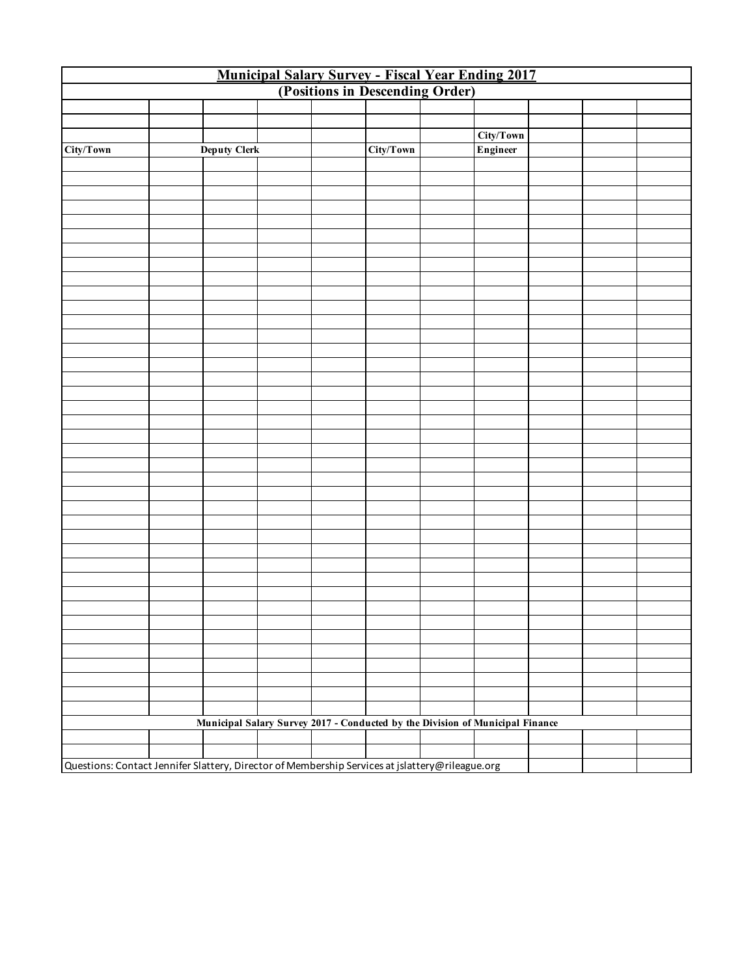| <b>Municipal Salary Survey - Fiscal Year Ending 2017</b><br>(Positions in Descending Order)     |  |                     |  |  |           |  |                                                                               |  |  |  |  |
|-------------------------------------------------------------------------------------------------|--|---------------------|--|--|-----------|--|-------------------------------------------------------------------------------|--|--|--|--|
|                                                                                                 |  |                     |  |  |           |  |                                                                               |  |  |  |  |
|                                                                                                 |  |                     |  |  |           |  |                                                                               |  |  |  |  |
|                                                                                                 |  |                     |  |  |           |  |                                                                               |  |  |  |  |
|                                                                                                 |  |                     |  |  |           |  | City/Town                                                                     |  |  |  |  |
| City/Town                                                                                       |  | <b>Deputy Clerk</b> |  |  | City/Town |  | Engineer                                                                      |  |  |  |  |
|                                                                                                 |  |                     |  |  |           |  |                                                                               |  |  |  |  |
|                                                                                                 |  |                     |  |  |           |  |                                                                               |  |  |  |  |
|                                                                                                 |  |                     |  |  |           |  |                                                                               |  |  |  |  |
|                                                                                                 |  |                     |  |  |           |  |                                                                               |  |  |  |  |
|                                                                                                 |  |                     |  |  |           |  |                                                                               |  |  |  |  |
|                                                                                                 |  |                     |  |  |           |  |                                                                               |  |  |  |  |
|                                                                                                 |  |                     |  |  |           |  |                                                                               |  |  |  |  |
|                                                                                                 |  |                     |  |  |           |  |                                                                               |  |  |  |  |
|                                                                                                 |  |                     |  |  |           |  |                                                                               |  |  |  |  |
|                                                                                                 |  |                     |  |  |           |  |                                                                               |  |  |  |  |
|                                                                                                 |  |                     |  |  |           |  |                                                                               |  |  |  |  |
|                                                                                                 |  |                     |  |  |           |  |                                                                               |  |  |  |  |
|                                                                                                 |  |                     |  |  |           |  |                                                                               |  |  |  |  |
|                                                                                                 |  |                     |  |  |           |  |                                                                               |  |  |  |  |
|                                                                                                 |  |                     |  |  |           |  |                                                                               |  |  |  |  |
|                                                                                                 |  |                     |  |  |           |  |                                                                               |  |  |  |  |
|                                                                                                 |  |                     |  |  |           |  |                                                                               |  |  |  |  |
|                                                                                                 |  |                     |  |  |           |  |                                                                               |  |  |  |  |
|                                                                                                 |  |                     |  |  |           |  |                                                                               |  |  |  |  |
|                                                                                                 |  |                     |  |  |           |  |                                                                               |  |  |  |  |
|                                                                                                 |  |                     |  |  |           |  |                                                                               |  |  |  |  |
|                                                                                                 |  |                     |  |  |           |  |                                                                               |  |  |  |  |
|                                                                                                 |  |                     |  |  |           |  |                                                                               |  |  |  |  |
|                                                                                                 |  |                     |  |  |           |  |                                                                               |  |  |  |  |
|                                                                                                 |  |                     |  |  |           |  |                                                                               |  |  |  |  |
|                                                                                                 |  |                     |  |  |           |  |                                                                               |  |  |  |  |
|                                                                                                 |  |                     |  |  |           |  |                                                                               |  |  |  |  |
|                                                                                                 |  |                     |  |  |           |  |                                                                               |  |  |  |  |
|                                                                                                 |  |                     |  |  |           |  |                                                                               |  |  |  |  |
|                                                                                                 |  |                     |  |  |           |  |                                                                               |  |  |  |  |
|                                                                                                 |  |                     |  |  |           |  |                                                                               |  |  |  |  |
|                                                                                                 |  |                     |  |  |           |  |                                                                               |  |  |  |  |
|                                                                                                 |  |                     |  |  |           |  |                                                                               |  |  |  |  |
|                                                                                                 |  |                     |  |  |           |  |                                                                               |  |  |  |  |
|                                                                                                 |  |                     |  |  |           |  |                                                                               |  |  |  |  |
|                                                                                                 |  |                     |  |  |           |  |                                                                               |  |  |  |  |
|                                                                                                 |  |                     |  |  |           |  |                                                                               |  |  |  |  |
|                                                                                                 |  |                     |  |  |           |  |                                                                               |  |  |  |  |
|                                                                                                 |  |                     |  |  |           |  |                                                                               |  |  |  |  |
|                                                                                                 |  |                     |  |  |           |  | Municipal Salary Survey 2017 - Conducted by the Division of Municipal Finance |  |  |  |  |
|                                                                                                 |  |                     |  |  |           |  |                                                                               |  |  |  |  |
|                                                                                                 |  |                     |  |  |           |  |                                                                               |  |  |  |  |
| Questions: Contact Jennifer Slattery, Director of Membership Services at jslattery@rileague.org |  |                     |  |  |           |  |                                                                               |  |  |  |  |
|                                                                                                 |  |                     |  |  |           |  |                                                                               |  |  |  |  |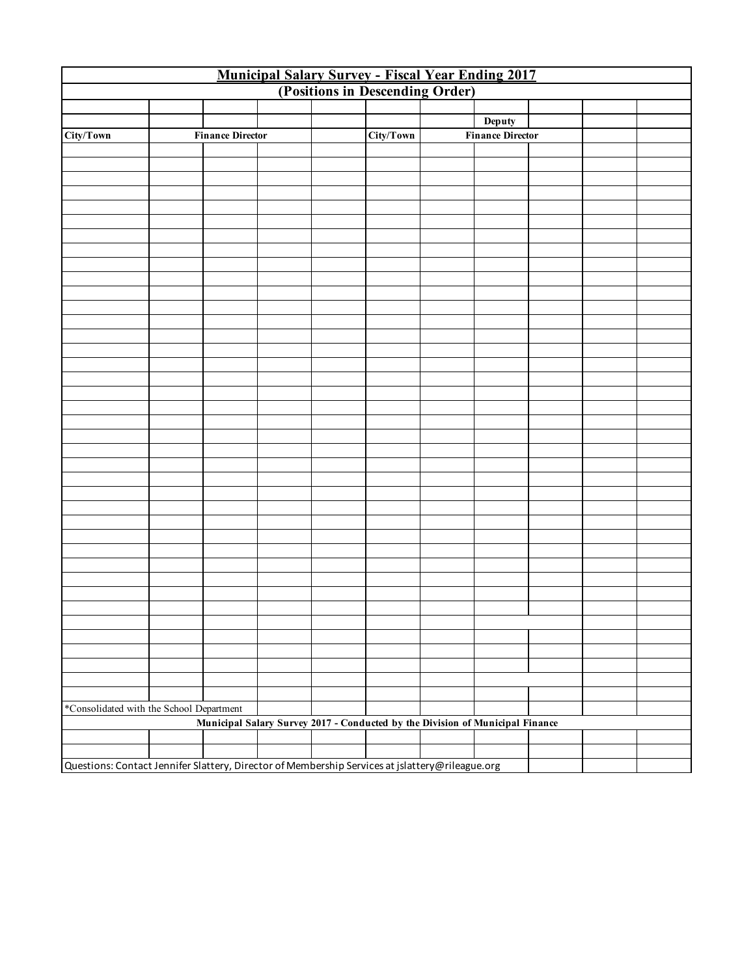| <b>Municipal Salary Survey - Fiscal Year Ending 2017</b><br>(Positions in Descending Order)     |  |                         |  |                                                                               |           |  |                         |  |  |  |  |  |
|-------------------------------------------------------------------------------------------------|--|-------------------------|--|-------------------------------------------------------------------------------|-----------|--|-------------------------|--|--|--|--|--|
|                                                                                                 |  |                         |  |                                                                               |           |  |                         |  |  |  |  |  |
|                                                                                                 |  |                         |  |                                                                               |           |  |                         |  |  |  |  |  |
|                                                                                                 |  |                         |  |                                                                               |           |  | Deputy                  |  |  |  |  |  |
| City/Town                                                                                       |  | <b>Finance Director</b> |  |                                                                               | City/Town |  | <b>Finance Director</b> |  |  |  |  |  |
|                                                                                                 |  |                         |  |                                                                               |           |  |                         |  |  |  |  |  |
|                                                                                                 |  |                         |  |                                                                               |           |  |                         |  |  |  |  |  |
|                                                                                                 |  |                         |  |                                                                               |           |  |                         |  |  |  |  |  |
|                                                                                                 |  |                         |  |                                                                               |           |  |                         |  |  |  |  |  |
|                                                                                                 |  |                         |  |                                                                               |           |  |                         |  |  |  |  |  |
|                                                                                                 |  |                         |  |                                                                               |           |  |                         |  |  |  |  |  |
|                                                                                                 |  |                         |  |                                                                               |           |  |                         |  |  |  |  |  |
|                                                                                                 |  |                         |  |                                                                               |           |  |                         |  |  |  |  |  |
|                                                                                                 |  |                         |  |                                                                               |           |  |                         |  |  |  |  |  |
|                                                                                                 |  |                         |  |                                                                               |           |  |                         |  |  |  |  |  |
|                                                                                                 |  |                         |  |                                                                               |           |  |                         |  |  |  |  |  |
|                                                                                                 |  |                         |  |                                                                               |           |  |                         |  |  |  |  |  |
|                                                                                                 |  |                         |  |                                                                               |           |  |                         |  |  |  |  |  |
|                                                                                                 |  |                         |  |                                                                               |           |  |                         |  |  |  |  |  |
|                                                                                                 |  |                         |  |                                                                               |           |  |                         |  |  |  |  |  |
|                                                                                                 |  |                         |  |                                                                               |           |  |                         |  |  |  |  |  |
|                                                                                                 |  |                         |  |                                                                               |           |  |                         |  |  |  |  |  |
|                                                                                                 |  |                         |  |                                                                               |           |  |                         |  |  |  |  |  |
|                                                                                                 |  |                         |  |                                                                               |           |  |                         |  |  |  |  |  |
|                                                                                                 |  |                         |  |                                                                               |           |  |                         |  |  |  |  |  |
|                                                                                                 |  |                         |  |                                                                               |           |  |                         |  |  |  |  |  |
|                                                                                                 |  |                         |  |                                                                               |           |  |                         |  |  |  |  |  |
|                                                                                                 |  |                         |  |                                                                               |           |  |                         |  |  |  |  |  |
|                                                                                                 |  |                         |  |                                                                               |           |  |                         |  |  |  |  |  |
|                                                                                                 |  |                         |  |                                                                               |           |  |                         |  |  |  |  |  |
|                                                                                                 |  |                         |  |                                                                               |           |  |                         |  |  |  |  |  |
|                                                                                                 |  |                         |  |                                                                               |           |  |                         |  |  |  |  |  |
|                                                                                                 |  |                         |  |                                                                               |           |  |                         |  |  |  |  |  |
|                                                                                                 |  |                         |  |                                                                               |           |  |                         |  |  |  |  |  |
|                                                                                                 |  |                         |  |                                                                               |           |  |                         |  |  |  |  |  |
|                                                                                                 |  |                         |  |                                                                               |           |  |                         |  |  |  |  |  |
|                                                                                                 |  |                         |  |                                                                               |           |  |                         |  |  |  |  |  |
|                                                                                                 |  |                         |  |                                                                               |           |  |                         |  |  |  |  |  |
|                                                                                                 |  |                         |  |                                                                               |           |  |                         |  |  |  |  |  |
|                                                                                                 |  |                         |  |                                                                               |           |  |                         |  |  |  |  |  |
|                                                                                                 |  |                         |  |                                                                               |           |  |                         |  |  |  |  |  |
|                                                                                                 |  |                         |  |                                                                               |           |  |                         |  |  |  |  |  |
|                                                                                                 |  |                         |  |                                                                               |           |  |                         |  |  |  |  |  |
|                                                                                                 |  |                         |  |                                                                               |           |  |                         |  |  |  |  |  |
| *Consolidated with the School Department                                                        |  |                         |  |                                                                               |           |  |                         |  |  |  |  |  |
|                                                                                                 |  |                         |  | Municipal Salary Survey 2017 - Conducted by the Division of Municipal Finance |           |  |                         |  |  |  |  |  |
|                                                                                                 |  |                         |  |                                                                               |           |  |                         |  |  |  |  |  |
|                                                                                                 |  |                         |  |                                                                               |           |  |                         |  |  |  |  |  |
|                                                                                                 |  |                         |  |                                                                               |           |  |                         |  |  |  |  |  |
| Questions: Contact Jennifer Slattery, Director of Membership Services at jslattery@rileague.org |  |                         |  |                                                                               |           |  |                         |  |  |  |  |  |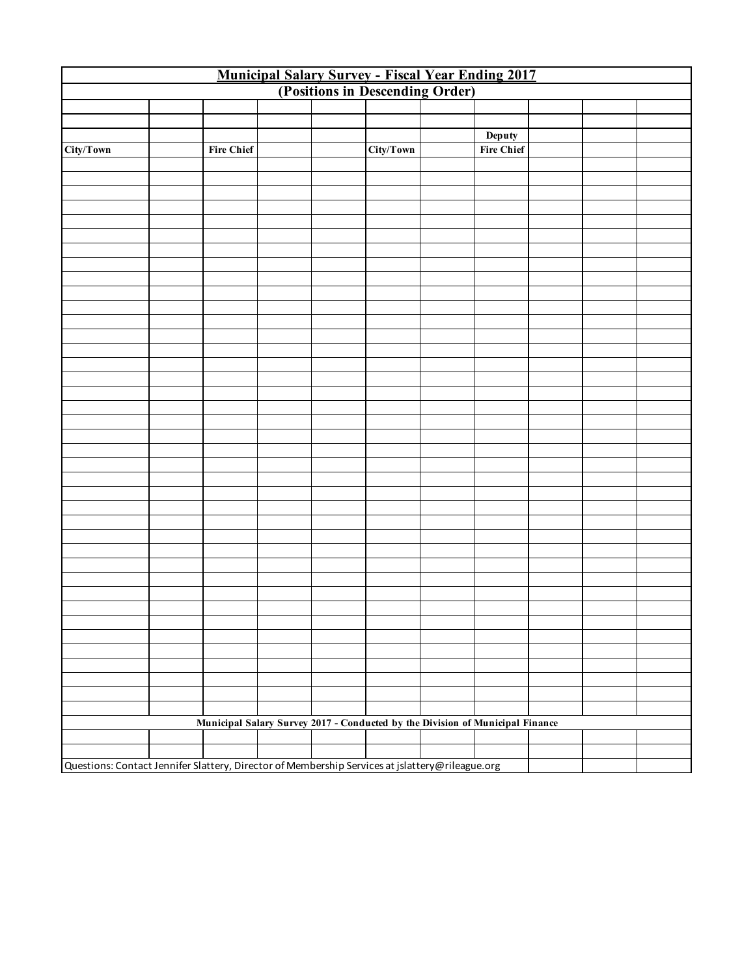| <b>Municipal Salary Survey - Fiscal Year Ending 2017</b><br>(Positions in Descending Order)     |  |                                                                               |  |  |           |  |                   |  |  |  |  |
|-------------------------------------------------------------------------------------------------|--|-------------------------------------------------------------------------------|--|--|-----------|--|-------------------|--|--|--|--|
|                                                                                                 |  |                                                                               |  |  |           |  |                   |  |  |  |  |
|                                                                                                 |  |                                                                               |  |  |           |  |                   |  |  |  |  |
|                                                                                                 |  |                                                                               |  |  |           |  |                   |  |  |  |  |
|                                                                                                 |  |                                                                               |  |  |           |  | Deputy            |  |  |  |  |
| City/Town                                                                                       |  | <b>Fire Chief</b>                                                             |  |  | City/Town |  | <b>Fire Chief</b> |  |  |  |  |
|                                                                                                 |  |                                                                               |  |  |           |  |                   |  |  |  |  |
|                                                                                                 |  |                                                                               |  |  |           |  |                   |  |  |  |  |
|                                                                                                 |  |                                                                               |  |  |           |  |                   |  |  |  |  |
|                                                                                                 |  |                                                                               |  |  |           |  |                   |  |  |  |  |
|                                                                                                 |  |                                                                               |  |  |           |  |                   |  |  |  |  |
|                                                                                                 |  |                                                                               |  |  |           |  |                   |  |  |  |  |
|                                                                                                 |  |                                                                               |  |  |           |  |                   |  |  |  |  |
|                                                                                                 |  |                                                                               |  |  |           |  |                   |  |  |  |  |
|                                                                                                 |  |                                                                               |  |  |           |  |                   |  |  |  |  |
|                                                                                                 |  |                                                                               |  |  |           |  |                   |  |  |  |  |
|                                                                                                 |  |                                                                               |  |  |           |  |                   |  |  |  |  |
|                                                                                                 |  |                                                                               |  |  |           |  |                   |  |  |  |  |
|                                                                                                 |  |                                                                               |  |  |           |  |                   |  |  |  |  |
|                                                                                                 |  |                                                                               |  |  |           |  |                   |  |  |  |  |
|                                                                                                 |  |                                                                               |  |  |           |  |                   |  |  |  |  |
|                                                                                                 |  |                                                                               |  |  |           |  |                   |  |  |  |  |
|                                                                                                 |  |                                                                               |  |  |           |  |                   |  |  |  |  |
|                                                                                                 |  |                                                                               |  |  |           |  |                   |  |  |  |  |
|                                                                                                 |  |                                                                               |  |  |           |  |                   |  |  |  |  |
|                                                                                                 |  |                                                                               |  |  |           |  |                   |  |  |  |  |
|                                                                                                 |  |                                                                               |  |  |           |  |                   |  |  |  |  |
|                                                                                                 |  |                                                                               |  |  |           |  |                   |  |  |  |  |
|                                                                                                 |  |                                                                               |  |  |           |  |                   |  |  |  |  |
|                                                                                                 |  |                                                                               |  |  |           |  |                   |  |  |  |  |
|                                                                                                 |  |                                                                               |  |  |           |  |                   |  |  |  |  |
|                                                                                                 |  |                                                                               |  |  |           |  |                   |  |  |  |  |
|                                                                                                 |  |                                                                               |  |  |           |  |                   |  |  |  |  |
|                                                                                                 |  |                                                                               |  |  |           |  |                   |  |  |  |  |
|                                                                                                 |  |                                                                               |  |  |           |  |                   |  |  |  |  |
|                                                                                                 |  |                                                                               |  |  |           |  |                   |  |  |  |  |
|                                                                                                 |  |                                                                               |  |  |           |  |                   |  |  |  |  |
|                                                                                                 |  |                                                                               |  |  |           |  |                   |  |  |  |  |
|                                                                                                 |  |                                                                               |  |  |           |  |                   |  |  |  |  |
|                                                                                                 |  |                                                                               |  |  |           |  |                   |  |  |  |  |
|                                                                                                 |  |                                                                               |  |  |           |  |                   |  |  |  |  |
|                                                                                                 |  |                                                                               |  |  |           |  |                   |  |  |  |  |
|                                                                                                 |  |                                                                               |  |  |           |  |                   |  |  |  |  |
|                                                                                                 |  |                                                                               |  |  |           |  |                   |  |  |  |  |
|                                                                                                 |  |                                                                               |  |  |           |  |                   |  |  |  |  |
|                                                                                                 |  |                                                                               |  |  |           |  |                   |  |  |  |  |
|                                                                                                 |  |                                                                               |  |  |           |  |                   |  |  |  |  |
|                                                                                                 |  | Municipal Salary Survey 2017 - Conducted by the Division of Municipal Finance |  |  |           |  |                   |  |  |  |  |
|                                                                                                 |  |                                                                               |  |  |           |  |                   |  |  |  |  |
|                                                                                                 |  |                                                                               |  |  |           |  |                   |  |  |  |  |
| Questions: Contact Jennifer Slattery, Director of Membership Services at jslattery@rileague.org |  |                                                                               |  |  |           |  |                   |  |  |  |  |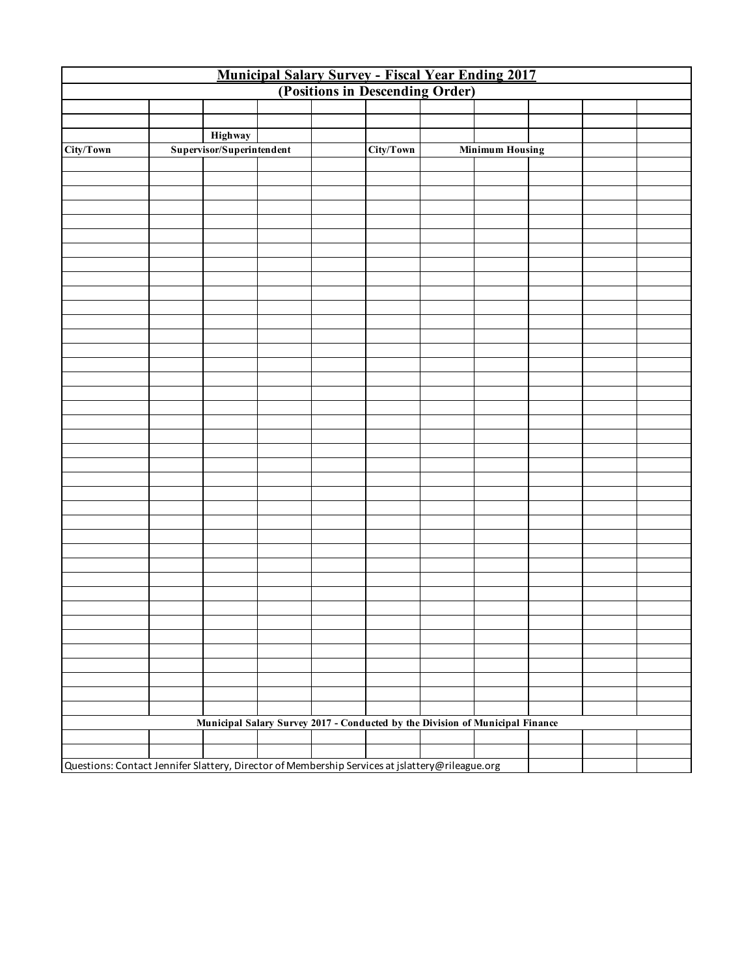| <b>Municipal Salary Survey - Fiscal Year Ending 2017</b><br>(Positions in Descending Order)     |  |                                                                               |  |  |           |  |                        |  |  |  |  |  |
|-------------------------------------------------------------------------------------------------|--|-------------------------------------------------------------------------------|--|--|-----------|--|------------------------|--|--|--|--|--|
|                                                                                                 |  |                                                                               |  |  |           |  |                        |  |  |  |  |  |
|                                                                                                 |  |                                                                               |  |  |           |  |                        |  |  |  |  |  |
|                                                                                                 |  |                                                                               |  |  |           |  |                        |  |  |  |  |  |
|                                                                                                 |  | Highway                                                                       |  |  |           |  |                        |  |  |  |  |  |
| City/Town                                                                                       |  | Supervisor/Superintendent                                                     |  |  | City/Town |  | <b>Minimum Housing</b> |  |  |  |  |  |
|                                                                                                 |  |                                                                               |  |  |           |  |                        |  |  |  |  |  |
|                                                                                                 |  |                                                                               |  |  |           |  |                        |  |  |  |  |  |
|                                                                                                 |  |                                                                               |  |  |           |  |                        |  |  |  |  |  |
|                                                                                                 |  |                                                                               |  |  |           |  |                        |  |  |  |  |  |
|                                                                                                 |  |                                                                               |  |  |           |  |                        |  |  |  |  |  |
|                                                                                                 |  |                                                                               |  |  |           |  |                        |  |  |  |  |  |
|                                                                                                 |  |                                                                               |  |  |           |  |                        |  |  |  |  |  |
|                                                                                                 |  |                                                                               |  |  |           |  |                        |  |  |  |  |  |
|                                                                                                 |  |                                                                               |  |  |           |  |                        |  |  |  |  |  |
|                                                                                                 |  |                                                                               |  |  |           |  |                        |  |  |  |  |  |
|                                                                                                 |  |                                                                               |  |  |           |  |                        |  |  |  |  |  |
|                                                                                                 |  |                                                                               |  |  |           |  |                        |  |  |  |  |  |
|                                                                                                 |  |                                                                               |  |  |           |  |                        |  |  |  |  |  |
|                                                                                                 |  |                                                                               |  |  |           |  |                        |  |  |  |  |  |
|                                                                                                 |  |                                                                               |  |  |           |  |                        |  |  |  |  |  |
|                                                                                                 |  |                                                                               |  |  |           |  |                        |  |  |  |  |  |
|                                                                                                 |  |                                                                               |  |  |           |  |                        |  |  |  |  |  |
|                                                                                                 |  |                                                                               |  |  |           |  |                        |  |  |  |  |  |
|                                                                                                 |  |                                                                               |  |  |           |  |                        |  |  |  |  |  |
|                                                                                                 |  |                                                                               |  |  |           |  |                        |  |  |  |  |  |
|                                                                                                 |  |                                                                               |  |  |           |  |                        |  |  |  |  |  |
|                                                                                                 |  |                                                                               |  |  |           |  |                        |  |  |  |  |  |
|                                                                                                 |  |                                                                               |  |  |           |  |                        |  |  |  |  |  |
|                                                                                                 |  |                                                                               |  |  |           |  |                        |  |  |  |  |  |
|                                                                                                 |  |                                                                               |  |  |           |  |                        |  |  |  |  |  |
|                                                                                                 |  |                                                                               |  |  |           |  |                        |  |  |  |  |  |
|                                                                                                 |  |                                                                               |  |  |           |  |                        |  |  |  |  |  |
|                                                                                                 |  |                                                                               |  |  |           |  |                        |  |  |  |  |  |
|                                                                                                 |  |                                                                               |  |  |           |  |                        |  |  |  |  |  |
|                                                                                                 |  |                                                                               |  |  |           |  |                        |  |  |  |  |  |
|                                                                                                 |  |                                                                               |  |  |           |  |                        |  |  |  |  |  |
|                                                                                                 |  |                                                                               |  |  |           |  |                        |  |  |  |  |  |
|                                                                                                 |  |                                                                               |  |  |           |  |                        |  |  |  |  |  |
|                                                                                                 |  |                                                                               |  |  |           |  |                        |  |  |  |  |  |
|                                                                                                 |  |                                                                               |  |  |           |  |                        |  |  |  |  |  |
|                                                                                                 |  |                                                                               |  |  |           |  |                        |  |  |  |  |  |
|                                                                                                 |  |                                                                               |  |  |           |  |                        |  |  |  |  |  |
|                                                                                                 |  |                                                                               |  |  |           |  |                        |  |  |  |  |  |
|                                                                                                 |  | Municipal Salary Survey 2017 - Conducted by the Division of Municipal Finance |  |  |           |  |                        |  |  |  |  |  |
|                                                                                                 |  |                                                                               |  |  |           |  |                        |  |  |  |  |  |
|                                                                                                 |  |                                                                               |  |  |           |  |                        |  |  |  |  |  |
| Questions: Contact Jennifer Slattery, Director of Membership Services at jslattery@rileague.org |  |                                                                               |  |  |           |  |                        |  |  |  |  |  |
|                                                                                                 |  |                                                                               |  |  |           |  |                        |  |  |  |  |  |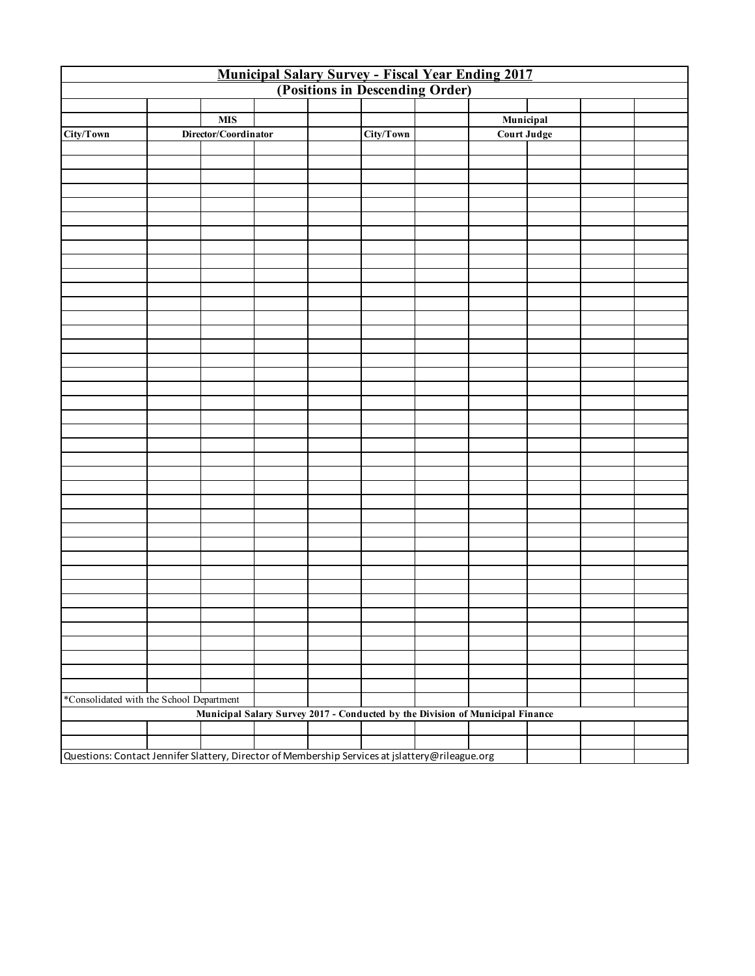|                                                                                                 |                      |  |                                 | <b>Municipal Salary Survey - Fiscal Year Ending 2017</b>                      |  |  |
|-------------------------------------------------------------------------------------------------|----------------------|--|---------------------------------|-------------------------------------------------------------------------------|--|--|
|                                                                                                 |                      |  | (Positions in Descending Order) |                                                                               |  |  |
|                                                                                                 |                      |  |                                 |                                                                               |  |  |
|                                                                                                 | <b>MIS</b>           |  |                                 | Municipal                                                                     |  |  |
| City/Town                                                                                       | Director/Coordinator |  | City/Town                       | <b>Court Judge</b>                                                            |  |  |
|                                                                                                 |                      |  |                                 |                                                                               |  |  |
|                                                                                                 |                      |  |                                 |                                                                               |  |  |
|                                                                                                 |                      |  |                                 |                                                                               |  |  |
|                                                                                                 |                      |  |                                 |                                                                               |  |  |
|                                                                                                 |                      |  |                                 |                                                                               |  |  |
|                                                                                                 |                      |  |                                 |                                                                               |  |  |
|                                                                                                 |                      |  |                                 |                                                                               |  |  |
|                                                                                                 |                      |  |                                 |                                                                               |  |  |
|                                                                                                 |                      |  |                                 |                                                                               |  |  |
|                                                                                                 |                      |  |                                 |                                                                               |  |  |
|                                                                                                 |                      |  |                                 |                                                                               |  |  |
|                                                                                                 |                      |  |                                 |                                                                               |  |  |
|                                                                                                 |                      |  |                                 |                                                                               |  |  |
|                                                                                                 |                      |  |                                 |                                                                               |  |  |
|                                                                                                 |                      |  |                                 |                                                                               |  |  |
|                                                                                                 |                      |  |                                 |                                                                               |  |  |
|                                                                                                 |                      |  |                                 |                                                                               |  |  |
|                                                                                                 |                      |  |                                 |                                                                               |  |  |
|                                                                                                 |                      |  |                                 |                                                                               |  |  |
|                                                                                                 |                      |  |                                 |                                                                               |  |  |
|                                                                                                 |                      |  |                                 |                                                                               |  |  |
|                                                                                                 |                      |  |                                 |                                                                               |  |  |
|                                                                                                 |                      |  |                                 |                                                                               |  |  |
|                                                                                                 |                      |  |                                 |                                                                               |  |  |
|                                                                                                 |                      |  |                                 |                                                                               |  |  |
|                                                                                                 |                      |  |                                 |                                                                               |  |  |
|                                                                                                 |                      |  |                                 |                                                                               |  |  |
|                                                                                                 |                      |  |                                 |                                                                               |  |  |
|                                                                                                 |                      |  |                                 |                                                                               |  |  |
|                                                                                                 |                      |  |                                 |                                                                               |  |  |
|                                                                                                 |                      |  |                                 |                                                                               |  |  |
|                                                                                                 |                      |  |                                 |                                                                               |  |  |
|                                                                                                 |                      |  |                                 |                                                                               |  |  |
|                                                                                                 |                      |  |                                 |                                                                               |  |  |
|                                                                                                 |                      |  |                                 |                                                                               |  |  |
|                                                                                                 |                      |  |                                 |                                                                               |  |  |
|                                                                                                 |                      |  |                                 |                                                                               |  |  |
|                                                                                                 |                      |  |                                 |                                                                               |  |  |
|                                                                                                 |                      |  |                                 |                                                                               |  |  |
| *Consolidated with the School Department                                                        |                      |  |                                 |                                                                               |  |  |
|                                                                                                 |                      |  |                                 | Municipal Salary Survey 2017 - Conducted by the Division of Municipal Finance |  |  |
|                                                                                                 |                      |  |                                 |                                                                               |  |  |
|                                                                                                 |                      |  |                                 |                                                                               |  |  |
| Questions: Contact Jennifer Slattery, Director of Membership Services at jslattery@rileague.org |                      |  |                                 |                                                                               |  |  |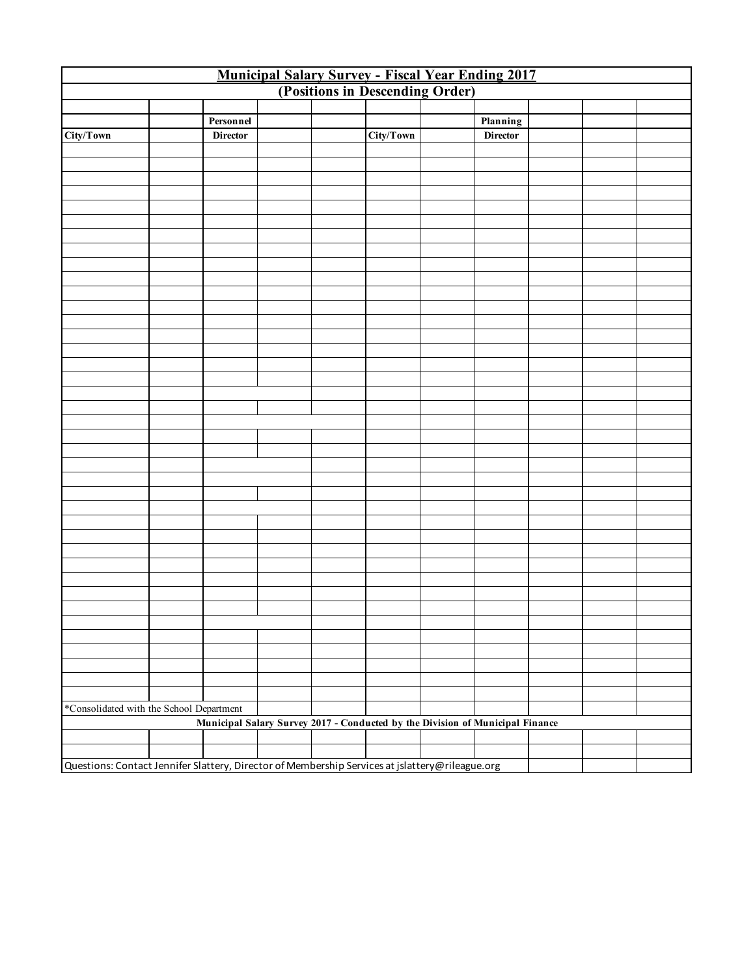|                                                                                                 |                 |  |           | <b>Municipal Salary Survey - Fiscal Year Ending 2017</b><br>(Positions in Descending Order) |  |  |
|-------------------------------------------------------------------------------------------------|-----------------|--|-----------|---------------------------------------------------------------------------------------------|--|--|
|                                                                                                 |                 |  |           |                                                                                             |  |  |
|                                                                                                 |                 |  |           |                                                                                             |  |  |
|                                                                                                 | Personnel       |  |           | Planning                                                                                    |  |  |
| City/Town                                                                                       | <b>Director</b> |  | City/Town | <b>Director</b>                                                                             |  |  |
|                                                                                                 |                 |  |           |                                                                                             |  |  |
|                                                                                                 |                 |  |           |                                                                                             |  |  |
|                                                                                                 |                 |  |           |                                                                                             |  |  |
|                                                                                                 |                 |  |           |                                                                                             |  |  |
|                                                                                                 |                 |  |           |                                                                                             |  |  |
|                                                                                                 |                 |  |           |                                                                                             |  |  |
|                                                                                                 |                 |  |           |                                                                                             |  |  |
|                                                                                                 |                 |  |           |                                                                                             |  |  |
|                                                                                                 |                 |  |           |                                                                                             |  |  |
|                                                                                                 |                 |  |           |                                                                                             |  |  |
|                                                                                                 |                 |  |           |                                                                                             |  |  |
|                                                                                                 |                 |  |           |                                                                                             |  |  |
|                                                                                                 |                 |  |           |                                                                                             |  |  |
|                                                                                                 |                 |  |           |                                                                                             |  |  |
|                                                                                                 |                 |  |           |                                                                                             |  |  |
|                                                                                                 |                 |  |           |                                                                                             |  |  |
|                                                                                                 |                 |  |           |                                                                                             |  |  |
|                                                                                                 |                 |  |           |                                                                                             |  |  |
|                                                                                                 |                 |  |           |                                                                                             |  |  |
|                                                                                                 |                 |  |           |                                                                                             |  |  |
|                                                                                                 |                 |  |           |                                                                                             |  |  |
|                                                                                                 |                 |  |           |                                                                                             |  |  |
|                                                                                                 |                 |  |           |                                                                                             |  |  |
|                                                                                                 |                 |  |           |                                                                                             |  |  |
|                                                                                                 |                 |  |           |                                                                                             |  |  |
|                                                                                                 |                 |  |           |                                                                                             |  |  |
|                                                                                                 |                 |  |           |                                                                                             |  |  |
|                                                                                                 |                 |  |           |                                                                                             |  |  |
|                                                                                                 |                 |  |           |                                                                                             |  |  |
|                                                                                                 |                 |  |           |                                                                                             |  |  |
|                                                                                                 |                 |  |           |                                                                                             |  |  |
|                                                                                                 |                 |  |           |                                                                                             |  |  |
|                                                                                                 |                 |  |           |                                                                                             |  |  |
|                                                                                                 |                 |  |           |                                                                                             |  |  |
|                                                                                                 |                 |  |           |                                                                                             |  |  |
|                                                                                                 |                 |  |           |                                                                                             |  |  |
|                                                                                                 |                 |  |           |                                                                                             |  |  |
|                                                                                                 |                 |  |           |                                                                                             |  |  |
|                                                                                                 |                 |  |           |                                                                                             |  |  |
|                                                                                                 |                 |  |           |                                                                                             |  |  |
|                                                                                                 |                 |  |           |                                                                                             |  |  |
| *Consolidated with the School Department                                                        |                 |  |           |                                                                                             |  |  |
|                                                                                                 |                 |  |           | Municipal Salary Survey 2017 - Conducted by the Division of Municipal Finance               |  |  |
|                                                                                                 |                 |  |           |                                                                                             |  |  |
|                                                                                                 |                 |  |           |                                                                                             |  |  |
| Questions: Contact Jennifer Slattery, Director of Membership Services at jslattery@rileague.org |                 |  |           |                                                                                             |  |  |
|                                                                                                 |                 |  |           |                                                                                             |  |  |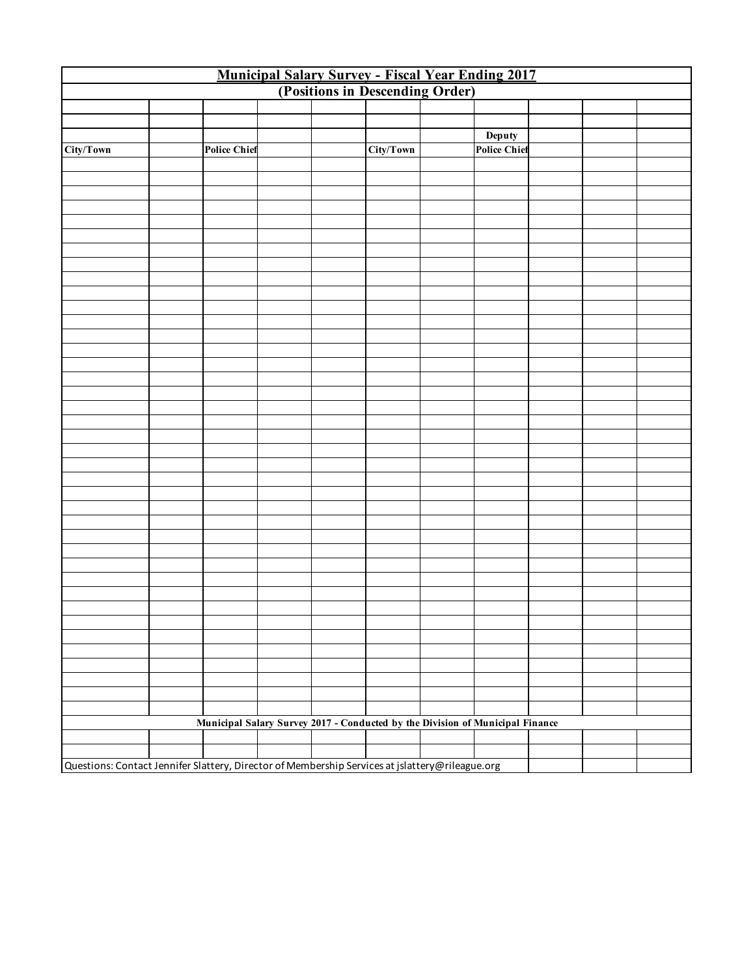| <b>Municipal Salary Survey - Fiscal Year Ending 2017</b><br>(Positions in Descending Order)     |  |                     |  |  |           |  |                                                                               |  |  |  |  |  |
|-------------------------------------------------------------------------------------------------|--|---------------------|--|--|-----------|--|-------------------------------------------------------------------------------|--|--|--|--|--|
|                                                                                                 |  |                     |  |  |           |  |                                                                               |  |  |  |  |  |
|                                                                                                 |  |                     |  |  |           |  |                                                                               |  |  |  |  |  |
|                                                                                                 |  |                     |  |  |           |  |                                                                               |  |  |  |  |  |
|                                                                                                 |  |                     |  |  |           |  | Deputy                                                                        |  |  |  |  |  |
| City/Town                                                                                       |  | <b>Police Chief</b> |  |  | City/Town |  | Police Chief                                                                  |  |  |  |  |  |
|                                                                                                 |  |                     |  |  |           |  |                                                                               |  |  |  |  |  |
|                                                                                                 |  |                     |  |  |           |  |                                                                               |  |  |  |  |  |
|                                                                                                 |  |                     |  |  |           |  |                                                                               |  |  |  |  |  |
|                                                                                                 |  |                     |  |  |           |  |                                                                               |  |  |  |  |  |
|                                                                                                 |  |                     |  |  |           |  |                                                                               |  |  |  |  |  |
|                                                                                                 |  |                     |  |  |           |  |                                                                               |  |  |  |  |  |
|                                                                                                 |  |                     |  |  |           |  |                                                                               |  |  |  |  |  |
|                                                                                                 |  |                     |  |  |           |  |                                                                               |  |  |  |  |  |
|                                                                                                 |  |                     |  |  |           |  |                                                                               |  |  |  |  |  |
|                                                                                                 |  |                     |  |  |           |  |                                                                               |  |  |  |  |  |
|                                                                                                 |  |                     |  |  |           |  |                                                                               |  |  |  |  |  |
|                                                                                                 |  |                     |  |  |           |  |                                                                               |  |  |  |  |  |
|                                                                                                 |  |                     |  |  |           |  |                                                                               |  |  |  |  |  |
|                                                                                                 |  |                     |  |  |           |  |                                                                               |  |  |  |  |  |
|                                                                                                 |  |                     |  |  |           |  |                                                                               |  |  |  |  |  |
|                                                                                                 |  |                     |  |  |           |  |                                                                               |  |  |  |  |  |
|                                                                                                 |  |                     |  |  |           |  |                                                                               |  |  |  |  |  |
|                                                                                                 |  |                     |  |  |           |  |                                                                               |  |  |  |  |  |
|                                                                                                 |  |                     |  |  |           |  |                                                                               |  |  |  |  |  |
|                                                                                                 |  |                     |  |  |           |  |                                                                               |  |  |  |  |  |
|                                                                                                 |  |                     |  |  |           |  |                                                                               |  |  |  |  |  |
|                                                                                                 |  |                     |  |  |           |  |                                                                               |  |  |  |  |  |
|                                                                                                 |  |                     |  |  |           |  |                                                                               |  |  |  |  |  |
|                                                                                                 |  |                     |  |  |           |  |                                                                               |  |  |  |  |  |
|                                                                                                 |  |                     |  |  |           |  |                                                                               |  |  |  |  |  |
|                                                                                                 |  |                     |  |  |           |  |                                                                               |  |  |  |  |  |
|                                                                                                 |  |                     |  |  |           |  |                                                                               |  |  |  |  |  |
|                                                                                                 |  |                     |  |  |           |  |                                                                               |  |  |  |  |  |
|                                                                                                 |  |                     |  |  |           |  |                                                                               |  |  |  |  |  |
|                                                                                                 |  |                     |  |  |           |  |                                                                               |  |  |  |  |  |
|                                                                                                 |  |                     |  |  |           |  |                                                                               |  |  |  |  |  |
|                                                                                                 |  |                     |  |  |           |  |                                                                               |  |  |  |  |  |
|                                                                                                 |  |                     |  |  |           |  |                                                                               |  |  |  |  |  |
|                                                                                                 |  |                     |  |  |           |  |                                                                               |  |  |  |  |  |
|                                                                                                 |  |                     |  |  |           |  |                                                                               |  |  |  |  |  |
|                                                                                                 |  |                     |  |  |           |  |                                                                               |  |  |  |  |  |
|                                                                                                 |  |                     |  |  |           |  |                                                                               |  |  |  |  |  |
|                                                                                                 |  |                     |  |  |           |  |                                                                               |  |  |  |  |  |
|                                                                                                 |  |                     |  |  |           |  |                                                                               |  |  |  |  |  |
|                                                                                                 |  |                     |  |  |           |  |                                                                               |  |  |  |  |  |
|                                                                                                 |  |                     |  |  |           |  | Municipal Salary Survey 2017 - Conducted by the Division of Municipal Finance |  |  |  |  |  |
|                                                                                                 |  |                     |  |  |           |  |                                                                               |  |  |  |  |  |
|                                                                                                 |  |                     |  |  |           |  |                                                                               |  |  |  |  |  |
| Questions: Contact Jennifer Slattery, Director of Membership Services at jslattery@rileague.org |  |                     |  |  |           |  |                                                                               |  |  |  |  |  |
|                                                                                                 |  |                     |  |  |           |  |                                                                               |  |  |  |  |  |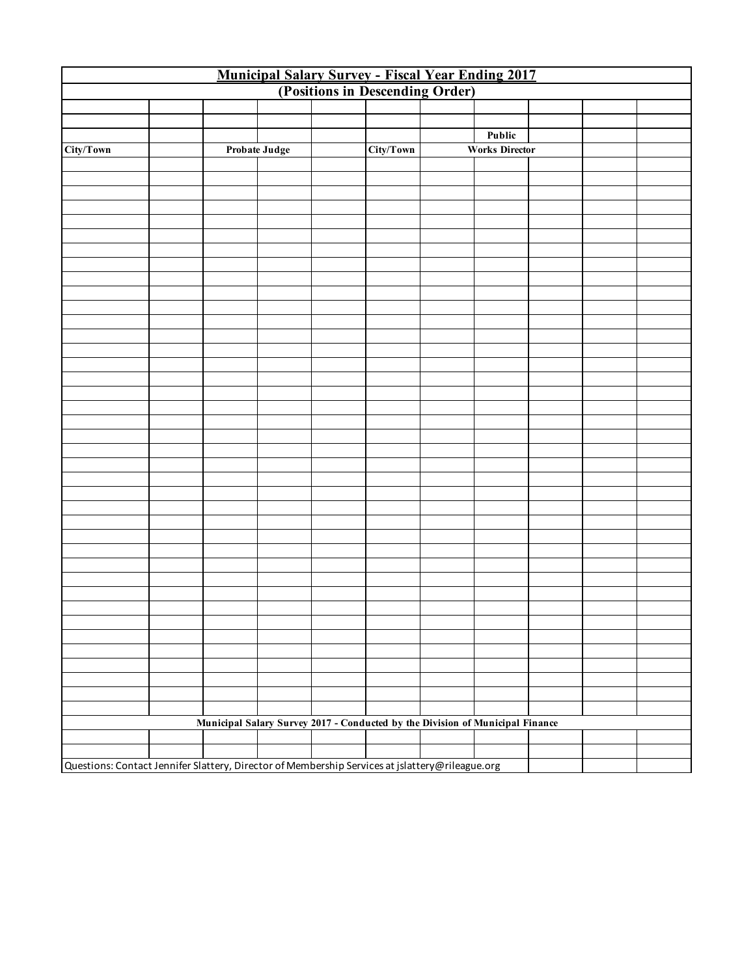| <b>Municipal Salary Survey - Fiscal Year Ending 2017</b><br>(Positions in Descending Order)     |  |                                                                               |  |  |           |  |                       |  |  |  |  |  |
|-------------------------------------------------------------------------------------------------|--|-------------------------------------------------------------------------------|--|--|-----------|--|-----------------------|--|--|--|--|--|
|                                                                                                 |  |                                                                               |  |  |           |  |                       |  |  |  |  |  |
|                                                                                                 |  |                                                                               |  |  |           |  |                       |  |  |  |  |  |
|                                                                                                 |  |                                                                               |  |  |           |  |                       |  |  |  |  |  |
|                                                                                                 |  |                                                                               |  |  |           |  | Public                |  |  |  |  |  |
| City/Town                                                                                       |  | Probate Judge                                                                 |  |  | City/Town |  | <b>Works Director</b> |  |  |  |  |  |
|                                                                                                 |  |                                                                               |  |  |           |  |                       |  |  |  |  |  |
|                                                                                                 |  |                                                                               |  |  |           |  |                       |  |  |  |  |  |
|                                                                                                 |  |                                                                               |  |  |           |  |                       |  |  |  |  |  |
|                                                                                                 |  |                                                                               |  |  |           |  |                       |  |  |  |  |  |
|                                                                                                 |  |                                                                               |  |  |           |  |                       |  |  |  |  |  |
|                                                                                                 |  |                                                                               |  |  |           |  |                       |  |  |  |  |  |
|                                                                                                 |  |                                                                               |  |  |           |  |                       |  |  |  |  |  |
|                                                                                                 |  |                                                                               |  |  |           |  |                       |  |  |  |  |  |
|                                                                                                 |  |                                                                               |  |  |           |  |                       |  |  |  |  |  |
|                                                                                                 |  |                                                                               |  |  |           |  |                       |  |  |  |  |  |
|                                                                                                 |  |                                                                               |  |  |           |  |                       |  |  |  |  |  |
|                                                                                                 |  |                                                                               |  |  |           |  |                       |  |  |  |  |  |
|                                                                                                 |  |                                                                               |  |  |           |  |                       |  |  |  |  |  |
|                                                                                                 |  |                                                                               |  |  |           |  |                       |  |  |  |  |  |
|                                                                                                 |  |                                                                               |  |  |           |  |                       |  |  |  |  |  |
|                                                                                                 |  |                                                                               |  |  |           |  |                       |  |  |  |  |  |
|                                                                                                 |  |                                                                               |  |  |           |  |                       |  |  |  |  |  |
|                                                                                                 |  |                                                                               |  |  |           |  |                       |  |  |  |  |  |
|                                                                                                 |  |                                                                               |  |  |           |  |                       |  |  |  |  |  |
|                                                                                                 |  |                                                                               |  |  |           |  |                       |  |  |  |  |  |
|                                                                                                 |  |                                                                               |  |  |           |  |                       |  |  |  |  |  |
|                                                                                                 |  |                                                                               |  |  |           |  |                       |  |  |  |  |  |
|                                                                                                 |  |                                                                               |  |  |           |  |                       |  |  |  |  |  |
|                                                                                                 |  |                                                                               |  |  |           |  |                       |  |  |  |  |  |
|                                                                                                 |  |                                                                               |  |  |           |  |                       |  |  |  |  |  |
|                                                                                                 |  |                                                                               |  |  |           |  |                       |  |  |  |  |  |
|                                                                                                 |  |                                                                               |  |  |           |  |                       |  |  |  |  |  |
|                                                                                                 |  |                                                                               |  |  |           |  |                       |  |  |  |  |  |
|                                                                                                 |  |                                                                               |  |  |           |  |                       |  |  |  |  |  |
|                                                                                                 |  |                                                                               |  |  |           |  |                       |  |  |  |  |  |
|                                                                                                 |  |                                                                               |  |  |           |  |                       |  |  |  |  |  |
|                                                                                                 |  |                                                                               |  |  |           |  |                       |  |  |  |  |  |
|                                                                                                 |  |                                                                               |  |  |           |  |                       |  |  |  |  |  |
|                                                                                                 |  |                                                                               |  |  |           |  |                       |  |  |  |  |  |
|                                                                                                 |  |                                                                               |  |  |           |  |                       |  |  |  |  |  |
|                                                                                                 |  |                                                                               |  |  |           |  |                       |  |  |  |  |  |
|                                                                                                 |  |                                                                               |  |  |           |  |                       |  |  |  |  |  |
|                                                                                                 |  |                                                                               |  |  |           |  |                       |  |  |  |  |  |
|                                                                                                 |  |                                                                               |  |  |           |  |                       |  |  |  |  |  |
|                                                                                                 |  | Municipal Salary Survey 2017 - Conducted by the Division of Municipal Finance |  |  |           |  |                       |  |  |  |  |  |
|                                                                                                 |  |                                                                               |  |  |           |  |                       |  |  |  |  |  |
|                                                                                                 |  |                                                                               |  |  |           |  |                       |  |  |  |  |  |
| Questions: Contact Jennifer Slattery, Director of Membership Services at jslattery@rileague.org |  |                                                                               |  |  |           |  |                       |  |  |  |  |  |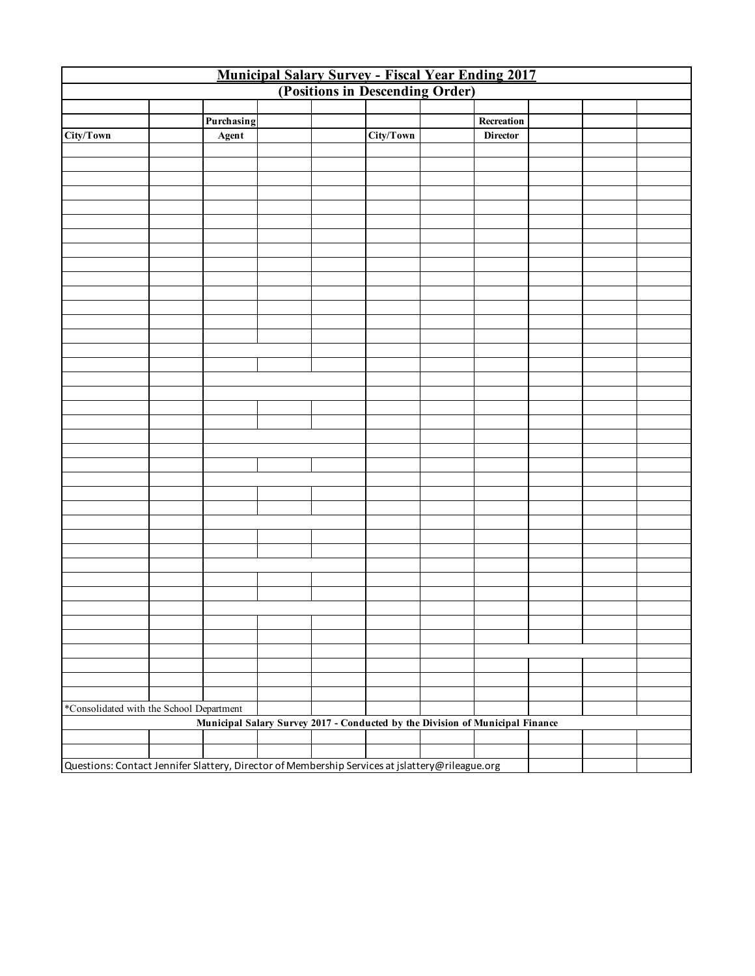| <b>Municipal Salary Survey - Fiscal Year Ending 2017</b><br>(Positions in Descending Order)     |  |            |  |                                                                               |           |  |                 |  |  |  |  |  |
|-------------------------------------------------------------------------------------------------|--|------------|--|-------------------------------------------------------------------------------|-----------|--|-----------------|--|--|--|--|--|
|                                                                                                 |  |            |  |                                                                               |           |  |                 |  |  |  |  |  |
|                                                                                                 |  |            |  |                                                                               |           |  |                 |  |  |  |  |  |
|                                                                                                 |  | Purchasing |  |                                                                               |           |  | Recreation      |  |  |  |  |  |
| City/Town                                                                                       |  | Agent      |  |                                                                               | City/Town |  | <b>Director</b> |  |  |  |  |  |
|                                                                                                 |  |            |  |                                                                               |           |  |                 |  |  |  |  |  |
|                                                                                                 |  |            |  |                                                                               |           |  |                 |  |  |  |  |  |
|                                                                                                 |  |            |  |                                                                               |           |  |                 |  |  |  |  |  |
|                                                                                                 |  |            |  |                                                                               |           |  |                 |  |  |  |  |  |
|                                                                                                 |  |            |  |                                                                               |           |  |                 |  |  |  |  |  |
|                                                                                                 |  |            |  |                                                                               |           |  |                 |  |  |  |  |  |
|                                                                                                 |  |            |  |                                                                               |           |  |                 |  |  |  |  |  |
|                                                                                                 |  |            |  |                                                                               |           |  |                 |  |  |  |  |  |
|                                                                                                 |  |            |  |                                                                               |           |  |                 |  |  |  |  |  |
|                                                                                                 |  |            |  |                                                                               |           |  |                 |  |  |  |  |  |
|                                                                                                 |  |            |  |                                                                               |           |  |                 |  |  |  |  |  |
|                                                                                                 |  |            |  |                                                                               |           |  |                 |  |  |  |  |  |
|                                                                                                 |  |            |  |                                                                               |           |  |                 |  |  |  |  |  |
|                                                                                                 |  |            |  |                                                                               |           |  |                 |  |  |  |  |  |
|                                                                                                 |  |            |  |                                                                               |           |  |                 |  |  |  |  |  |
|                                                                                                 |  |            |  |                                                                               |           |  |                 |  |  |  |  |  |
|                                                                                                 |  |            |  |                                                                               |           |  |                 |  |  |  |  |  |
|                                                                                                 |  |            |  |                                                                               |           |  |                 |  |  |  |  |  |
|                                                                                                 |  |            |  |                                                                               |           |  |                 |  |  |  |  |  |
|                                                                                                 |  |            |  |                                                                               |           |  |                 |  |  |  |  |  |
|                                                                                                 |  |            |  |                                                                               |           |  |                 |  |  |  |  |  |
|                                                                                                 |  |            |  |                                                                               |           |  |                 |  |  |  |  |  |
|                                                                                                 |  |            |  |                                                                               |           |  |                 |  |  |  |  |  |
|                                                                                                 |  |            |  |                                                                               |           |  |                 |  |  |  |  |  |
|                                                                                                 |  |            |  |                                                                               |           |  |                 |  |  |  |  |  |
|                                                                                                 |  |            |  |                                                                               |           |  |                 |  |  |  |  |  |
|                                                                                                 |  |            |  |                                                                               |           |  |                 |  |  |  |  |  |
|                                                                                                 |  |            |  |                                                                               |           |  |                 |  |  |  |  |  |
|                                                                                                 |  |            |  |                                                                               |           |  |                 |  |  |  |  |  |
|                                                                                                 |  |            |  |                                                                               |           |  |                 |  |  |  |  |  |
|                                                                                                 |  |            |  |                                                                               |           |  |                 |  |  |  |  |  |
|                                                                                                 |  |            |  |                                                                               |           |  |                 |  |  |  |  |  |
|                                                                                                 |  |            |  |                                                                               |           |  |                 |  |  |  |  |  |
|                                                                                                 |  |            |  |                                                                               |           |  |                 |  |  |  |  |  |
|                                                                                                 |  |            |  |                                                                               |           |  |                 |  |  |  |  |  |
|                                                                                                 |  |            |  |                                                                               |           |  |                 |  |  |  |  |  |
|                                                                                                 |  |            |  |                                                                               |           |  |                 |  |  |  |  |  |
|                                                                                                 |  |            |  |                                                                               |           |  |                 |  |  |  |  |  |
|                                                                                                 |  |            |  |                                                                               |           |  |                 |  |  |  |  |  |
| *Consolidated with the School Department                                                        |  |            |  |                                                                               |           |  |                 |  |  |  |  |  |
|                                                                                                 |  |            |  | Municipal Salary Survey 2017 - Conducted by the Division of Municipal Finance |           |  |                 |  |  |  |  |  |
|                                                                                                 |  |            |  |                                                                               |           |  |                 |  |  |  |  |  |
|                                                                                                 |  |            |  |                                                                               |           |  |                 |  |  |  |  |  |
| Questions: Contact Jennifer Slattery, Director of Membership Services at jslattery@rileague.org |  |            |  |                                                                               |           |  |                 |  |  |  |  |  |
|                                                                                                 |  |            |  |                                                                               |           |  |                 |  |  |  |  |  |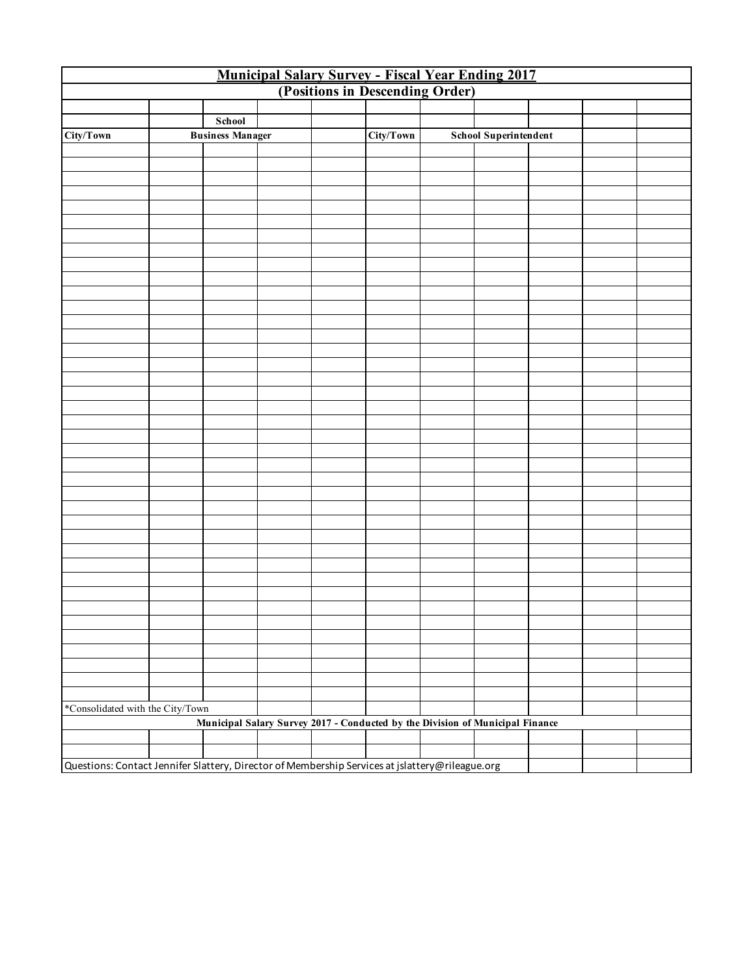|                                                                                                 |                         | <b>Municipal Salary Survey - Fiscal Year Ending 2017</b><br>(Positions in Descending Order) |           |                              |  |  |
|-------------------------------------------------------------------------------------------------|-------------------------|---------------------------------------------------------------------------------------------|-----------|------------------------------|--|--|
|                                                                                                 |                         |                                                                                             |           |                              |  |  |
|                                                                                                 |                         |                                                                                             |           |                              |  |  |
|                                                                                                 | School                  |                                                                                             |           |                              |  |  |
| City/Town                                                                                       | <b>Business Manager</b> |                                                                                             | City/Town | <b>School Superintendent</b> |  |  |
|                                                                                                 |                         |                                                                                             |           |                              |  |  |
|                                                                                                 |                         |                                                                                             |           |                              |  |  |
|                                                                                                 |                         |                                                                                             |           |                              |  |  |
|                                                                                                 |                         |                                                                                             |           |                              |  |  |
|                                                                                                 |                         |                                                                                             |           |                              |  |  |
|                                                                                                 |                         |                                                                                             |           |                              |  |  |
|                                                                                                 |                         |                                                                                             |           |                              |  |  |
|                                                                                                 |                         |                                                                                             |           |                              |  |  |
|                                                                                                 |                         |                                                                                             |           |                              |  |  |
|                                                                                                 |                         |                                                                                             |           |                              |  |  |
|                                                                                                 |                         |                                                                                             |           |                              |  |  |
|                                                                                                 |                         |                                                                                             |           |                              |  |  |
|                                                                                                 |                         |                                                                                             |           |                              |  |  |
|                                                                                                 |                         |                                                                                             |           |                              |  |  |
|                                                                                                 |                         |                                                                                             |           |                              |  |  |
|                                                                                                 |                         |                                                                                             |           |                              |  |  |
|                                                                                                 |                         |                                                                                             |           |                              |  |  |
|                                                                                                 |                         |                                                                                             |           |                              |  |  |
|                                                                                                 |                         |                                                                                             |           |                              |  |  |
|                                                                                                 |                         |                                                                                             |           |                              |  |  |
|                                                                                                 |                         |                                                                                             |           |                              |  |  |
|                                                                                                 |                         |                                                                                             |           |                              |  |  |
|                                                                                                 |                         |                                                                                             |           |                              |  |  |
|                                                                                                 |                         |                                                                                             |           |                              |  |  |
|                                                                                                 |                         |                                                                                             |           |                              |  |  |
|                                                                                                 |                         |                                                                                             |           |                              |  |  |
|                                                                                                 |                         |                                                                                             |           |                              |  |  |
|                                                                                                 |                         |                                                                                             |           |                              |  |  |
|                                                                                                 |                         |                                                                                             |           |                              |  |  |
|                                                                                                 |                         |                                                                                             |           |                              |  |  |
|                                                                                                 |                         |                                                                                             |           |                              |  |  |
|                                                                                                 |                         |                                                                                             |           |                              |  |  |
|                                                                                                 |                         |                                                                                             |           |                              |  |  |
|                                                                                                 |                         |                                                                                             |           |                              |  |  |
|                                                                                                 |                         |                                                                                             |           |                              |  |  |
|                                                                                                 |                         |                                                                                             |           |                              |  |  |
|                                                                                                 |                         |                                                                                             |           |                              |  |  |
|                                                                                                 |                         |                                                                                             |           |                              |  |  |
|                                                                                                 |                         |                                                                                             |           |                              |  |  |
|                                                                                                 |                         |                                                                                             |           |                              |  |  |
|                                                                                                 |                         |                                                                                             |           |                              |  |  |
| *Consolidated with the City/Town                                                                |                         |                                                                                             |           |                              |  |  |
|                                                                                                 |                         | Municipal Salary Survey 2017 - Conducted by the Division of Municipal Finance               |           |                              |  |  |
|                                                                                                 |                         |                                                                                             |           |                              |  |  |
|                                                                                                 |                         |                                                                                             |           |                              |  |  |
| Questions: Contact Jennifer Slattery, Director of Membership Services at jslattery@rileague.org |                         |                                                                                             |           |                              |  |  |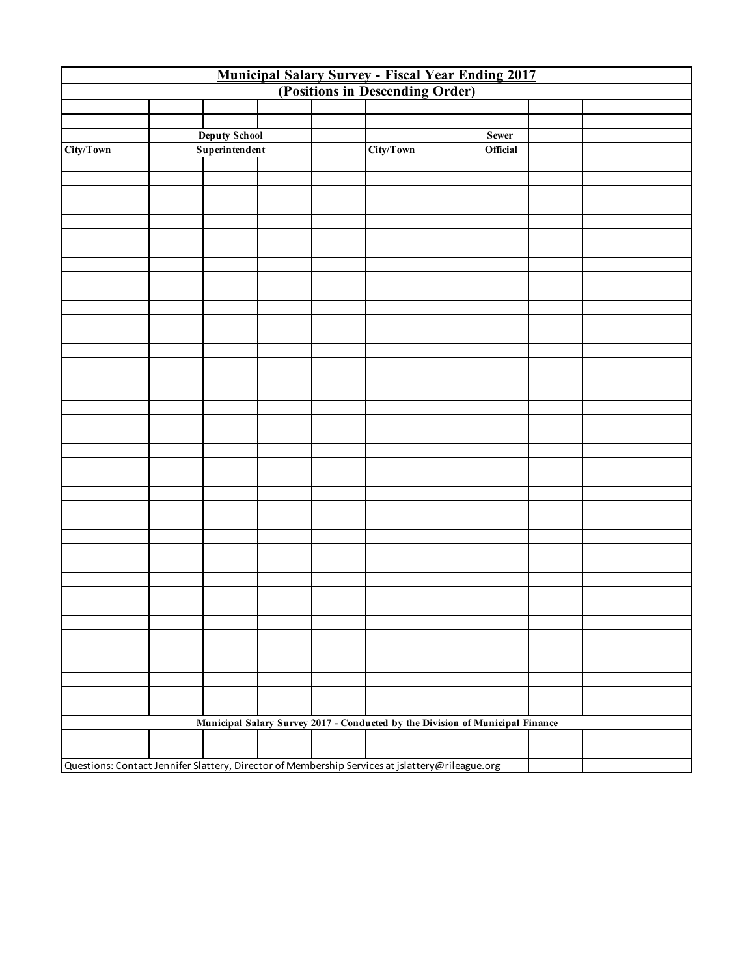|                                                                                                 |                      | <b>Municipal Salary Survey - Fiscal Year Ending 2017</b><br>(Positions in Descending Order) |           |              |  |  |
|-------------------------------------------------------------------------------------------------|----------------------|---------------------------------------------------------------------------------------------|-----------|--------------|--|--|
|                                                                                                 |                      |                                                                                             |           |              |  |  |
|                                                                                                 |                      |                                                                                             |           |              |  |  |
|                                                                                                 |                      |                                                                                             |           |              |  |  |
|                                                                                                 | <b>Deputy School</b> |                                                                                             |           | <b>Sewer</b> |  |  |
| City/Town                                                                                       | Superintendent       |                                                                                             | City/Town | Official     |  |  |
|                                                                                                 |                      |                                                                                             |           |              |  |  |
|                                                                                                 |                      |                                                                                             |           |              |  |  |
|                                                                                                 |                      |                                                                                             |           |              |  |  |
|                                                                                                 |                      |                                                                                             |           |              |  |  |
|                                                                                                 |                      |                                                                                             |           |              |  |  |
|                                                                                                 |                      |                                                                                             |           |              |  |  |
|                                                                                                 |                      |                                                                                             |           |              |  |  |
|                                                                                                 |                      |                                                                                             |           |              |  |  |
|                                                                                                 |                      |                                                                                             |           |              |  |  |
|                                                                                                 |                      |                                                                                             |           |              |  |  |
|                                                                                                 |                      |                                                                                             |           |              |  |  |
|                                                                                                 |                      |                                                                                             |           |              |  |  |
|                                                                                                 |                      |                                                                                             |           |              |  |  |
|                                                                                                 |                      |                                                                                             |           |              |  |  |
|                                                                                                 |                      |                                                                                             |           |              |  |  |
|                                                                                                 |                      |                                                                                             |           |              |  |  |
|                                                                                                 |                      |                                                                                             |           |              |  |  |
|                                                                                                 |                      |                                                                                             |           |              |  |  |
|                                                                                                 |                      |                                                                                             |           |              |  |  |
|                                                                                                 |                      |                                                                                             |           |              |  |  |
|                                                                                                 |                      |                                                                                             |           |              |  |  |
|                                                                                                 |                      |                                                                                             |           |              |  |  |
|                                                                                                 |                      |                                                                                             |           |              |  |  |
|                                                                                                 |                      |                                                                                             |           |              |  |  |
|                                                                                                 |                      |                                                                                             |           |              |  |  |
|                                                                                                 |                      |                                                                                             |           |              |  |  |
|                                                                                                 |                      |                                                                                             |           |              |  |  |
|                                                                                                 |                      |                                                                                             |           |              |  |  |
|                                                                                                 |                      |                                                                                             |           |              |  |  |
|                                                                                                 |                      |                                                                                             |           |              |  |  |
|                                                                                                 |                      |                                                                                             |           |              |  |  |
|                                                                                                 |                      |                                                                                             |           |              |  |  |
|                                                                                                 |                      |                                                                                             |           |              |  |  |
|                                                                                                 |                      |                                                                                             |           |              |  |  |
|                                                                                                 |                      |                                                                                             |           |              |  |  |
|                                                                                                 |                      |                                                                                             |           |              |  |  |
|                                                                                                 |                      |                                                                                             |           |              |  |  |
|                                                                                                 |                      |                                                                                             |           |              |  |  |
|                                                                                                 |                      |                                                                                             |           |              |  |  |
|                                                                                                 |                      |                                                                                             |           |              |  |  |
|                                                                                                 |                      | Municipal Salary Survey 2017 - Conducted by the Division of Municipal Finance               |           |              |  |  |
|                                                                                                 |                      |                                                                                             |           |              |  |  |
|                                                                                                 |                      |                                                                                             |           |              |  |  |
| Questions: Contact Jennifer Slattery, Director of Membership Services at jslattery@rileague.org |                      |                                                                                             |           |              |  |  |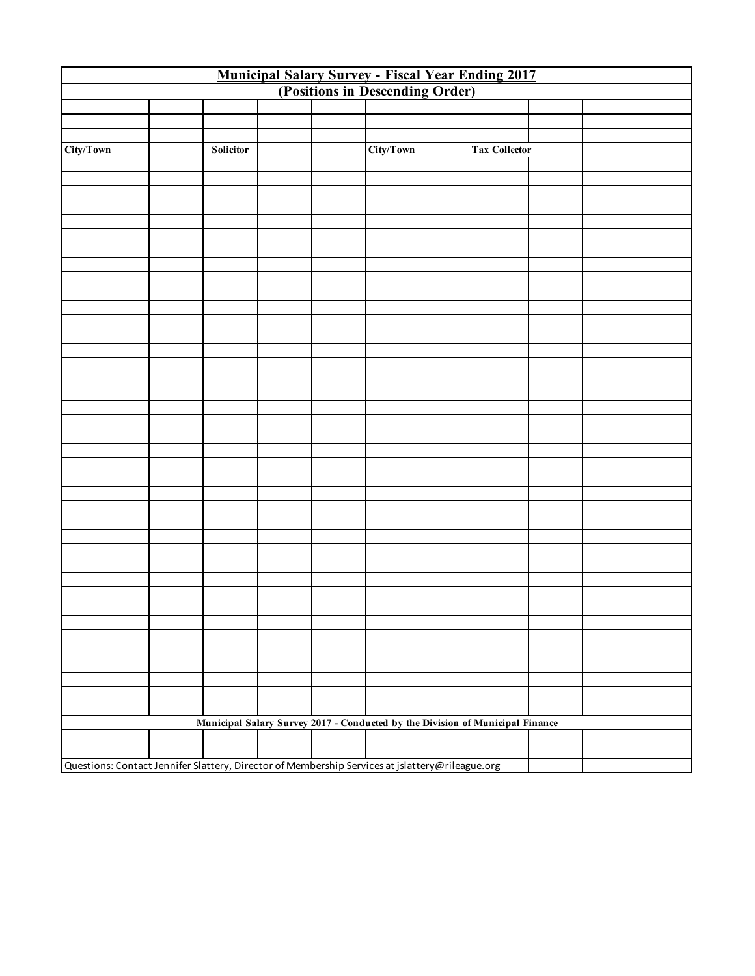| <b>Municipal Salary Survey - Fiscal Year Ending 2017</b><br>(Positions in Descending Order)     |  |           |  |  |                                                                               |  |                      |  |  |  |  |  |
|-------------------------------------------------------------------------------------------------|--|-----------|--|--|-------------------------------------------------------------------------------|--|----------------------|--|--|--|--|--|
|                                                                                                 |  |           |  |  |                                                                               |  |                      |  |  |  |  |  |
|                                                                                                 |  |           |  |  |                                                                               |  |                      |  |  |  |  |  |
|                                                                                                 |  |           |  |  |                                                                               |  |                      |  |  |  |  |  |
|                                                                                                 |  |           |  |  |                                                                               |  |                      |  |  |  |  |  |
| City/Town                                                                                       |  | Solicitor |  |  | City/Town                                                                     |  | <b>Tax Collector</b> |  |  |  |  |  |
|                                                                                                 |  |           |  |  |                                                                               |  |                      |  |  |  |  |  |
|                                                                                                 |  |           |  |  |                                                                               |  |                      |  |  |  |  |  |
|                                                                                                 |  |           |  |  |                                                                               |  |                      |  |  |  |  |  |
|                                                                                                 |  |           |  |  |                                                                               |  |                      |  |  |  |  |  |
|                                                                                                 |  |           |  |  |                                                                               |  |                      |  |  |  |  |  |
|                                                                                                 |  |           |  |  |                                                                               |  |                      |  |  |  |  |  |
|                                                                                                 |  |           |  |  |                                                                               |  |                      |  |  |  |  |  |
|                                                                                                 |  |           |  |  |                                                                               |  |                      |  |  |  |  |  |
|                                                                                                 |  |           |  |  |                                                                               |  |                      |  |  |  |  |  |
|                                                                                                 |  |           |  |  |                                                                               |  |                      |  |  |  |  |  |
|                                                                                                 |  |           |  |  |                                                                               |  |                      |  |  |  |  |  |
|                                                                                                 |  |           |  |  |                                                                               |  |                      |  |  |  |  |  |
|                                                                                                 |  |           |  |  |                                                                               |  |                      |  |  |  |  |  |
|                                                                                                 |  |           |  |  |                                                                               |  |                      |  |  |  |  |  |
|                                                                                                 |  |           |  |  |                                                                               |  |                      |  |  |  |  |  |
|                                                                                                 |  |           |  |  |                                                                               |  |                      |  |  |  |  |  |
|                                                                                                 |  |           |  |  |                                                                               |  |                      |  |  |  |  |  |
|                                                                                                 |  |           |  |  |                                                                               |  |                      |  |  |  |  |  |
|                                                                                                 |  |           |  |  |                                                                               |  |                      |  |  |  |  |  |
|                                                                                                 |  |           |  |  |                                                                               |  |                      |  |  |  |  |  |
|                                                                                                 |  |           |  |  |                                                                               |  |                      |  |  |  |  |  |
|                                                                                                 |  |           |  |  |                                                                               |  |                      |  |  |  |  |  |
|                                                                                                 |  |           |  |  |                                                                               |  |                      |  |  |  |  |  |
|                                                                                                 |  |           |  |  |                                                                               |  |                      |  |  |  |  |  |
|                                                                                                 |  |           |  |  |                                                                               |  |                      |  |  |  |  |  |
|                                                                                                 |  |           |  |  |                                                                               |  |                      |  |  |  |  |  |
|                                                                                                 |  |           |  |  |                                                                               |  |                      |  |  |  |  |  |
|                                                                                                 |  |           |  |  |                                                                               |  |                      |  |  |  |  |  |
|                                                                                                 |  |           |  |  |                                                                               |  |                      |  |  |  |  |  |
|                                                                                                 |  |           |  |  |                                                                               |  |                      |  |  |  |  |  |
|                                                                                                 |  |           |  |  |                                                                               |  |                      |  |  |  |  |  |
|                                                                                                 |  |           |  |  |                                                                               |  |                      |  |  |  |  |  |
|                                                                                                 |  |           |  |  |                                                                               |  |                      |  |  |  |  |  |
|                                                                                                 |  |           |  |  |                                                                               |  |                      |  |  |  |  |  |
|                                                                                                 |  |           |  |  |                                                                               |  |                      |  |  |  |  |  |
|                                                                                                 |  |           |  |  |                                                                               |  |                      |  |  |  |  |  |
|                                                                                                 |  |           |  |  |                                                                               |  |                      |  |  |  |  |  |
|                                                                                                 |  |           |  |  |                                                                               |  |                      |  |  |  |  |  |
|                                                                                                 |  |           |  |  |                                                                               |  |                      |  |  |  |  |  |
|                                                                                                 |  |           |  |  |                                                                               |  |                      |  |  |  |  |  |
|                                                                                                 |  |           |  |  | Municipal Salary Survey 2017 - Conducted by the Division of Municipal Finance |  |                      |  |  |  |  |  |
|                                                                                                 |  |           |  |  |                                                                               |  |                      |  |  |  |  |  |
|                                                                                                 |  |           |  |  |                                                                               |  |                      |  |  |  |  |  |
| Questions: Contact Jennifer Slattery, Director of Membership Services at jslattery@rileague.org |  |           |  |  |                                                                               |  |                      |  |  |  |  |  |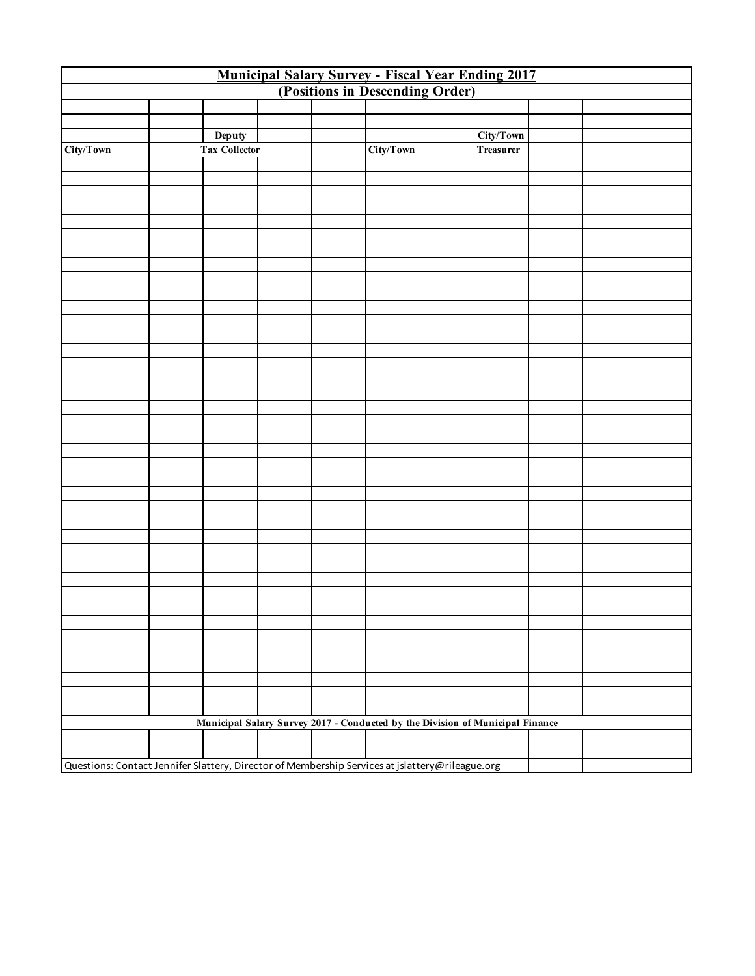| <b>Municipal Salary Survey - Fiscal Year Ending 2017</b><br>(Positions in Descending Order)     |  |                      |  |  |           |  |                                                                               |  |  |  |  |  |
|-------------------------------------------------------------------------------------------------|--|----------------------|--|--|-----------|--|-------------------------------------------------------------------------------|--|--|--|--|--|
|                                                                                                 |  |                      |  |  |           |  |                                                                               |  |  |  |  |  |
|                                                                                                 |  |                      |  |  |           |  |                                                                               |  |  |  |  |  |
|                                                                                                 |  |                      |  |  |           |  |                                                                               |  |  |  |  |  |
|                                                                                                 |  | Deputy               |  |  |           |  | City/Town                                                                     |  |  |  |  |  |
| City/Town                                                                                       |  | <b>Tax Collector</b> |  |  | City/Town |  | <b>Treasurer</b>                                                              |  |  |  |  |  |
|                                                                                                 |  |                      |  |  |           |  |                                                                               |  |  |  |  |  |
|                                                                                                 |  |                      |  |  |           |  |                                                                               |  |  |  |  |  |
|                                                                                                 |  |                      |  |  |           |  |                                                                               |  |  |  |  |  |
|                                                                                                 |  |                      |  |  |           |  |                                                                               |  |  |  |  |  |
|                                                                                                 |  |                      |  |  |           |  |                                                                               |  |  |  |  |  |
|                                                                                                 |  |                      |  |  |           |  |                                                                               |  |  |  |  |  |
|                                                                                                 |  |                      |  |  |           |  |                                                                               |  |  |  |  |  |
|                                                                                                 |  |                      |  |  |           |  |                                                                               |  |  |  |  |  |
|                                                                                                 |  |                      |  |  |           |  |                                                                               |  |  |  |  |  |
|                                                                                                 |  |                      |  |  |           |  |                                                                               |  |  |  |  |  |
|                                                                                                 |  |                      |  |  |           |  |                                                                               |  |  |  |  |  |
|                                                                                                 |  |                      |  |  |           |  |                                                                               |  |  |  |  |  |
|                                                                                                 |  |                      |  |  |           |  |                                                                               |  |  |  |  |  |
|                                                                                                 |  |                      |  |  |           |  |                                                                               |  |  |  |  |  |
|                                                                                                 |  |                      |  |  |           |  |                                                                               |  |  |  |  |  |
|                                                                                                 |  |                      |  |  |           |  |                                                                               |  |  |  |  |  |
|                                                                                                 |  |                      |  |  |           |  |                                                                               |  |  |  |  |  |
|                                                                                                 |  |                      |  |  |           |  |                                                                               |  |  |  |  |  |
|                                                                                                 |  |                      |  |  |           |  |                                                                               |  |  |  |  |  |
|                                                                                                 |  |                      |  |  |           |  |                                                                               |  |  |  |  |  |
|                                                                                                 |  |                      |  |  |           |  |                                                                               |  |  |  |  |  |
|                                                                                                 |  |                      |  |  |           |  |                                                                               |  |  |  |  |  |
|                                                                                                 |  |                      |  |  |           |  |                                                                               |  |  |  |  |  |
|                                                                                                 |  |                      |  |  |           |  |                                                                               |  |  |  |  |  |
|                                                                                                 |  |                      |  |  |           |  |                                                                               |  |  |  |  |  |
|                                                                                                 |  |                      |  |  |           |  |                                                                               |  |  |  |  |  |
|                                                                                                 |  |                      |  |  |           |  |                                                                               |  |  |  |  |  |
|                                                                                                 |  |                      |  |  |           |  |                                                                               |  |  |  |  |  |
|                                                                                                 |  |                      |  |  |           |  |                                                                               |  |  |  |  |  |
|                                                                                                 |  |                      |  |  |           |  |                                                                               |  |  |  |  |  |
|                                                                                                 |  |                      |  |  |           |  |                                                                               |  |  |  |  |  |
|                                                                                                 |  |                      |  |  |           |  |                                                                               |  |  |  |  |  |
|                                                                                                 |  |                      |  |  |           |  |                                                                               |  |  |  |  |  |
|                                                                                                 |  |                      |  |  |           |  |                                                                               |  |  |  |  |  |
|                                                                                                 |  |                      |  |  |           |  |                                                                               |  |  |  |  |  |
|                                                                                                 |  |                      |  |  |           |  |                                                                               |  |  |  |  |  |
|                                                                                                 |  |                      |  |  |           |  |                                                                               |  |  |  |  |  |
|                                                                                                 |  |                      |  |  |           |  |                                                                               |  |  |  |  |  |
|                                                                                                 |  |                      |  |  |           |  |                                                                               |  |  |  |  |  |
|                                                                                                 |  |                      |  |  |           |  | Municipal Salary Survey 2017 - Conducted by the Division of Municipal Finance |  |  |  |  |  |
|                                                                                                 |  |                      |  |  |           |  |                                                                               |  |  |  |  |  |
|                                                                                                 |  |                      |  |  |           |  |                                                                               |  |  |  |  |  |
| Questions: Contact Jennifer Slattery, Director of Membership Services at jslattery@rileague.org |  |                      |  |  |           |  |                                                                               |  |  |  |  |  |
|                                                                                                 |  |                      |  |  |           |  |                                                                               |  |  |  |  |  |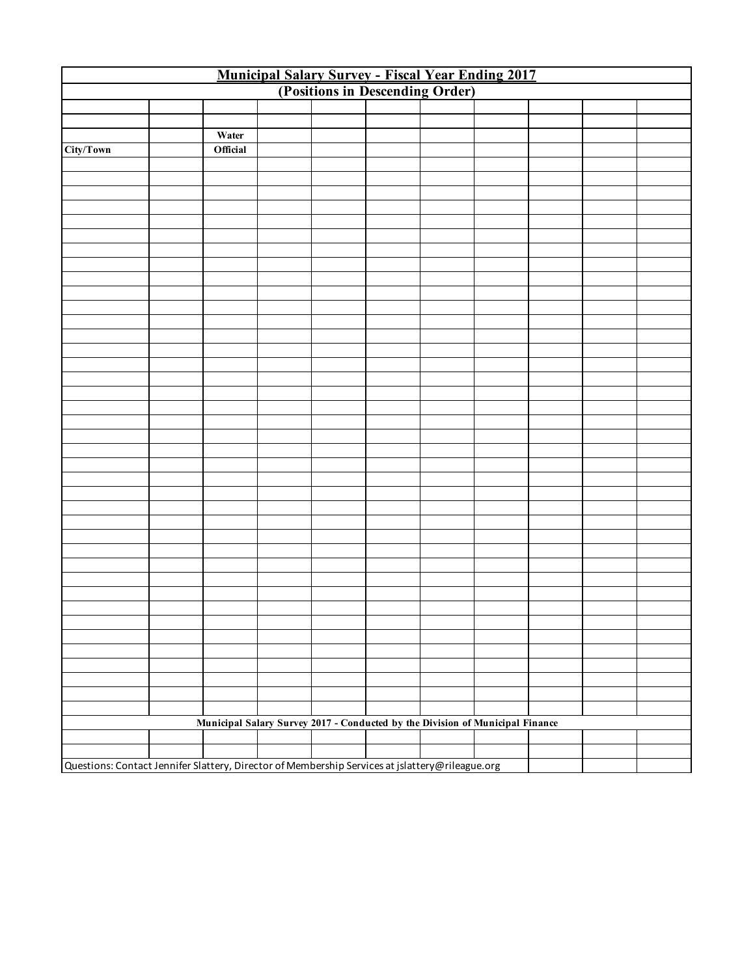| <b>Municipal Salary Survey - Fiscal Year Ending 2017</b><br>(Positions in Descending Order)     |  |          |  |  |  |  |                                                                               |  |  |  |  |  |
|-------------------------------------------------------------------------------------------------|--|----------|--|--|--|--|-------------------------------------------------------------------------------|--|--|--|--|--|
|                                                                                                 |  |          |  |  |  |  |                                                                               |  |  |  |  |  |
|                                                                                                 |  |          |  |  |  |  |                                                                               |  |  |  |  |  |
|                                                                                                 |  |          |  |  |  |  |                                                                               |  |  |  |  |  |
|                                                                                                 |  | Water    |  |  |  |  |                                                                               |  |  |  |  |  |
| City/Town                                                                                       |  | Official |  |  |  |  |                                                                               |  |  |  |  |  |
|                                                                                                 |  |          |  |  |  |  |                                                                               |  |  |  |  |  |
|                                                                                                 |  |          |  |  |  |  |                                                                               |  |  |  |  |  |
|                                                                                                 |  |          |  |  |  |  |                                                                               |  |  |  |  |  |
|                                                                                                 |  |          |  |  |  |  |                                                                               |  |  |  |  |  |
|                                                                                                 |  |          |  |  |  |  |                                                                               |  |  |  |  |  |
|                                                                                                 |  |          |  |  |  |  |                                                                               |  |  |  |  |  |
|                                                                                                 |  |          |  |  |  |  |                                                                               |  |  |  |  |  |
|                                                                                                 |  |          |  |  |  |  |                                                                               |  |  |  |  |  |
|                                                                                                 |  |          |  |  |  |  |                                                                               |  |  |  |  |  |
|                                                                                                 |  |          |  |  |  |  |                                                                               |  |  |  |  |  |
|                                                                                                 |  |          |  |  |  |  |                                                                               |  |  |  |  |  |
|                                                                                                 |  |          |  |  |  |  |                                                                               |  |  |  |  |  |
|                                                                                                 |  |          |  |  |  |  |                                                                               |  |  |  |  |  |
|                                                                                                 |  |          |  |  |  |  |                                                                               |  |  |  |  |  |
|                                                                                                 |  |          |  |  |  |  |                                                                               |  |  |  |  |  |
|                                                                                                 |  |          |  |  |  |  |                                                                               |  |  |  |  |  |
|                                                                                                 |  |          |  |  |  |  |                                                                               |  |  |  |  |  |
|                                                                                                 |  |          |  |  |  |  |                                                                               |  |  |  |  |  |
|                                                                                                 |  |          |  |  |  |  |                                                                               |  |  |  |  |  |
|                                                                                                 |  |          |  |  |  |  |                                                                               |  |  |  |  |  |
|                                                                                                 |  |          |  |  |  |  |                                                                               |  |  |  |  |  |
|                                                                                                 |  |          |  |  |  |  |                                                                               |  |  |  |  |  |
|                                                                                                 |  |          |  |  |  |  |                                                                               |  |  |  |  |  |
|                                                                                                 |  |          |  |  |  |  |                                                                               |  |  |  |  |  |
|                                                                                                 |  |          |  |  |  |  |                                                                               |  |  |  |  |  |
|                                                                                                 |  |          |  |  |  |  |                                                                               |  |  |  |  |  |
|                                                                                                 |  |          |  |  |  |  |                                                                               |  |  |  |  |  |
|                                                                                                 |  |          |  |  |  |  |                                                                               |  |  |  |  |  |
|                                                                                                 |  |          |  |  |  |  |                                                                               |  |  |  |  |  |
|                                                                                                 |  |          |  |  |  |  |                                                                               |  |  |  |  |  |
|                                                                                                 |  |          |  |  |  |  |                                                                               |  |  |  |  |  |
|                                                                                                 |  |          |  |  |  |  |                                                                               |  |  |  |  |  |
|                                                                                                 |  |          |  |  |  |  |                                                                               |  |  |  |  |  |
|                                                                                                 |  |          |  |  |  |  |                                                                               |  |  |  |  |  |
|                                                                                                 |  |          |  |  |  |  |                                                                               |  |  |  |  |  |
|                                                                                                 |  |          |  |  |  |  |                                                                               |  |  |  |  |  |
|                                                                                                 |  |          |  |  |  |  |                                                                               |  |  |  |  |  |
|                                                                                                 |  |          |  |  |  |  |                                                                               |  |  |  |  |  |
|                                                                                                 |  |          |  |  |  |  |                                                                               |  |  |  |  |  |
|                                                                                                 |  |          |  |  |  |  | Municipal Salary Survey 2017 - Conducted by the Division of Municipal Finance |  |  |  |  |  |
|                                                                                                 |  |          |  |  |  |  |                                                                               |  |  |  |  |  |
|                                                                                                 |  |          |  |  |  |  |                                                                               |  |  |  |  |  |
|                                                                                                 |  |          |  |  |  |  |                                                                               |  |  |  |  |  |
| Questions: Contact Jennifer Slattery, Director of Membership Services at jslattery@rileague.org |  |          |  |  |  |  |                                                                               |  |  |  |  |  |